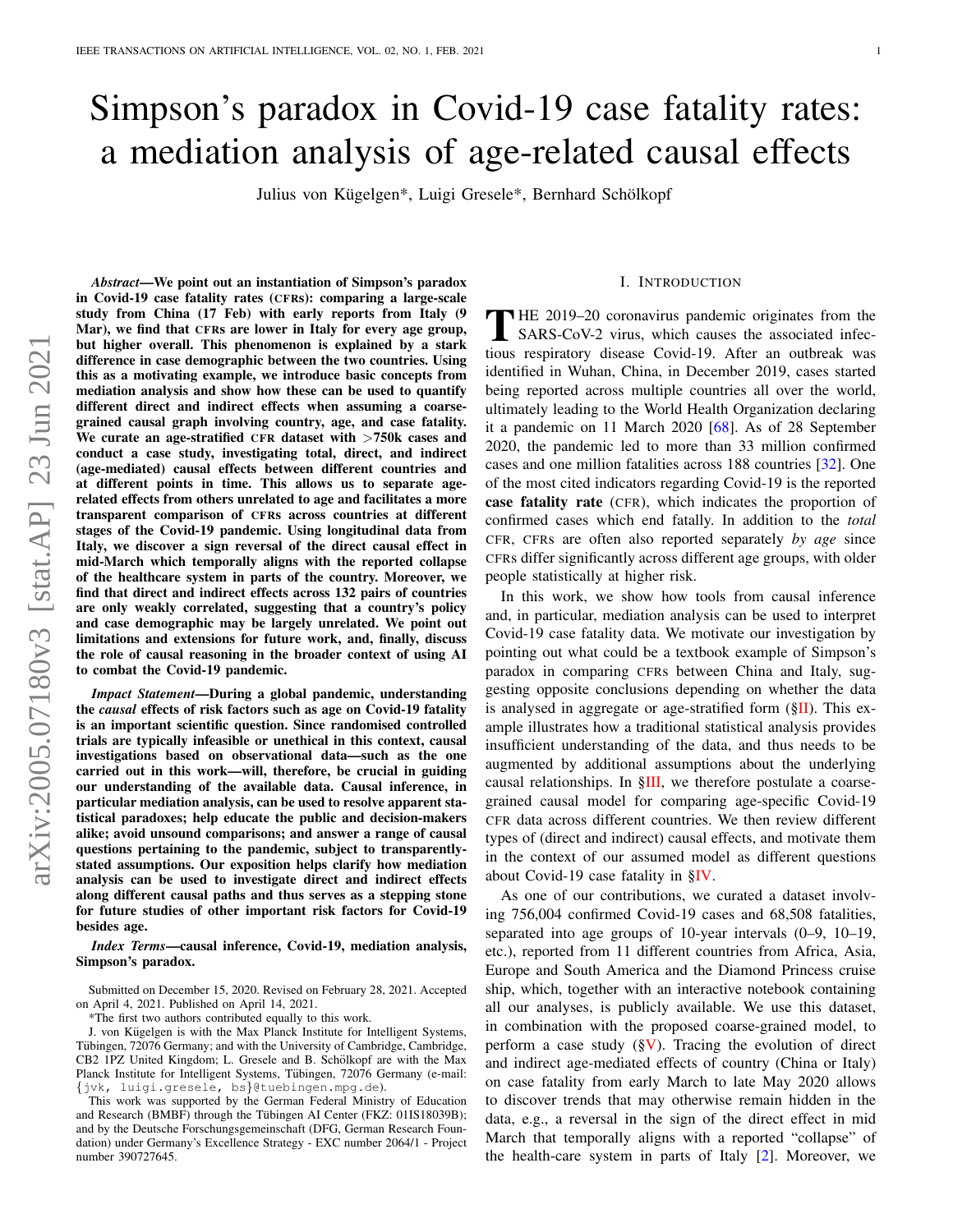# Simpson's paradox in Covid-19 case fatality rates: a mediation analysis of age-related causal effects

Julius von Kügelgen\*, Luigi Gresele\*, Bernhard Schölkopf

*Abstract*—We point out an instantiation of Simpson's paradox in Covid-19 case fatality rates (CFRs): comparing a large-scale study from China (17 Feb) with early reports from Italy (9 Mar), we find that CFRs are lower in Italy for every age group, but higher overall. This phenomenon is explained by a stark difference in case demographic between the two countries. Using this as a motivating example, we introduce basic concepts from mediation analysis and show how these can be used to quantify different direct and indirect effects when assuming a coarsegrained causal graph involving country, age, and case fatality. We curate an age-stratified CFR dataset with  $>750k$  cases and conduct a case study, investigating total, direct, and indirect (age-mediated) causal effects between different countries and at different points in time. This allows us to separate agerelated effects from others unrelated to age and facilitates a more transparent comparison of CFRs across countries at different stages of the Covid-19 pandemic. Using longitudinal data from Italy, we discover a sign reversal of the direct causal effect in mid-March which temporally aligns with the reported collapse of the healthcare system in parts of the country. Moreover, we find that direct and indirect effects across 132 pairs of countries are only weakly correlated, suggesting that a country's policy and case demographic may be largely unrelated. We point out limitations and extensions for future work, and, finally, discuss the role of causal reasoning in the broader context of using AI to combat the Covid-19 pandemic.

*Impact Statement*—During a global pandemic, understanding the *causal* effects of risk factors such as age on Covid-19 fatality is an important scientific question. Since randomised controlled trials are typically infeasible or unethical in this context, causal investigations based on observational data—such as the one carried out in this work—will, therefore, be crucial in guiding our understanding of the available data. Causal inference, in particular mediation analysis, can be used to resolve apparent statistical paradoxes; help educate the public and decision-makers alike; avoid unsound comparisons; and answer a range of causal questions pertaining to the pandemic, subject to transparentlystated assumptions. Our exposition helps clarify how mediation analysis can be used to investigate direct and indirect effects along different causal paths and thus serves as a stepping stone for future studies of other important risk factors for Covid-19 besides age.

*Index Terms*—causal inference, Covid-19, mediation analysis, Simpson's paradox.

Submitted on December 15, 2020. Revised on February 28, 2021. Accepted on April 4, 2021. Published on April 14, 2021.

\*The first two authors contributed equally to this work.

J. von Kügelgen is with the Max Planck Institute for Intelligent Systems, Tübingen, 72076 Germany; and with the University of Cambridge, Cambridge, CB2 1PZ United Kingdom; L. Gresele and B. Schölkopf are with the Max Planck Institute for Intelligent Systems, Tubingen, 72076 Germany (e-mail: ¨ {jvk, luigi.gresele, bs}@tuebingen.mpg.de).

This work was supported by the German Federal Ministry of Education and Research (BMBF) through the Tübingen AI Center (FKZ: 01IS18039B); and by the Deutsche Forschungsgemeinschaft (DFG, German Research Foundation) under Germany's Excellence Strategy - EXC number 2064/1 - Project number 390727645.

#### I. INTRODUCTION

THE 2019–20 coronavirus pandemic originates from the<br>SARS-CoV-2 virus, which causes the associated infec-<br>time application discose Covid 10, After an outbreak was HE 2019–20 coronavirus pandemic originates from the tious respiratory disease Covid-19. After an outbreak was identified in Wuhan, China, in December 2019, cases started being reported across multiple countries all over the world, ultimately leading to the World Health Organization declaring it a pandemic on 11 March 2020 [\[68\]](#page-10-0). As of 28 September 2020, the pandemic led to more than 33 million confirmed cases and one million fatalities across 188 countries [\[32\]](#page-9-0). One of the most cited indicators regarding Covid-19 is the reported case fatality rate (CFR), which indicates the proportion of confirmed cases which end fatally. In addition to the *total* CFR, CFRs are often also reported separately *by age* since CFRs differ significantly across different age groups, with older people statistically at higher risk.

In this work, we show how tools from causal inference and, in particular, mediation analysis can be used to interpret Covid-19 case fatality data. We motivate our investigation by pointing out what could be a textbook example of Simpson's paradox in comparing CFRs between China and Italy, suggesting opposite conclusions depending on whether the data is analysed in aggregate or age-stratified form  $(\S$ II). This example illustrates how a traditional statistical analysis provides insufficient understanding of the data, and thus needs to be augmented by additional assumptions about the underlying causal relationships. In [§III,](#page-1-1) we therefore postulate a coarsegrained causal model for comparing age-specific Covid-19 CFR data across different countries. We then review different types of (direct and indirect) causal effects, and motivate them in the context of our assumed model as different questions about Covid-19 case fatality in [§IV.](#page-2-0)

As one of our contributions, we curated a dataset involving 756,004 confirmed Covid-19 cases and 68,508 fatalities, separated into age groups of 10-year intervals (0–9, 10–19, etc.), reported from 11 different countries from Africa, Asia, Europe and South America and the Diamond Princess cruise ship, which, together with an interactive notebook containing all our analyses, is publicly available. We use this dataset, in combination with the proposed coarse-grained model, to perform a case study  $(\S{V})$ . Tracing the evolution of direct and indirect age-mediated effects of country (China or Italy) on case fatality from early March to late May 2020 allows to discover trends that may otherwise remain hidden in the data, e.g., a reversal in the sign of the direct effect in mid March that temporally aligns with a reported "collapse" of the health-care system in parts of Italy [\[2\]](#page-8-0). Moreover, we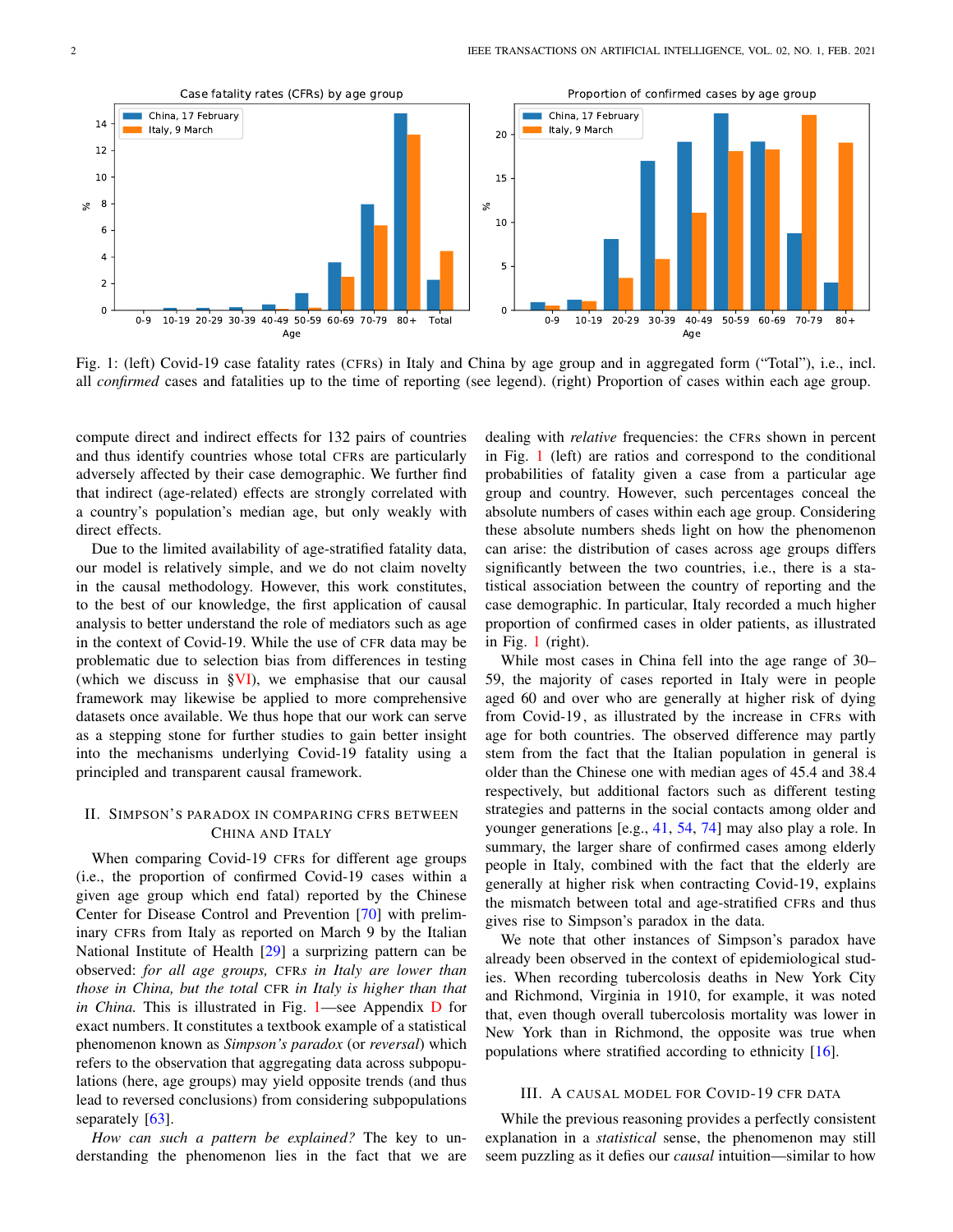<span id="page-1-2"></span>

Fig. 1: (left) Covid-19 case fatality rates (CFRs) in Italy and China by age group and in aggregated form ("Total"), i.e., incl. all *confirmed* cases and fatalities up to the time of reporting (see legend). (right) Proportion of cases within each age group.

compute direct and indirect effects for 132 pairs of countries and thus identify countries whose total CFRs are particularly adversely affected by their case demographic. We further find that indirect (age-related) effects are strongly correlated with a country's population's median age, but only weakly with direct effects.

Due to the limited availability of age-stratified fatality data, our model is relatively simple, and we do not claim novelty in the causal methodology. However, this work constitutes, to the best of our knowledge, the first application of causal analysis to better understand the role of mediators such as age in the context of Covid-19. While the use of CFR data may be problematic due to selection bias from differences in testing (which we discuss in  $\frac{S}{V}$ ), we emphasise that our causal framework may likewise be applied to more comprehensive datasets once available. We thus hope that our work can serve as a stepping stone for further studies to gain better insight into the mechanisms underlying Covid-19 fatality using a principled and transparent causal framework.

# <span id="page-1-0"></span>II. SIMPSON'S PARADOX IN COMPARING CFRS BETWEEN CHINA AND ITALY

When comparing Covid-19 CFRs for different age groups (i.e., the proportion of confirmed Covid-19 cases within a given age group which end fatal) reported by the Chinese Center for Disease Control and Prevention [\[70\]](#page-11-0) with preliminary CFRs from Italy as reported on March 9 by the Italian National Institute of Health [\[29\]](#page-9-1) a surprizing pattern can be observed: *for all age groups,* CFR*s in Italy are lower than those in China, but the total* CFR *in Italy is higher than that in China.* This is illustrated in Fig. [1—](#page-1-2)see Appendix [D](#page-16-0) for exact numbers. It constitutes a textbook example of a statistical phenomenon known as *Simpson's paradox* (or *reversal*) which refers to the observation that aggregating data across subpopulations (here, age groups) may yield opposite trends (and thus lead to reversed conclusions) from considering subpopulations separately [\[63\]](#page-10-1).

*How can such a pattern be explained?* The key to understanding the phenomenon lies in the fact that we are dealing with *relative* frequencies: the CFRs shown in percent in Fig. [1](#page-1-2) (left) are ratios and correspond to the conditional probabilities of fatality given a case from a particular age group and country. However, such percentages conceal the absolute numbers of cases within each age group. Considering these absolute numbers sheds light on how the phenomenon can arise: the distribution of cases across age groups differs significantly between the two countries, i.e., there is a statistical association between the country of reporting and the case demographic. In particular, Italy recorded a much higher proportion of confirmed cases in older patients, as illustrated in Fig. [1](#page-1-2) (right).

While most cases in China fell into the age range of 30– 59, the majority of cases reported in Italy were in people aged 60 and over who are generally at higher risk of dying from Covid-19 , as illustrated by the increase in CFRs with age for both countries. The observed difference may partly stem from the fact that the Italian population in general is older than the Chinese one with median ages of 45.4 and 38.4 respectively, but additional factors such as different testing strategies and patterns in the social contacts among older and younger generations [e.g., [41,](#page-10-2) [54,](#page-10-3) [74\]](#page-11-1) may also play a role. In summary, the larger share of confirmed cases among elderly people in Italy, combined with the fact that the elderly are generally at higher risk when contracting Covid-19, explains the mismatch between total and age-stratified CFRs and thus gives rise to Simpson's paradox in the data.

We note that other instances of Simpson's paradox have already been observed in the context of epidemiological studies. When recording tubercolosis deaths in New York City and Richmond, Virginia in 1910, for example, it was noted that, even though overall tubercolosis mortality was lower in New York than in Richmond, the opposite was true when populations where stratified according to ethnicity [\[16\]](#page-9-2).

# III. A CAUSAL MODEL FOR COVID-19 CFR DATA

<span id="page-1-1"></span>While the previous reasoning provides a perfectly consistent explanation in a *statistical* sense, the phenomenon may still seem puzzling as it defies our *causal* intuition—similar to how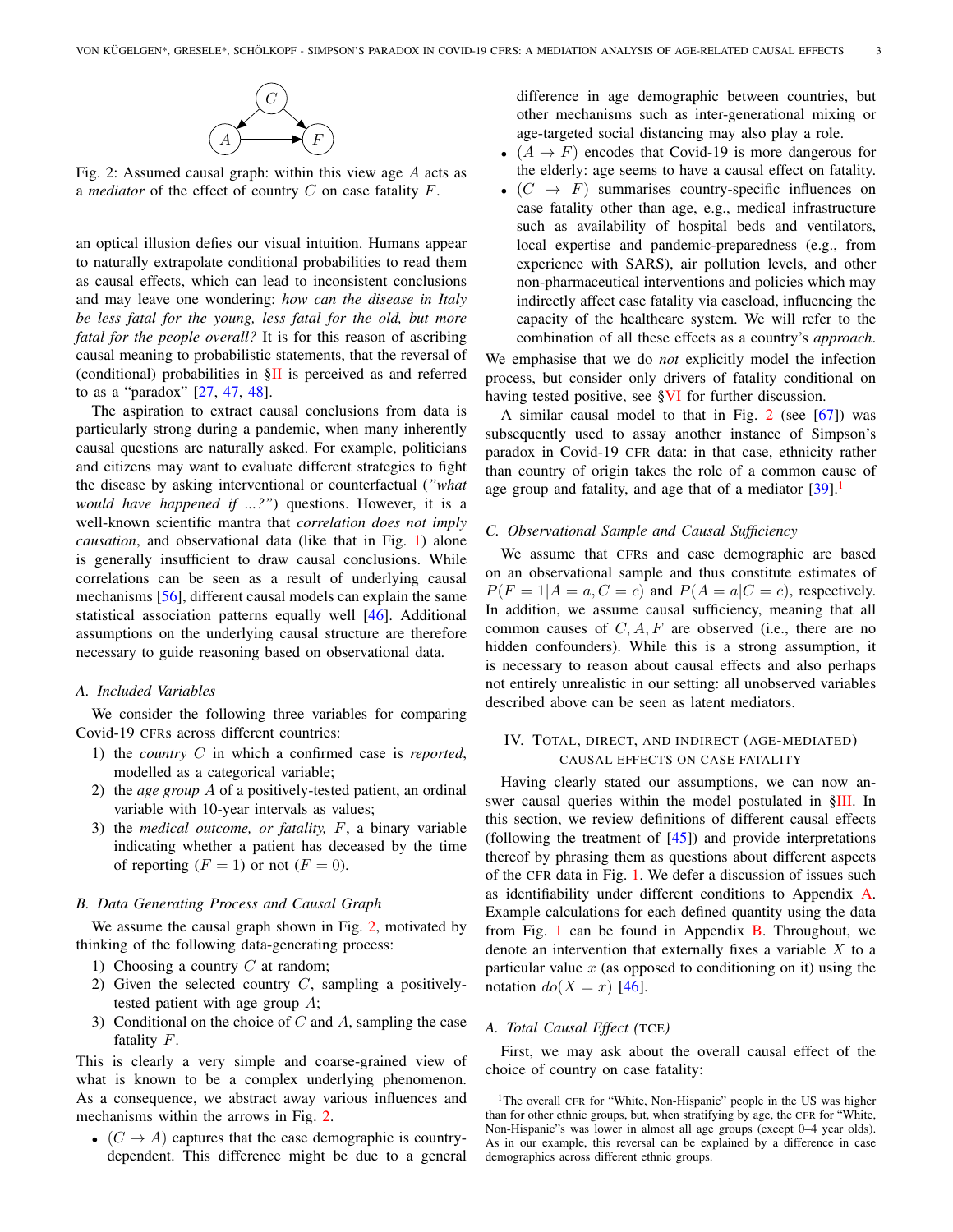

<span id="page-2-1"></span>Fig. 2: Assumed causal graph: within this view age A acts as a *mediator* of the effect of country C on case fatality F.

an optical illusion defies our visual intuition. Humans appear to naturally extrapolate conditional probabilities to read them as causal effects, which can lead to inconsistent conclusions and may leave one wondering: *how can the disease in Italy be less fatal for the young, less fatal for the old, but more fatal for the people overall?* It is for this reason of ascribing causal meaning to probabilistic statements, that the reversal of (conditional) probabilities in  $\S$ II is perceived as and referred to as a "paradox" [\[27,](#page-9-3) [47,](#page-10-4) [48\]](#page-10-5).

The aspiration to extract causal conclusions from data is particularly strong during a pandemic, when many inherently causal questions are naturally asked. For example, politicians and citizens may want to evaluate different strategies to fight the disease by asking interventional or counterfactual (*"what would have happened if ...?"*) questions. However, it is a well-known scientific mantra that *correlation does not imply causation*, and observational data (like that in Fig. [1\)](#page-1-2) alone is generally insufficient to draw causal conclusions. While correlations can be seen as a result of underlying causal mechanisms [\[56\]](#page-10-6), different causal models can explain the same statistical association patterns equally well [\[46\]](#page-10-7). Additional assumptions on the underlying causal structure are therefore necessary to guide reasoning based on observational data.

# *A. Included Variables*

We consider the following three variables for comparing Covid-19 CFRs across different countries:

- 1) the *country* C in which a confirmed case is *reported*, modelled as a categorical variable;
- 2) the *age group* A of a positively-tested patient, an ordinal variable with 10-year intervals as values;
- 3) the *medical outcome, or fatality,* F, a binary variable indicating whether a patient has deceased by the time of reporting  $(F = 1)$  or not  $(F = 0)$ .

#### *B. Data Generating Process and Causal Graph*

We assume the causal graph shown in Fig. [2,](#page-2-1) motivated by thinking of the following data-generating process:

- 1) Choosing a country  $C$  at random;
- 2) Given the selected country  $C$ , sampling a positivelytested patient with age group A;
- 3) Conditional on the choice of C and A, sampling the case fatality F.

This is clearly a very simple and coarse-grained view of what is known to be a complex underlying phenomenon. As a consequence, we abstract away various influences and mechanisms within the arrows in Fig. [2.](#page-2-1)

•  $(C \rightarrow A)$  captures that the case demographic is countrydependent. This difference might be due to a general difference in age demographic between countries, but other mechanisms such as inter-generational mixing or age-targeted social distancing may also play a role.

- $(A \rightarrow F)$  encodes that Covid-19 is more dangerous for the elderly: age seems to have a causal effect on fatality.
- $(C \rightarrow F)$  summarises country-specific influences on case fatality other than age, e.g., medical infrastructure such as availability of hospital beds and ventilators, local expertise and pandemic-preparedness (e.g., from experience with SARS), air pollution levels, and other non-pharmaceutical interventions and policies which may indirectly affect case fatality via caseload, influencing the capacity of the healthcare system. We will refer to the combination of all these effects as a country's *approach*.

We emphasise that we do *not* explicitly model the infection process, but consider only drivers of fatality conditional on having tested positive, see [§VI](#page-6-0) for further discussion.

A similar causal model to that in Fig. [2](#page-2-1) (see [\[67\]](#page-10-8)) was subsequently used to assay another instance of Simpson's paradox in Covid-19 CFR data: in that case, ethnicity rather than country of origin takes the role of a common cause of age group and fatality, and age that of a mediator  $[39]$ .<sup>[1](#page-2-2)</sup>

# *C. Observational Sample and Causal Sufficiency*

We assume that CFRs and case demographic are based on an observational sample and thus constitute estimates of  $P(F = 1|A = a, C = c)$  and  $P(A = a|C = c)$ , respectively. In addition, we assume causal sufficiency, meaning that all common causes of  $C, A, F$  are observed (i.e., there are no hidden confounders). While this is a strong assumption, it is necessary to reason about causal effects and also perhaps not entirely unrealistic in our setting: all unobserved variables described above can be seen as latent mediators.

# <span id="page-2-0"></span>IV. TOTAL, DIRECT, AND INDIRECT (AGE-MEDIATED) CAUSAL EFFECTS ON CASE FATALITY

Having clearly stated our assumptions, we can now answer causal queries within the model postulated in [§III.](#page-1-1) In this section, we review definitions of different causal effects (following the treatment of  $[45]$ ) and provide interpretations thereof by phrasing them as questions about different aspects of the CFR data in Fig. [1.](#page-1-2) We defer a discussion of issues such as identifiability under different conditions to Appendix [A.](#page-12-0) Example calculations for each defined quantity using the data from Fig. [1](#page-1-2) can be found in Appendix  $\overline{B}$ . Throughout, we denote an intervention that externally fixes a variable  $X$  to a particular value  $x$  (as opposed to conditioning on it) using the notation  $do(X = x)$  [\[46\]](#page-10-7).

# *A. Total Causal Effect (*TCE*)*

First, we may ask about the overall causal effect of the choice of country on case fatality:

<span id="page-2-2"></span><sup>&</sup>lt;sup>1</sup>The overall CFR for "White, Non-Hispanic" people in the US was higher than for other ethnic groups, but, when stratifying by age, the CFR for "White, Non-Hispanic"s was lower in almost all age groups (except 0–4 year olds). As in our example, this reversal can be explained by a difference in case demographics across different ethnic groups.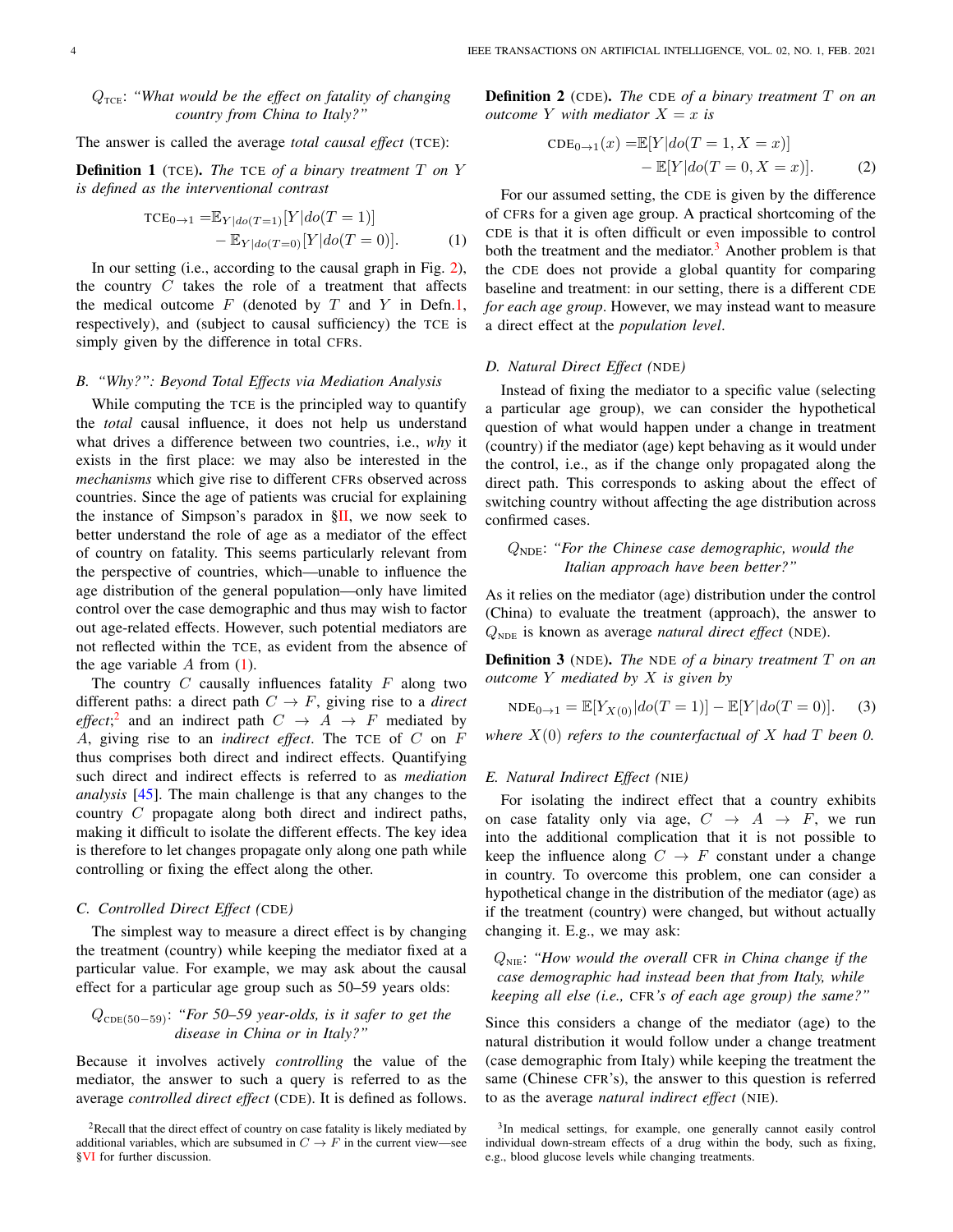# $Q_{\text{TCE}}$ : "What would be the effect on fatality of changing *country from China to Italy?"*

The answer is called the average *total causal effect* (TCE):

<span id="page-3-0"></span>Definition 1 (TCE). *The* TCE *of a binary treatment* T *on* Y *is defined as the interventional contrast*

$$
TCE_{0\to 1} = \mathbb{E}_{Y|do(T=1)}[Y|do(T=1)] - \mathbb{E}_{Y|do(T=0)}[Y|do(T=0)].
$$
\n(1)

In our setting (i.e., according to the causal graph in Fig. [2\)](#page-2-1), the country  $C$  takes the role of a treatment that affects the medical outcome  $F$  (denoted by  $T$  and  $Y$  in Defn[.1,](#page-3-0) respectively), and (subject to causal sufficiency) the TCE is simply given by the difference in total CFRs.

#### *B. "Why?": Beyond Total Effects via Mediation Analysis*

While computing the TCE is the principled way to quantify the *total* causal influence, it does not help us understand what drives a difference between two countries, i.e., *why* it exists in the first place: we may also be interested in the *mechanisms* which give rise to different CFRs observed across countries. Since the age of patients was crucial for explaining the instance of Simpson's paradox in  $\S$ II, we now seek to better understand the role of age as a mediator of the effect of country on fatality. This seems particularly relevant from the perspective of countries, which—unable to influence the age distribution of the general population—only have limited control over the case demographic and thus may wish to factor out age-related effects. However, such potential mediators are not reflected within the TCE, as evident from the absence of the age variable  $A$  from  $(1)$ .

The country  $C$  causally influences fatality  $F$  along two different paths: a direct path  $C \rightarrow F$ , giving rise to a *direct effect*;<sup>[2](#page-3-2)</sup> and an indirect path  $C \rightarrow A \rightarrow F$  mediated by A, giving rise to an *indirect effect*. The TCE of C on F thus comprises both direct and indirect effects. Quantifying such direct and indirect effects is referred to as *mediation analysis* [\[45\]](#page-10-9). The main challenge is that any changes to the country C propagate along both direct and indirect paths, making it difficult to isolate the different effects. The key idea is therefore to let changes propagate only along one path while controlling or fixing the effect along the other.

# *C. Controlled Direct Effect (*CDE*)*

The simplest way to measure a direct effect is by changing the treatment (country) while keeping the mediator fixed at a particular value. For example, we may ask about the causal effect for a particular age group such as 50–59 years olds:

$$
Q_{\text{CDE}(50-59)}
$$
: "For 50-59 year-olds, is it safer to get the disease in China or in Italy?"

Because it involves actively *controlling* the value of the mediator, the answer to such a query is referred to as the average *controlled direct effect* (CDE). It is defined as follows. Definition 2 (CDE). *The* CDE *of a binary treatment* T *on an outcome* Y *with mediator*  $X = x$  *is* 

<span id="page-3-4"></span>
$$
CDE_{0\to 1}(x) = \mathbb{E}[Y|do(T = 1, X = x)]
$$
  
-  $\mathbb{E}[Y|do(T = 0, X = x)].$  (2)

<span id="page-3-1"></span>For our assumed setting, the CDE is given by the difference of CFRs for a given age group. A practical shortcoming of the CDE is that it is often difficult or even impossible to control both the treatment and the mediator.<sup>[3](#page-3-3)</sup> Another problem is that the CDE does not provide a global quantity for comparing baseline and treatment: in our setting, there is a different CDE *for each age group*. However, we may instead want to measure a direct effect at the *population level*.

# *D. Natural Direct Effect (*NDE*)*

Instead of fixing the mediator to a specific value (selecting a particular age group), we can consider the hypothetical question of what would happen under a change in treatment (country) if the mediator (age) kept behaving as it would under the control, i.e., as if the change only propagated along the direct path. This corresponds to asking about the effect of switching country without affecting the age distribution across confirmed cases.

# QNDE: *"For the Chinese case demographic, would the Italian approach have been better?"*

As it relies on the mediator (age) distribution under the control (China) to evaluate the treatment (approach), the answer to  $Q_{\text{NDE}}$  is known as average *natural direct effect* (NDE).

Definition 3 (NDE). *The* NDE *of a binary treatment* T *on an outcome* Y *mediated by* X *is given by*

<span id="page-3-5"></span>
$$
NDE_{0\to 1} = \mathbb{E}[Y_{X(0)}|do(T=1)] - \mathbb{E}[Y|do(T=0)].
$$
 (3)

*where* X(0) *refers to the counterfactual of* X *had* T *been 0.*

# *E. Natural Indirect Effect (*NIE*)*

For isolating the indirect effect that a country exhibits on case fatality only via age,  $C \rightarrow A \rightarrow F$ , we run into the additional complication that it is not possible to keep the influence along  $C \rightarrow F$  constant under a change in country. To overcome this problem, one can consider a hypothetical change in the distribution of the mediator (age) as if the treatment (country) were changed, but without actually changing it. E.g., we may ask:

QNIE: *"How would the overall* CFR *in China change if the case demographic had instead been that from Italy, while keeping all else (i.e.,* CFR*'s of each age group) the same?"*

Since this considers a change of the mediator (age) to the natural distribution it would follow under a change treatment (case demographic from Italy) while keeping the treatment the same (Chinese CFR's), the answer to this question is referred to as the average *natural indirect effect* (NIE).

<span id="page-3-2"></span> $2$ Recall that the direct effect of country on case fatality is likely mediated by additional variables, which are subsumed in  $C \rightarrow F$  in the current view—see [§VI](#page-6-0) for further discussion.

<span id="page-3-3"></span><sup>&</sup>lt;sup>3</sup>In medical settings, for example, one generally cannot easily control individual down-stream effects of a drug within the body, such as fixing, e.g., blood glucose levels while changing treatments.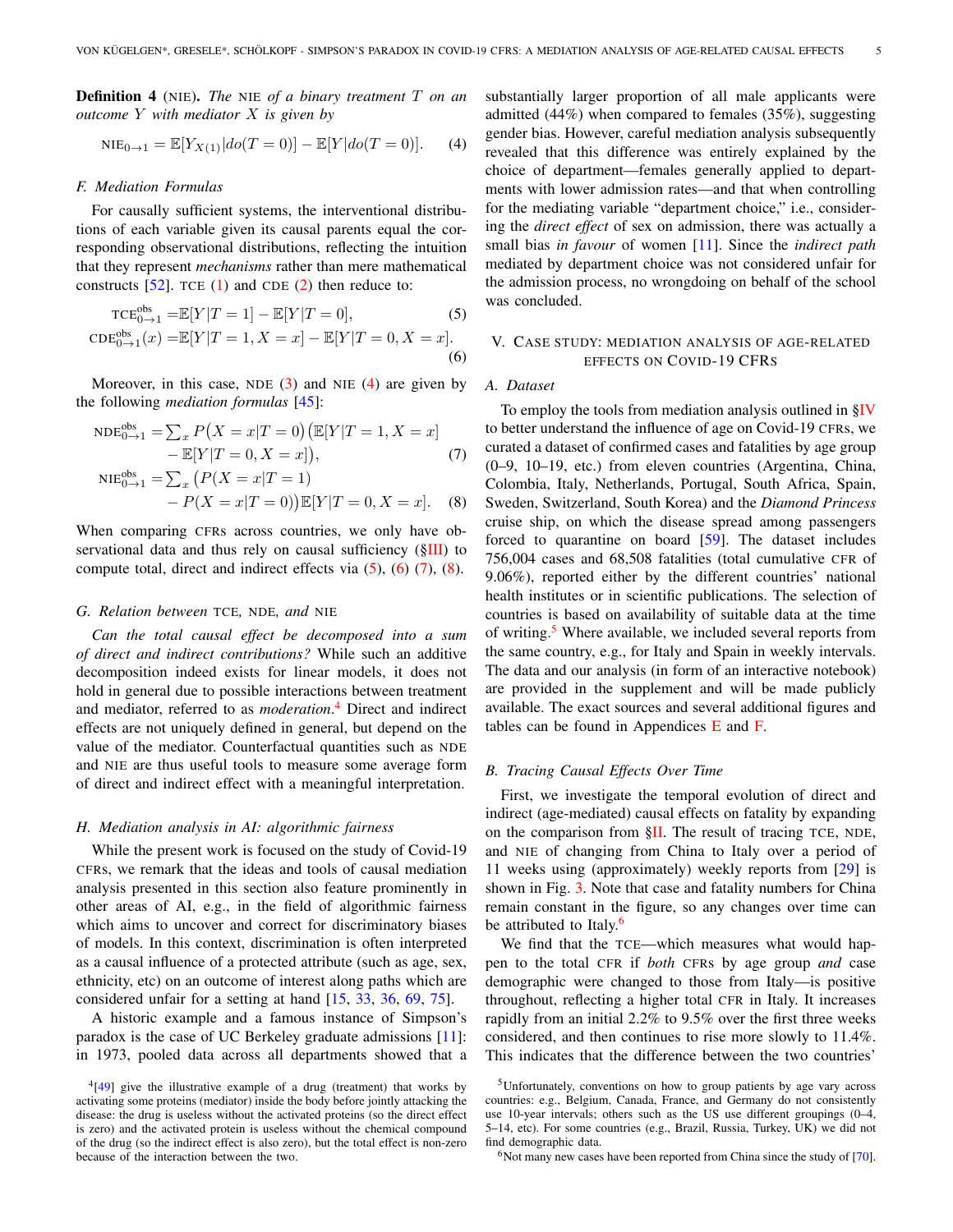Definition 4 (NIE). *The* NIE *of a binary treatment* T *on an outcome* Y *with mediator* X *is given by*

<span id="page-4-1"></span>
$$
NIE_{0\to 1} = \mathbb{E}[Y_{X(1)}|do(T=0)] - \mathbb{E}[Y|do(T=0)].
$$
 (4)

#### *F. Mediation Formulas*

For causally sufficient systems, the interventional distributions of each variable given its causal parents equal the corresponding observational distributions, reflecting the intuition that they represent *mechanisms* rather than mere mathematical constructs  $[52]$ . TCE  $(1)$  and CDE  $(2)$  then reduce to:

$$
TCE_{0\to 1}^{\text{obs}} = \mathbb{E}[Y|T=1] - \mathbb{E}[Y|T=0],\tag{5}
$$

$$
CDE_{0\to 1}^{\text{obs}}(x) = \mathbb{E}[Y|T=1, X=x] - \mathbb{E}[Y|T=0, X=x].
$$
\n(6)

Moreover, in this case, NDE  $(3)$  and NIE  $(4)$  are given by the following *mediation formulas* [\[45\]](#page-10-9):

$$
NDE_{0\to 1}^{obs} = \sum_{x} P(X = x | T = 0) \left( \mathbb{E}[Y | T = 1, X = x] - \mathbb{E}[Y | T = 0, X = x] \right),
$$
\n(7)

NIE<sub>0→1</sub><sup>obs</sup> = 
$$
\sum_{x} (P(X = x | T = 1)
$$
  
-  $P(X = x | T = 0)) \mathbb{E}[Y | T = 0, X = x].$  (8)

When comparing CFRs across countries, we only have observational data and thus rely on causal sufficiency ([§III\)](#page-1-1) to compute total, direct and indirect effects via  $(5)$ ,  $(6)$   $(7)$ ,  $(8)$ .

#### *G. Relation between* TCE*,* NDE*, and* NIE

*Can the total causal effect be decomposed into a sum of direct and indirect contributions?* While such an additive decomposition indeed exists for linear models, it does not hold in general due to possible interactions between treatment and mediator, referred to as *moderation*. [4](#page-4-6) Direct and indirect effects are not uniquely defined in general, but depend on the value of the mediator. Counterfactual quantities such as NDE and NIE are thus useful tools to measure some average form of direct and indirect effect with a meaningful interpretation.

#### *H. Mediation analysis in AI: algorithmic fairness*

While the present work is focused on the study of Covid-19 CFRs, we remark that the ideas and tools of causal mediation analysis presented in this section also feature prominently in other areas of AI, e.g., in the field of algorithmic fairness which aims to uncover and correct for discriminatory biases of models. In this context, discrimination is often interpreted as a causal influence of a protected attribute (such as age, sex, ethnicity, etc) on an outcome of interest along paths which are considered unfair for a setting at hand [\[15,](#page-9-5) [33,](#page-9-6) [36,](#page-9-7) [69,](#page-11-2) [75\]](#page-11-3).

A historic example and a famous instance of Simpson's paradox is the case of UC Berkeley graduate admissions [\[11\]](#page-8-1): in 1973, pooled data across all departments showed that a substantially larger proportion of all male applicants were admitted (44%) when compared to females (35%), suggesting gender bias. However, careful mediation analysis subsequently revealed that this difference was entirely explained by the choice of department—females generally applied to departments with lower admission rates—and that when controlling for the mediating variable "department choice," i.e., considering the *direct effect* of sex on admission, there was actually a small bias *in favour* of women [\[11\]](#page-8-1). Since the *indirect path* mediated by department choice was not considered unfair for the admission process, no wrongdoing on behalf of the school was concluded.

# <span id="page-4-3"></span><span id="page-4-2"></span><span id="page-4-0"></span>V. CASE STUDY: MEDIATION ANALYSIS OF AGE-RELATED EFFECTS ON COVID-19 CFRS

# *A. Dataset*

<span id="page-4-5"></span><span id="page-4-4"></span>To employ the tools from mediation analysis outlined in  $\S$ IV to better understand the influence of age on Covid-19 CFRs, we curated a dataset of confirmed cases and fatalities by age group (0–9, 10–19, etc.) from eleven countries (Argentina, China, Colombia, Italy, Netherlands, Portugal, South Africa, Spain, Sweden, Switzerland, South Korea) and the *Diamond Princess* cruise ship, on which the disease spread among passengers forced to quarantine on board [\[59\]](#page-10-12). The dataset includes 756,004 cases and 68,508 fatalities (total cumulative CFR of 9.06%), reported either by the different countries' national health institutes or in scientific publications. The selection of countries is based on availability of suitable data at the time of writing.<sup>[5](#page-4-7)</sup> Where available, we included several reports from the same country, e.g., for Italy and Spain in weekly intervals. The data and our analysis (in form of an interactive notebook) are provided in the supplement and will be made publicly available. The exact sources and several additional figures and tables can be found in Appendices [E](#page-18-0) and [F.](#page-22-0)

## *B. Tracing Causal Effects Over Time*

First, we investigate the temporal evolution of direct and indirect (age-mediated) causal effects on fatality by expanding on the comparison from  $\S$ II. The result of tracing TCE, NDE, and NIE of changing from China to Italy over a period of 11 weeks using (approximately) weekly reports from [\[29\]](#page-9-1) is shown in Fig. [3.](#page-5-0) Note that case and fatality numbers for China remain constant in the figure, so any changes over time can be attributed to Italy.<sup>[6](#page-4-8)</sup>

We find that the TCE—which measures what would happen to the total CFR if *both* CFRs by age group *and* case demographic were changed to those from Italy—is positive throughout, reflecting a higher total CFR in Italy. It increases rapidly from an initial 2.2% to 9.5% over the first three weeks considered, and then continues to rise more slowly to 11.4%. This indicates that the difference between the two countries'

<span id="page-4-8"></span> $6$ Not many new cases have been reported from China since the study of [\[70\]](#page-11-0).

<span id="page-4-6"></span><sup>&</sup>lt;sup>4</sup>[\[49\]](#page-10-11) give the illustrative example of a drug (treatment) that works by activating some proteins (mediator) inside the body before jointly attacking the disease: the drug is useless without the activated proteins (so the direct effect is zero) and the activated protein is useless without the chemical compound of the drug (so the indirect effect is also zero), but the total effect is non-zero because of the interaction between the two.

<span id="page-4-7"></span><sup>5</sup>Unfortunately, conventions on how to group patients by age vary across countries: e.g., Belgium, Canada, France, and Germany do not consistently use 10-year intervals; others such as the US use different groupings (0–4, 5–14, etc). For some countries (e.g., Brazil, Russia, Turkey, UK) we did not find demographic data.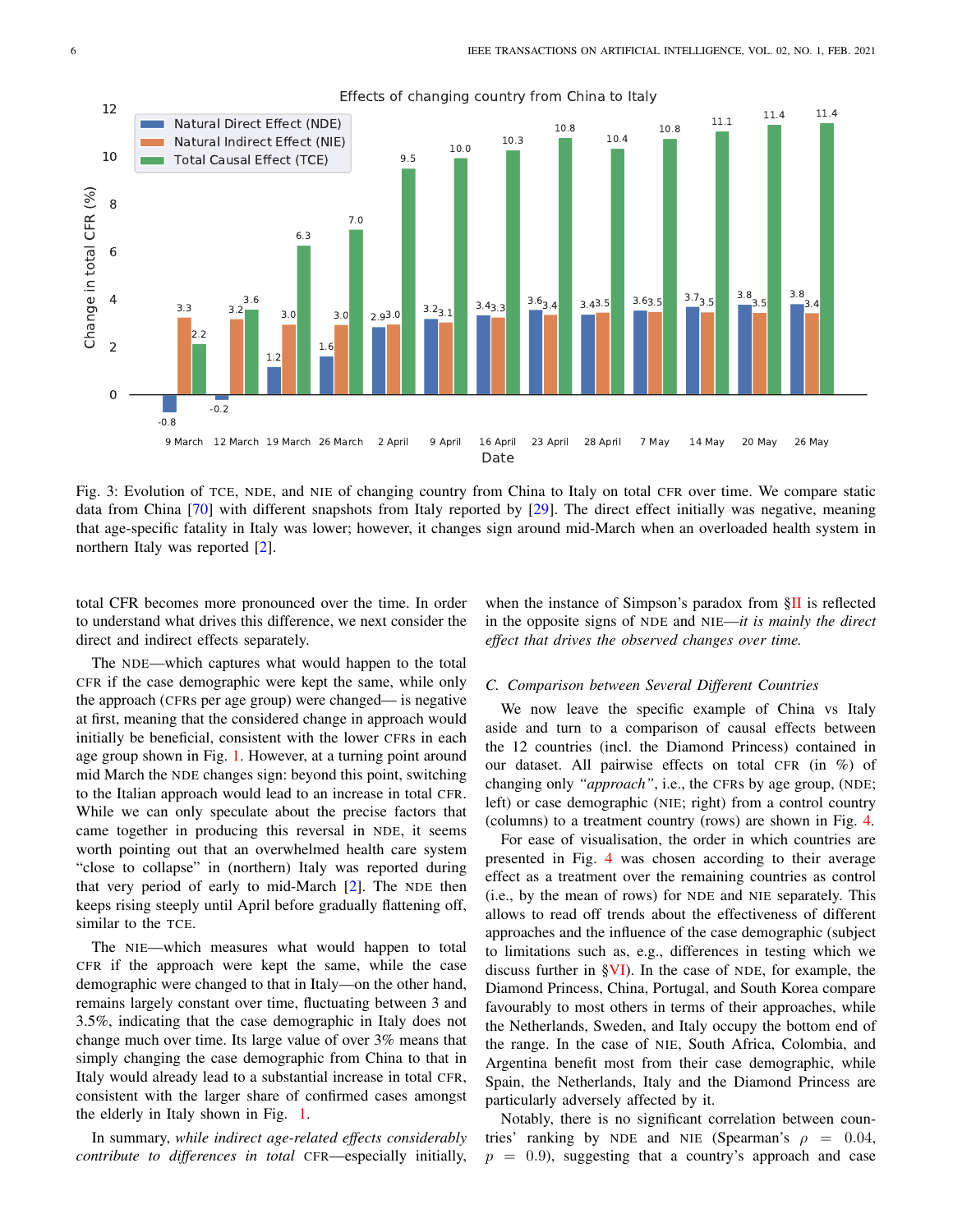<span id="page-5-0"></span>

Effects of changing country from China to Italy

Fig. 3: Evolution of TCE, NDE, and NIE of changing country from China to Italy on total CFR over time. We compare static data from China [\[70\]](#page-11-0) with different snapshots from Italy reported by [\[29\]](#page-9-1). The direct effect initially was negative, meaning that age-specific fatality in Italy was lower; however, it changes sign around mid-March when an overloaded health system in northern Italy was reported [\[2\]](#page-8-0).

total CFR becomes more pronounced over the time. In order to understand what drives this difference, we next consider the direct and indirect effects separately.

when the instance of Simpson's paradox from  $\S$ II is reflected in the opposite signs of NDE and NIE—*it is mainly the direct effect that drives the observed changes over time.*

The NDE—which captures what would happen to the total CFR if the case demographic were kept the same, while only the approach (CFRs per age group) were changed— is negative at first, meaning that the considered change in approach would initially be beneficial, consistent with the lower CFRs in each age group shown in Fig. [1.](#page-1-2) However, at a turning point around mid March the NDE changes sign: beyond this point, switching to the Italian approach would lead to an increase in total CFR. While we can only speculate about the precise factors that came together in producing this reversal in NDE, it seems worth pointing out that an overwhelmed health care system "close to collapse" in (northern) Italy was reported during that very period of early to mid-March [\[2\]](#page-8-0). The NDE then keeps rising steeply until April before gradually flattening off, similar to the TCE.

The NIE—which measures what would happen to total CFR if the approach were kept the same, while the case demographic were changed to that in Italy—on the other hand, remains largely constant over time, fluctuating between 3 and 3.5%, indicating that the case demographic in Italy does not change much over time. Its large value of over 3% means that simply changing the case demographic from China to that in Italy would already lead to a substantial increase in total CFR, consistent with the larger share of confirmed cases amongst the elderly in Italy shown in Fig. [1.](#page-1-2)

In summary, *while indirect age-related effects considerably contribute to differences in total* CFR—especially initially,

## *C. Comparison between Several Different Countries*

We now leave the specific example of China vs Italy aside and turn to a comparison of causal effects between the 12 countries (incl. the Diamond Princess) contained in our dataset. All pairwise effects on total CFR (in %) of changing only *"approach"*, i.e., the CFRs by age group, (NDE; left) or case demographic (NIE; right) from a control country (columns) to a treatment country (rows) are shown in Fig. [4.](#page-6-1)

For ease of visualisation, the order in which countries are presented in Fig. [4](#page-6-1) was chosen according to their average effect as a treatment over the remaining countries as control (i.e., by the mean of rows) for NDE and NIE separately. This allows to read off trends about the effectiveness of different approaches and the influence of the case demographic (subject to limitations such as, e.g., differences in testing which we discuss further in [§VI\)](#page-6-0). In the case of NDE, for example, the Diamond Princess, China, Portugal, and South Korea compare favourably to most others in terms of their approaches, while the Netherlands, Sweden, and Italy occupy the bottom end of the range. In the case of NIE, South Africa, Colombia, and Argentina benefit most from their case demographic, while Spain, the Netherlands, Italy and the Diamond Princess are particularly adversely affected by it.

Notably, there is no significant correlation between countries' ranking by NDE and NIE (Spearman's  $\rho = 0.04$ ,  $p = 0.9$ , suggesting that a country's approach and case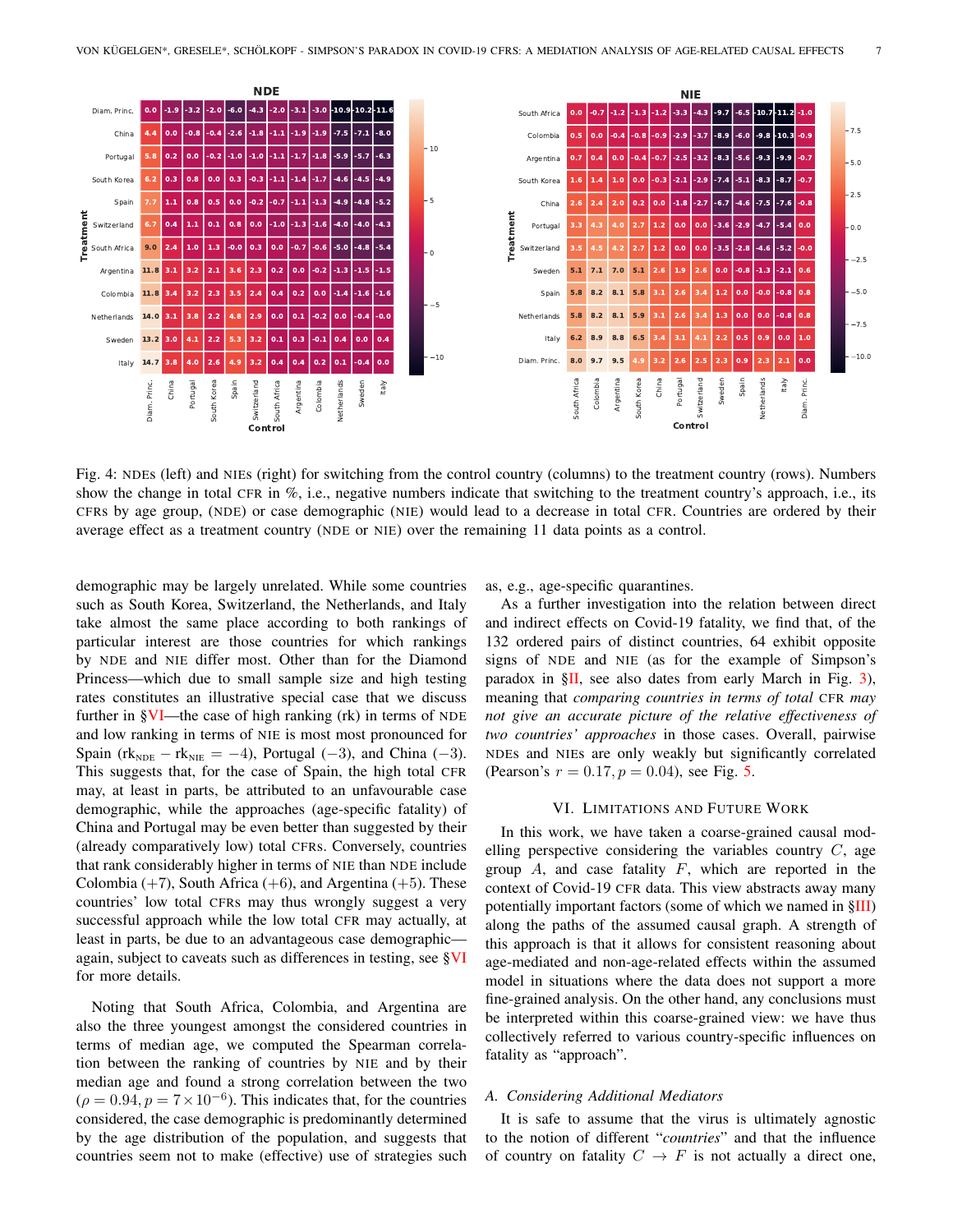<span id="page-6-1"></span>

Fig. 4: NDEs (left) and NIEs (right) for switching from the control country (columns) to the treatment country (rows). Numbers show the change in total CFR in %, i.e., negative numbers indicate that switching to the treatment country's approach, i.e., its CFRs by age group, (NDE) or case demographic (NIE) would lead to a decrease in total CFR. Countries are ordered by their average effect as a treatment country (NDE or NIE) over the remaining 11 data points as a control.

demographic may be largely unrelated. While some countries such as South Korea, Switzerland, the Netherlands, and Italy take almost the same place according to both rankings of particular interest are those countries for which rankings by NDE and NIE differ most. Other than for the Diamond Princess—which due to small sample size and high testing rates constitutes an illustrative special case that we discuss further in [§VI—](#page-6-0)the case of high ranking (rk) in terms of NDE and low ranking in terms of NIE is most most pronounced for Spain (rk<sub>NDE</sub> – rk<sub>NIE</sub> = -4), Portugal (-3), and China (-3). This suggests that, for the case of Spain, the high total CFR may, at least in parts, be attributed to an unfavourable case demographic, while the approaches (age-specific fatality) of China and Portugal may be even better than suggested by their (already comparatively low) total CFRs. Conversely, countries that rank considerably higher in terms of NIE than NDE include Colombia  $(+7)$ , South Africa  $(+6)$ , and Argentina  $(+5)$ . These countries' low total CFRs may thus wrongly suggest a very successful approach while the low total CFR may actually, at least in parts, be due to an advantageous case demographic again, subject to caveats such as differences in testing, see [§VI](#page-6-0) for more details.

Noting that South Africa, Colombia, and Argentina are also the three youngest amongst the considered countries in terms of median age, we computed the Spearman correlation between the ranking of countries by NIE and by their median age and found a strong correlation between the two  $(\rho = 0.94, p = 7 \times 10^{-6})$ . This indicates that, for the countries considered, the case demographic is predominantly determined by the age distribution of the population, and suggests that countries seem not to make (effective) use of strategies such as, e.g., age-specific quarantines.

As a further investigation into the relation between direct and indirect effects on Covid-19 fatality, we find that, of the 132 ordered pairs of distinct countries, 64 exhibit opposite signs of NDE and NIE (as for the example of Simpson's paradox in  $\S$ II, see also dates from early March in Fig. [3\)](#page-5-0), meaning that *comparing countries in terms of total* CFR *may not give an accurate picture of the relative effectiveness of two countries' approaches* in those cases. Overall, pairwise NDEs and NIEs are only weakly but significantly correlated (Pearson's  $r = 0.17, p = 0.04$ ), see Fig. [5.](#page-7-0)

#### VI. LIMITATIONS AND FUTURE WORK

<span id="page-6-0"></span>In this work, we have taken a coarse-grained causal modelling perspective considering the variables country  $C$ , age group  $A$ , and case fatality  $F$ , which are reported in the context of Covid-19 CFR data. This view abstracts away many potentially important factors (some of which we named in [§III\)](#page-1-1) along the paths of the assumed causal graph. A strength of this approach is that it allows for consistent reasoning about age-mediated and non-age-related effects within the assumed model in situations where the data does not support a more fine-grained analysis. On the other hand, any conclusions must be interpreted within this coarse-grained view: we have thus collectively referred to various country-specific influences on fatality as "approach".

#### *A. Considering Additional Mediators*

It is safe to assume that the virus is ultimately agnostic to the notion of different "*countries*" and that the influence of country on fatality  $C \rightarrow F$  is not actually a direct one,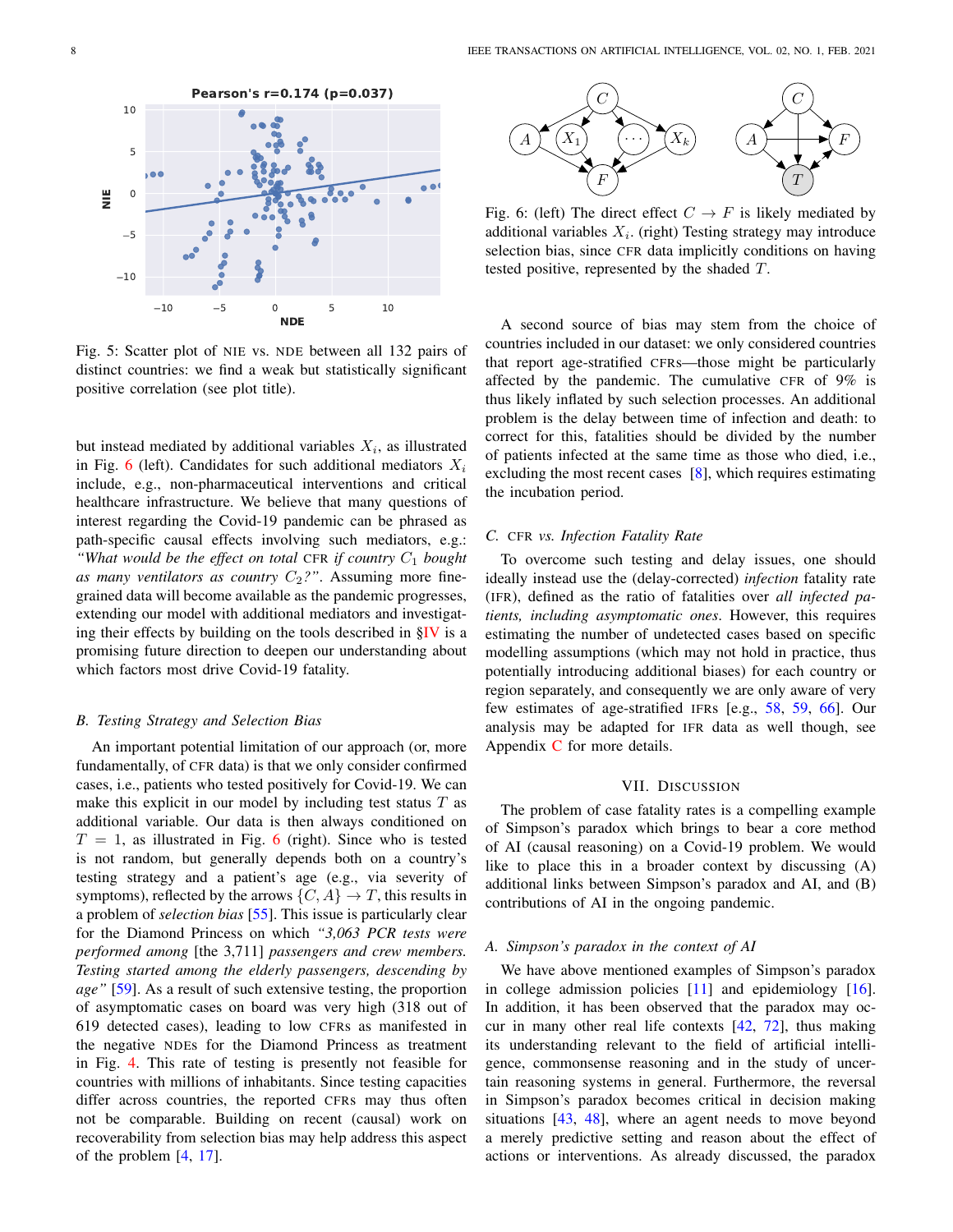<span id="page-7-0"></span>

Fig. 5: Scatter plot of NIE vs. NDE between all 132 pairs of distinct countries: we find a weak but statistically significant positive correlation (see plot title).

but instead mediated by additional variables  $X_i$ , as illustrated in Fig. [6](#page-7-1) (left). Candidates for such additional mediators  $X_i$ include, e.g., non-pharmaceutical interventions and critical healthcare infrastructure. We believe that many questions of interest regarding the Covid-19 pandemic can be phrased as path-specific causal effects involving such mediators, e.g.: "What would be the effect on total CFR if country  $C_1$  bought as many ventilators as country  $C_2$ ?". Assuming more finegrained data will become available as the pandemic progresses, extending our model with additional mediators and investigating their effects by building on the tools described in [§IV](#page-2-0) is a promising future direction to deepen our understanding about which factors most drive Covid-19 fatality.

## *B. Testing Strategy and Selection Bias*

An important potential limitation of our approach (or, more fundamentally, of CFR data) is that we only consider confirmed cases, i.e., patients who tested positively for Covid-19. We can make this explicit in our model by including test status  $T$  as additional variable. Our data is then always conditioned on  $T = 1$ , as illustrated in Fig. [6](#page-7-1) (right). Since who is tested is not random, but generally depends both on a country's testing strategy and a patient's age (e.g., via severity of symptoms), reflected by the arrows  $\{C, A\} \to T$ , this results in a problem of *selection bias* [\[55\]](#page-10-13). This issue is particularly clear for the Diamond Princess on which *"3,063 PCR tests were performed among* [the 3,711] *passengers and crew members. Testing started among the elderly passengers, descending by age"* [\[59\]](#page-10-12). As a result of such extensive testing, the proportion of asymptomatic cases on board was very high (318 out of 619 detected cases), leading to low CFRs as manifested in the negative NDEs for the Diamond Princess as treatment in Fig. [4.](#page-6-1) This rate of testing is presently not feasible for countries with millions of inhabitants. Since testing capacities differ across countries, the reported CFRs may thus often not be comparable. Building on recent (causal) work on recoverability from selection bias may help address this aspect of the problem [\[4,](#page-8-2) [17\]](#page-9-8).

<span id="page-7-1"></span>

Fig. 6: (left) The direct effect  $C \rightarrow F$  is likely mediated by additional variables  $X_i$ . (right) Testing strategy may introduce selection bias, since CFR data implicitly conditions on having tested positive, represented by the shaded T.

A second source of bias may stem from the choice of countries included in our dataset: we only considered countries that report age-stratified CFRs—those might be particularly affected by the pandemic. The cumulative CFR of 9% is thus likely inflated by such selection processes. An additional problem is the delay between time of infection and death: to correct for this, fatalities should be divided by the number of patients infected at the same time as those who died, i.e., excluding the most recent cases  $[8]$ , which requires estimating the incubation period.

#### *C.* CFR *vs. Infection Fatality Rate*

To overcome such testing and delay issues, one should ideally instead use the (delay-corrected) *infection* fatality rate (IFR), defined as the ratio of fatalities over *all infected patients, including asymptomatic ones*. However, this requires estimating the number of undetected cases based on specific modelling assumptions (which may not hold in practice, thus potentially introducing additional biases) for each country or region separately, and consequently we are only aware of very few estimates of age-stratified IFRs [e.g., [58,](#page-10-14) [59,](#page-10-12) [66\]](#page-10-15). Our analysis may be adapted for IFR data as well though, see Appendix [C](#page-13-0) for more details.

# VII. DISCUSSION

The problem of case fatality rates is a compelling example of Simpson's paradox which brings to bear a core method of AI (causal reasoning) on a Covid-19 problem. We would like to place this in a broader context by discussing (A) additional links between Simpson's paradox and AI, and (B) contributions of AI in the ongoing pandemic.

## *A. Simpson's paradox in the context of AI*

We have above mentioned examples of Simpson's paradox in college admission policies [\[11\]](#page-8-1) and epidemiology [\[16\]](#page-9-2). In addition, it has been observed that the paradox may occur in many other real life contexts [\[42,](#page-10-16) [72\]](#page-11-4), thus making its understanding relevant to the field of artificial intelligence, commonsense reasoning and in the study of uncertain reasoning systems in general. Furthermore, the reversal in Simpson's paradox becomes critical in decision making situations [\[43,](#page-10-17) [48\]](#page-10-5), where an agent needs to move beyond a merely predictive setting and reason about the effect of actions or interventions. As already discussed, the paradox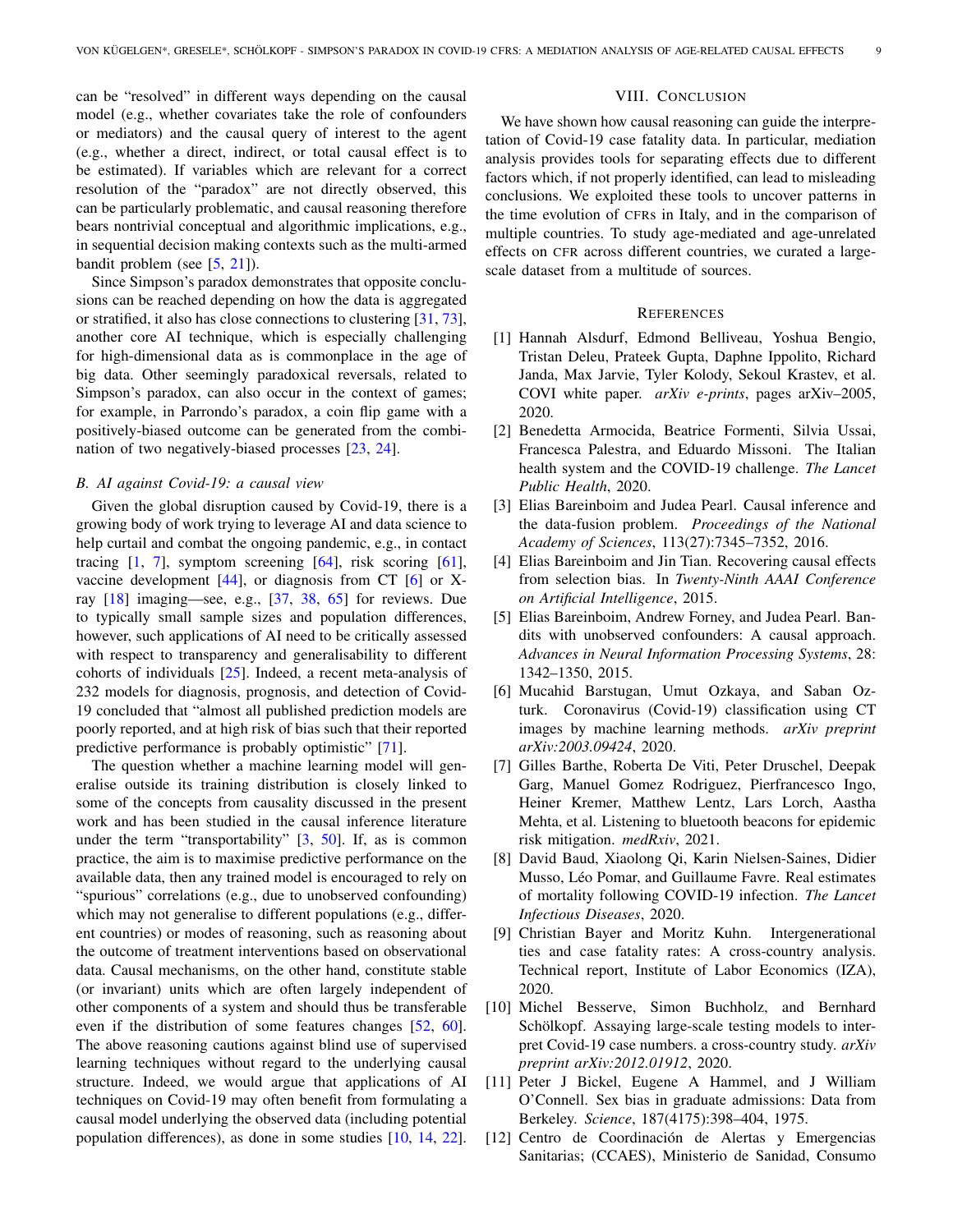can be "resolved" in different ways depending on the causal model (e.g., whether covariates take the role of confounders or mediators) and the causal query of interest to the agent (e.g., whether a direct, indirect, or total causal effect is to be estimated). If variables which are relevant for a correct resolution of the "paradox" are not directly observed, this can be particularly problematic, and causal reasoning therefore bears nontrivial conceptual and algorithmic implications, e.g., in sequential decision making contexts such as the multi-armed bandit problem (see [\[5,](#page-8-4) [21\]](#page-9-9)).

Since Simpson's paradox demonstrates that opposite conclusions can be reached depending on how the data is aggregated or stratified, it also has close connections to clustering [\[31,](#page-9-10) [73\]](#page-11-5), another core AI technique, which is especially challenging for high-dimensional data as is commonplace in the age of big data. Other seemingly paradoxical reversals, related to Simpson's paradox, can also occur in the context of games; for example, in Parrondo's paradox, a coin flip game with a positively-biased outcome can be generated from the combination of two negatively-biased processes [\[23,](#page-9-11) [24\]](#page-9-12).

#### *B. AI against Covid-19: a causal view*

Given the global disruption caused by Covid-19, there is a growing body of work trying to leverage AI and data science to help curtail and combat the ongoing pandemic, e.g., in contact tracing  $[1, 7]$  $[1, 7]$  $[1, 7]$ , symptom screening  $[64]$ , risk scoring  $[61]$ , vaccine development  $[44]$ , or diagnosis from CT  $[6]$  or Xray [\[18\]](#page-9-13) imaging—see, e.g., [\[37,](#page-9-14) [38,](#page-9-15) [65\]](#page-10-21) for reviews. Due to typically small sample sizes and population differences, however, such applications of AI need to be critically assessed with respect to transparency and generalisability to different cohorts of individuals [\[25\]](#page-9-16). Indeed, a recent meta-analysis of 232 models for diagnosis, prognosis, and detection of Covid-19 concluded that "almost all published prediction models are poorly reported, and at high risk of bias such that their reported predictive performance is probably optimistic" [\[71\]](#page-11-6).

The question whether a machine learning model will generalise outside its training distribution is closely linked to some of the concepts from causality discussed in the present work and has been studied in the causal inference literature under the term "transportability"  $[3, 50]$  $[3, 50]$  $[3, 50]$ . If, as is common practice, the aim is to maximise predictive performance on the available data, then any trained model is encouraged to rely on "spurious" correlations (e.g., due to unobserved confounding) which may not generalise to different populations (e.g., different countries) or modes of reasoning, such as reasoning about the outcome of treatment interventions based on observational data. Causal mechanisms, on the other hand, constitute stable (or invariant) units which are often largely independent of other components of a system and should thus be transferable even if the distribution of some features changes [\[52,](#page-10-10) [60\]](#page-10-23). The above reasoning cautions against blind use of supervised learning techniques without regard to the underlying causal structure. Indeed, we would argue that applications of AI techniques on Covid-19 may often benefit from formulating a causal model underlying the observed data (including potential population differences), as done in some studies [\[10,](#page-8-9) [14,](#page-9-17) [22\]](#page-9-18).

## VIII. CONCLUSION

We have shown how causal reasoning can guide the interpretation of Covid-19 case fatality data. In particular, mediation analysis provides tools for separating effects due to different factors which, if not properly identified, can lead to misleading conclusions. We exploited these tools to uncover patterns in the time evolution of CFRs in Italy, and in the comparison of multiple countries. To study age-mediated and age-unrelated effects on CFR across different countries, we curated a largescale dataset from a multitude of sources.

## **REFERENCES**

- <span id="page-8-5"></span>[1] Hannah Alsdurf, Edmond Belliveau, Yoshua Bengio, Tristan Deleu, Prateek Gupta, Daphne Ippolito, Richard Janda, Max Jarvie, Tyler Kolody, Sekoul Krastev, et al. COVI white paper. *arXiv e-prints*, pages arXiv–2005, 2020.
- <span id="page-8-0"></span>[2] Benedetta Armocida, Beatrice Formenti, Silvia Ussai, Francesca Palestra, and Eduardo Missoni. The Italian health system and the COVID-19 challenge. *The Lancet Public Health*, 2020.
- <span id="page-8-8"></span>[3] Elias Bareinboim and Judea Pearl. Causal inference and the data-fusion problem. *Proceedings of the National Academy of Sciences*, 113(27):7345–7352, 2016.
- <span id="page-8-2"></span>[4] Elias Bareinboim and Jin Tian. Recovering causal effects from selection bias. In *Twenty-Ninth AAAI Conference on Artificial Intelligence*, 2015.
- <span id="page-8-4"></span>[5] Elias Bareinboim, Andrew Forney, and Judea Pearl. Bandits with unobserved confounders: A causal approach. *Advances in Neural Information Processing Systems*, 28: 1342–1350, 2015.
- <span id="page-8-7"></span>[6] Mucahid Barstugan, Umut Ozkaya, and Saban Ozturk. Coronavirus (Covid-19) classification using CT images by machine learning methods. *arXiv preprint arXiv:2003.09424*, 2020.
- <span id="page-8-6"></span>[7] Gilles Barthe, Roberta De Viti, Peter Druschel, Deepak Garg, Manuel Gomez Rodriguez, Pierfrancesco Ingo, Heiner Kremer, Matthew Lentz, Lars Lorch, Aastha Mehta, et al. Listening to bluetooth beacons for epidemic risk mitigation. *medRxiv*, 2021.
- <span id="page-8-3"></span>[8] David Baud, Xiaolong Qi, Karin Nielsen-Saines, Didier Musso, Léo Pomar, and Guillaume Favre. Real estimates of mortality following COVID-19 infection. *The Lancet Infectious Diseases*, 2020.
- <span id="page-8-10"></span>[9] Christian Bayer and Moritz Kuhn. Intergenerational ties and case fatality rates: A cross-country analysis. Technical report, Institute of Labor Economics (IZA), 2020.
- <span id="page-8-9"></span>[10] Michel Besserve, Simon Buchholz, and Bernhard Schölkopf. Assaying large-scale testing models to interpret Covid-19 case numbers. a cross-country study. *arXiv preprint arXiv:2012.01912*, 2020.
- <span id="page-8-1"></span>[11] Peter J Bickel, Eugene A Hammel, and J William O'Connell. Sex bias in graduate admissions: Data from Berkeley. *Science*, 187(4175):398–404, 1975.
- <span id="page-8-11"></span>[12] Centro de Coordinación de Alertas y Emergencias Sanitarias; (CCAES), Ministerio de Sanidad, Consumo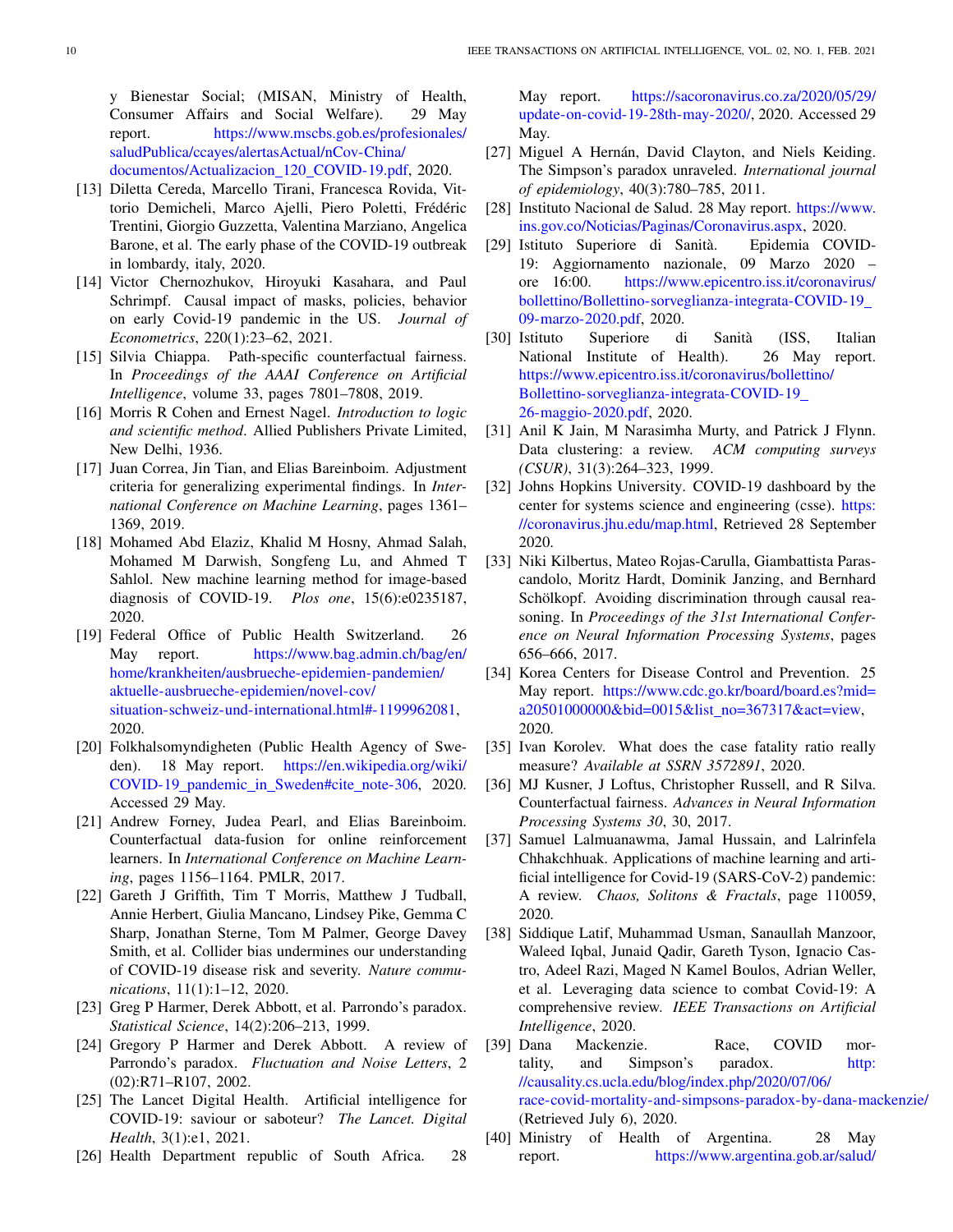y Bienestar Social; (MISAN, Ministry of Health, Consumer Affairs and Social Welfare). 29 May report. [https://www.mscbs.gob.es/profesionales/](https://www.mscbs.gob.es/profesionales/saludPublica/ccayes/alertasActual/nCov-China/documentos/Actualizacion_120_COVID-19.pdf) [saludPublica/ccayes/alertasActual/nCov-China/](https://www.mscbs.gob.es/profesionales/saludPublica/ccayes/alertasActual/nCov-China/documentos/Actualizacion_120_COVID-19.pdf) [documentos/Actualizacion](https://www.mscbs.gob.es/profesionales/saludPublica/ccayes/alertasActual/nCov-China/documentos/Actualizacion_120_COVID-19.pdf) 120 COVID-19.pdf, 2020.

- <span id="page-9-20"></span>[13] Diletta Cereda, Marcello Tirani, Francesca Rovida, Vittorio Demicheli, Marco Ajelli, Piero Poletti, Frédéric Trentini, Giorgio Guzzetta, Valentina Marziano, Angelica Barone, et al. The early phase of the COVID-19 outbreak in lombardy, italy, 2020.
- <span id="page-9-17"></span>[14] Victor Chernozhukov, Hiroyuki Kasahara, and Paul Schrimpf. Causal impact of masks, policies, behavior on early Covid-19 pandemic in the US. *Journal of Econometrics*, 220(1):23–62, 2021.
- <span id="page-9-5"></span>[15] Silvia Chiappa. Path-specific counterfactual fairness. In *Proceedings of the AAAI Conference on Artificial Intelligence*, volume 33, pages 7801–7808, 2019.
- <span id="page-9-2"></span>[16] Morris R Cohen and Ernest Nagel. *Introduction to logic and scientific method*. Allied Publishers Private Limited, New Delhi, 1936.
- <span id="page-9-8"></span>[17] Juan Correa, Jin Tian, and Elias Bareinboim. Adjustment criteria for generalizing experimental findings. In *International Conference on Machine Learning*, pages 1361– 1369, 2019.
- <span id="page-9-13"></span>[18] Mohamed Abd Elaziz, Khalid M Hosny, Ahmad Salah, Mohamed M Darwish, Songfeng Lu, and Ahmed T Sahlol. New machine learning method for image-based diagnosis of COVID-19. *Plos one*, 15(6):e0235187, 2020.
- <span id="page-9-27"></span>[19] Federal Office of Public Health Switzerland. 26 May report. [https://www.bag.admin.ch/bag/en/](https://www.bag.admin.ch/bag/en/home/krankheiten/ausbrueche-epidemien-pandemien/aktuelle-ausbrueche-epidemien/novel-cov/situation-schweiz-und-international.html#-1199962081) [home/krankheiten/ausbrueche-epidemien-pandemien/](https://www.bag.admin.ch/bag/en/home/krankheiten/ausbrueche-epidemien-pandemien/aktuelle-ausbrueche-epidemien/novel-cov/situation-schweiz-und-international.html#-1199962081) [aktuelle-ausbrueche-epidemien/novel-cov/](https://www.bag.admin.ch/bag/en/home/krankheiten/ausbrueche-epidemien-pandemien/aktuelle-ausbrueche-epidemien/novel-cov/situation-schweiz-und-international.html#-1199962081) [situation-schweiz-und-international.html#-1199962081,](https://www.bag.admin.ch/bag/en/home/krankheiten/ausbrueche-epidemien-pandemien/aktuelle-ausbrueche-epidemien/novel-cov/situation-schweiz-und-international.html#-1199962081) 2020.
- <span id="page-9-26"></span>[20] Folkhalsomyndigheten (Public Health Agency of Sweden). 18 May report. [https://en.wikipedia.org/wiki/](https://en.wikipedia.org/wiki/COVID-19_pandemic_in_Sweden#cite_note-306) COVID-19 pandemic in [Sweden#cite](https://en.wikipedia.org/wiki/COVID-19_pandemic_in_Sweden#cite_note-306) note-306, 2020. Accessed 29 May.
- <span id="page-9-9"></span>[21] Andrew Forney, Judea Pearl, and Elias Bareinboim. Counterfactual data-fusion for online reinforcement learners. In *International Conference on Machine Learning*, pages 1156–1164. PMLR, 2017.
- <span id="page-9-18"></span>[22] Gareth J Griffith, Tim T Morris, Matthew J Tudball, Annie Herbert, Giulia Mancano, Lindsey Pike, Gemma C Sharp, Jonathan Sterne, Tom M Palmer, George Davey Smith, et al. Collider bias undermines our understanding of COVID-19 disease risk and severity. *Nature communications*, 11(1):1–12, 2020.
- <span id="page-9-11"></span>[23] Greg P Harmer, Derek Abbott, et al. Parrondo's paradox. *Statistical Science*, 14(2):206–213, 1999.
- <span id="page-9-12"></span>[24] Gregory P Harmer and Derek Abbott. A review of Parrondo's paradox. *Fluctuation and Noise Letters*, 2 (02):R71–R107, 2002.
- <span id="page-9-16"></span>[25] The Lancet Digital Health. Artificial intelligence for COVID-19: saviour or saboteur? *The Lancet. Digital Health*, 3(1):e1, 2021.
- <span id="page-9-24"></span>[26] Health Department republic of South Africa. 28

May report. [https://sacoronavirus.co.za/2020/05/29/](https://sacoronavirus.co.za/2020/05/29/update-on-covid-19-28th-may-2020/) [update-on-covid-19-28th-may-2020/,](https://sacoronavirus.co.za/2020/05/29/update-on-covid-19-28th-may-2020/) 2020. Accessed 29 May.

- <span id="page-9-3"></span>[27] Miguel A Hernán, David Clayton, and Niels Keiding. The Simpson's paradox unraveled. *International journal of epidemiology*, 40(3):780–785, 2011.
- <span id="page-9-22"></span>[28] Instituto Nacional de Salud. 28 May report. [https://www.](https://www.ins.gov.co/Noticias/Paginas/Coronavirus.aspx) [ins.gov.co/Noticias/Paginas/Coronavirus.aspx,](https://www.ins.gov.co/Noticias/Paginas/Coronavirus.aspx) 2020.
- <span id="page-9-1"></span>[29] Istituto Superiore di Sanità. Epidemia COVID-19: Aggiornamento nazionale, 09 Marzo 2020 – ore 16:00. [https://www.epicentro.iss.it/coronavirus/](https://www.epicentro.iss.it/coronavirus/bollettino/Bollettino-sorveglianza-integrata-COVID-19_09-marzo-2020.pdf) [bollettino/Bollettino-sorveglianza-integrata-COVID-19](https://www.epicentro.iss.it/coronavirus/bollettino/Bollettino-sorveglianza-integrata-COVID-19_09-marzo-2020.pdf) [09-marzo-2020.pdf,](https://www.epicentro.iss.it/coronavirus/bollettino/Bollettino-sorveglianza-integrata-COVID-19_09-marzo-2020.pdf) 2020.
- <span id="page-9-23"></span>[30] Istituto Superiore di Sanita (ISS, Italian ` National Institute of Health). 26 May report. [https://www.epicentro.iss.it/coronavirus/bollettino/](https://www.epicentro.iss.it/coronavirus/bollettino/Bollettino-sorveglianza-integrata-COVID-19_26-maggio-2020.pdf) [Bollettino-sorveglianza-integrata-COVID-19](https://www.epicentro.iss.it/coronavirus/bollettino/Bollettino-sorveglianza-integrata-COVID-19_26-maggio-2020.pdf) [26-maggio-2020.pdf,](https://www.epicentro.iss.it/coronavirus/bollettino/Bollettino-sorveglianza-integrata-COVID-19_26-maggio-2020.pdf) 2020.
- <span id="page-9-10"></span>[31] Anil K Jain, M Narasimha Murty, and Patrick J Flynn. Data clustering: a review. *ACM computing surveys (CSUR)*, 31(3):264–323, 1999.
- <span id="page-9-0"></span>[32] Johns Hopkins University. COVID-19 dashboard by the center for systems science and engineering (csse). [https:](https://coronavirus.jhu.edu/map.html) [//coronavirus.jhu.edu/map.html,](https://coronavirus.jhu.edu/map.html) Retrieved 28 September 2020.
- <span id="page-9-6"></span>[33] Niki Kilbertus, Mateo Rojas-Carulla, Giambattista Parascandolo, Moritz Hardt, Dominik Janzing, and Bernhard Schölkopf. Avoiding discrimination through causal reasoning. In *Proceedings of the 31st International Conference on Neural Information Processing Systems*, pages 656–666, 2017.
- <span id="page-9-25"></span>[34] Korea Centers for Disease Control and Prevention. 25 May report. [https://www.cdc.go.kr/board/board.es?mid=](https://www.cdc.go.kr/board/board.es?mid=a20501000000&bid=0015&list_no=367317&act=view) [a20501000000&bid=0015&list](https://www.cdc.go.kr/board/board.es?mid=a20501000000&bid=0015&list_no=367317&act=view)\_no=367317&act=view, 2020.
- <span id="page-9-19"></span>[35] Ivan Korolev. What does the case fatality ratio really measure? *Available at SSRN 3572891*, 2020.
- <span id="page-9-7"></span>[36] MJ Kusner, J Loftus, Christopher Russell, and R Silva. Counterfactual fairness. *Advances in Neural Information Processing Systems 30*, 30, 2017.
- <span id="page-9-14"></span>[37] Samuel Lalmuanawma, Jamal Hussain, and Lalrinfela Chhakchhuak. Applications of machine learning and artificial intelligence for Covid-19 (SARS-CoV-2) pandemic: A review. *Chaos, Solitons & Fractals*, page 110059, 2020.
- <span id="page-9-15"></span>[38] Siddique Latif, Muhammad Usman, Sanaullah Manzoor, Waleed Iqbal, Junaid Qadir, Gareth Tyson, Ignacio Castro, Adeel Razi, Maged N Kamel Boulos, Adrian Weller, et al. Leveraging data science to combat Covid-19: A comprehensive review. *IEEE Transactions on Artificial Intelligence*, 2020.
- <span id="page-9-4"></span>[39] Dana Mackenzie. Race, COVID mortality, and Simpson's paradox. [http:](http://causality.cs.ucla.edu/blog/index.php/2020/07/06/race-covid-mortality-and-simpsons-paradox-by-dana-mackenzie/) [//causality.cs.ucla.edu/blog/index.php/2020/07/06/](http://causality.cs.ucla.edu/blog/index.php/2020/07/06/race-covid-mortality-and-simpsons-paradox-by-dana-mackenzie/) [race-covid-mortality-and-simpsons-paradox-by-dana-mackenzie/](http://causality.cs.ucla.edu/blog/index.php/2020/07/06/race-covid-mortality-and-simpsons-paradox-by-dana-mackenzie/) (Retrieved July 6), 2020.
- <span id="page-9-21"></span>[40] Ministry of Health of Argentina. 28 May report. [https://www.argentina.gob.ar/salud/](https://www.argentina.gob.ar/salud/coronavirus-COVID-19/sala-situacion)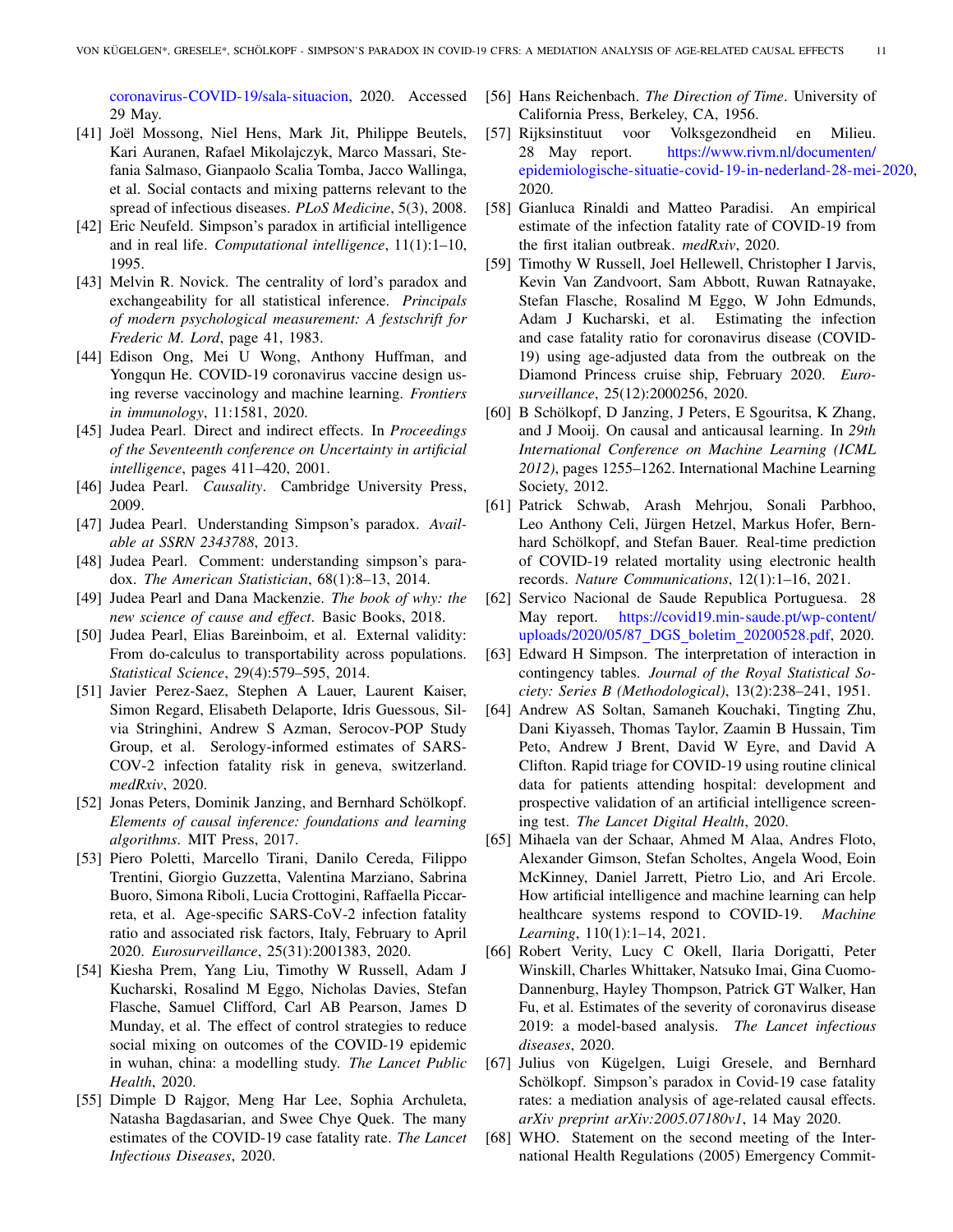[coronavirus-COVID-19/sala-situacion,](https://www.argentina.gob.ar/salud/coronavirus-COVID-19/sala-situacion) 2020. Accessed 29 May.

- <span id="page-10-2"></span>[41] Joël Mossong, Niel Hens, Mark Jit, Philippe Beutels, Kari Auranen, Rafael Mikolajczyk, Marco Massari, Stefania Salmaso, Gianpaolo Scalia Tomba, Jacco Wallinga, et al. Social contacts and mixing patterns relevant to the spread of infectious diseases. *PLoS Medicine*, 5(3), 2008.
- <span id="page-10-16"></span>[42] Eric Neufeld. Simpson's paradox in artificial intelligence and in real life. *Computational intelligence*, 11(1):1–10, 1995.
- <span id="page-10-17"></span>[43] Melvin R. Novick. The centrality of lord's paradox and exchangeability for all statistical inference. *Principals of modern psychological measurement: A festschrift for Frederic M. Lord*, page 41, 1983.
- <span id="page-10-20"></span>[44] Edison Ong, Mei U Wong, Anthony Huffman, and Yongqun He. COVID-19 coronavirus vaccine design using reverse vaccinology and machine learning. *Frontiers in immunology*, 11:1581, 2020.
- <span id="page-10-9"></span>[45] Judea Pearl. Direct and indirect effects. In *Proceedings of the Seventeenth conference on Uncertainty in artificial intelligence*, pages 411–420, 2001.
- <span id="page-10-7"></span>[46] Judea Pearl. *Causality*. Cambridge University Press, 2009.
- <span id="page-10-4"></span>[47] Judea Pearl. Understanding Simpson's paradox. *Available at SSRN 2343788*, 2013.
- <span id="page-10-5"></span>[48] Judea Pearl. Comment: understanding simpson's paradox. *The American Statistician*, 68(1):8–13, 2014.
- <span id="page-10-11"></span>[49] Judea Pearl and Dana Mackenzie. *The book of why: the new science of cause and effect*. Basic Books, 2018.
- <span id="page-10-22"></span>[50] Judea Pearl, Elias Bareinboim, et al. External validity: From do-calculus to transportability across populations. *Statistical Science*, 29(4):579–595, 2014.
- <span id="page-10-25"></span>[51] Javier Perez-Saez, Stephen A Lauer, Laurent Kaiser, Simon Regard, Elisabeth Delaporte, Idris Guessous, Silvia Stringhini, Andrew S Azman, Serocov-POP Study Group, et al. Serology-informed estimates of SARS-COV-2 infection fatality risk in geneva, switzerland. *medRxiv*, 2020.
- <span id="page-10-10"></span>[52] Jonas Peters, Dominik Janzing, and Bernhard Schölkopf. *Elements of causal inference: foundations and learning algorithms*. MIT Press, 2017.
- <span id="page-10-24"></span>[53] Piero Poletti, Marcello Tirani, Danilo Cereda, Filippo Trentini, Giorgio Guzzetta, Valentina Marziano, Sabrina Buoro, Simona Riboli, Lucia Crottogini, Raffaella Piccarreta, et al. Age-specific SARS-CoV-2 infection fatality ratio and associated risk factors, Italy, February to April 2020. *Eurosurveillance*, 25(31):2001383, 2020.
- <span id="page-10-3"></span>[54] Kiesha Prem, Yang Liu, Timothy W Russell, Adam J Kucharski, Rosalind M Eggo, Nicholas Davies, Stefan Flasche, Samuel Clifford, Carl AB Pearson, James D Munday, et al. The effect of control strategies to reduce social mixing on outcomes of the COVID-19 epidemic in wuhan, china: a modelling study. *The Lancet Public Health*, 2020.
- <span id="page-10-13"></span>[55] Dimple D Rajgor, Meng Har Lee, Sophia Archuleta, Natasha Bagdasarian, and Swee Chye Quek. The many estimates of the COVID-19 case fatality rate. *The Lancet Infectious Diseases*, 2020.
- <span id="page-10-6"></span>[56] Hans Reichenbach. *The Direction of Time*. University of California Press, Berkeley, CA, 1956.
- <span id="page-10-26"></span>[57] Rijksinstituut voor Volksgezondheid en Milieu. 28 May report. [https://www.rivm.nl/documenten/](https://www.rivm.nl/documenten/epidemiologische-situatie-covid-19-in-nederland-28-mei-2020) [epidemiologische-situatie-covid-19-in-nederland-28-mei-2020,](https://www.rivm.nl/documenten/epidemiologische-situatie-covid-19-in-nederland-28-mei-2020) 2020.
- <span id="page-10-14"></span>[58] Gianluca Rinaldi and Matteo Paradisi. An empirical estimate of the infection fatality rate of COVID-19 from the first italian outbreak. *medRxiv*, 2020.
- <span id="page-10-12"></span>[59] Timothy W Russell, Joel Hellewell, Christopher I Jarvis, Kevin Van Zandvoort, Sam Abbott, Ruwan Ratnayake, Stefan Flasche, Rosalind M Eggo, W John Edmunds, Adam J Kucharski, et al. Estimating the infection and case fatality ratio for coronavirus disease (COVID-19) using age-adjusted data from the outbreak on the Diamond Princess cruise ship, February 2020. *Eurosurveillance*, 25(12):2000256, 2020.
- <span id="page-10-23"></span>[60] B Schölkopf, D Janzing, J Peters, E Sgouritsa, K Zhang, and J Mooij. On causal and anticausal learning. In *29th International Conference on Machine Learning (ICML 2012)*, pages 1255–1262. International Machine Learning Society, 2012.
- <span id="page-10-19"></span>[61] Patrick Schwab, Arash Mehrjou, Sonali Parbhoo, Leo Anthony Celi, Jürgen Hetzel, Markus Hofer, Bernhard Schölkopf, and Stefan Bauer. Real-time prediction of COVID-19 related mortality using electronic health records. *Nature Communications*, 12(1):1–16, 2021.
- <span id="page-10-27"></span>[62] Servico Nacional de Saude Republica Portuguesa. 28 May report. [https://covid19.min-saude.pt/wp-content/](https://covid19.min-saude.pt/wp-content/uploads/2020/05/87_DGS_boletim_20200528.pdf) [uploads/2020/05/87](https://covid19.min-saude.pt/wp-content/uploads/2020/05/87_DGS_boletim_20200528.pdf) DGS boletim 20200528.pdf, 2020.
- <span id="page-10-1"></span>[63] Edward H Simpson. The interpretation of interaction in contingency tables. *Journal of the Royal Statistical Society: Series B (Methodological)*, 13(2):238–241, 1951.
- <span id="page-10-18"></span>[64] Andrew AS Soltan, Samaneh Kouchaki, Tingting Zhu, Dani Kiyasseh, Thomas Taylor, Zaamin B Hussain, Tim Peto, Andrew J Brent, David W Eyre, and David A Clifton. Rapid triage for COVID-19 using routine clinical data for patients attending hospital: development and prospective validation of an artificial intelligence screening test. *The Lancet Digital Health*, 2020.
- <span id="page-10-21"></span>[65] Mihaela van der Schaar, Ahmed M Alaa, Andres Floto, Alexander Gimson, Stefan Scholtes, Angela Wood, Eoin McKinney, Daniel Jarrett, Pietro Lio, and Ari Ercole. How artificial intelligence and machine learning can help healthcare systems respond to COVID-19. *Machine Learning*, 110(1):1–14, 2021.
- <span id="page-10-15"></span>[66] Robert Verity, Lucy C Okell, Ilaria Dorigatti, Peter Winskill, Charles Whittaker, Natsuko Imai, Gina Cuomo-Dannenburg, Hayley Thompson, Patrick GT Walker, Han Fu, et al. Estimates of the severity of coronavirus disease 2019: a model-based analysis. *The Lancet infectious diseases*, 2020.
- <span id="page-10-8"></span>[67] Julius von Kügelgen, Luigi Gresele, and Bernhard Schölkopf. Simpson's paradox in Covid-19 case fatality rates: a mediation analysis of age-related causal effects. *arXiv preprint arXiv:2005.07180v1*, 14 May 2020.
- <span id="page-10-0"></span>[68] WHO. Statement on the second meeting of the International Health Regulations (2005) Emergency Commit-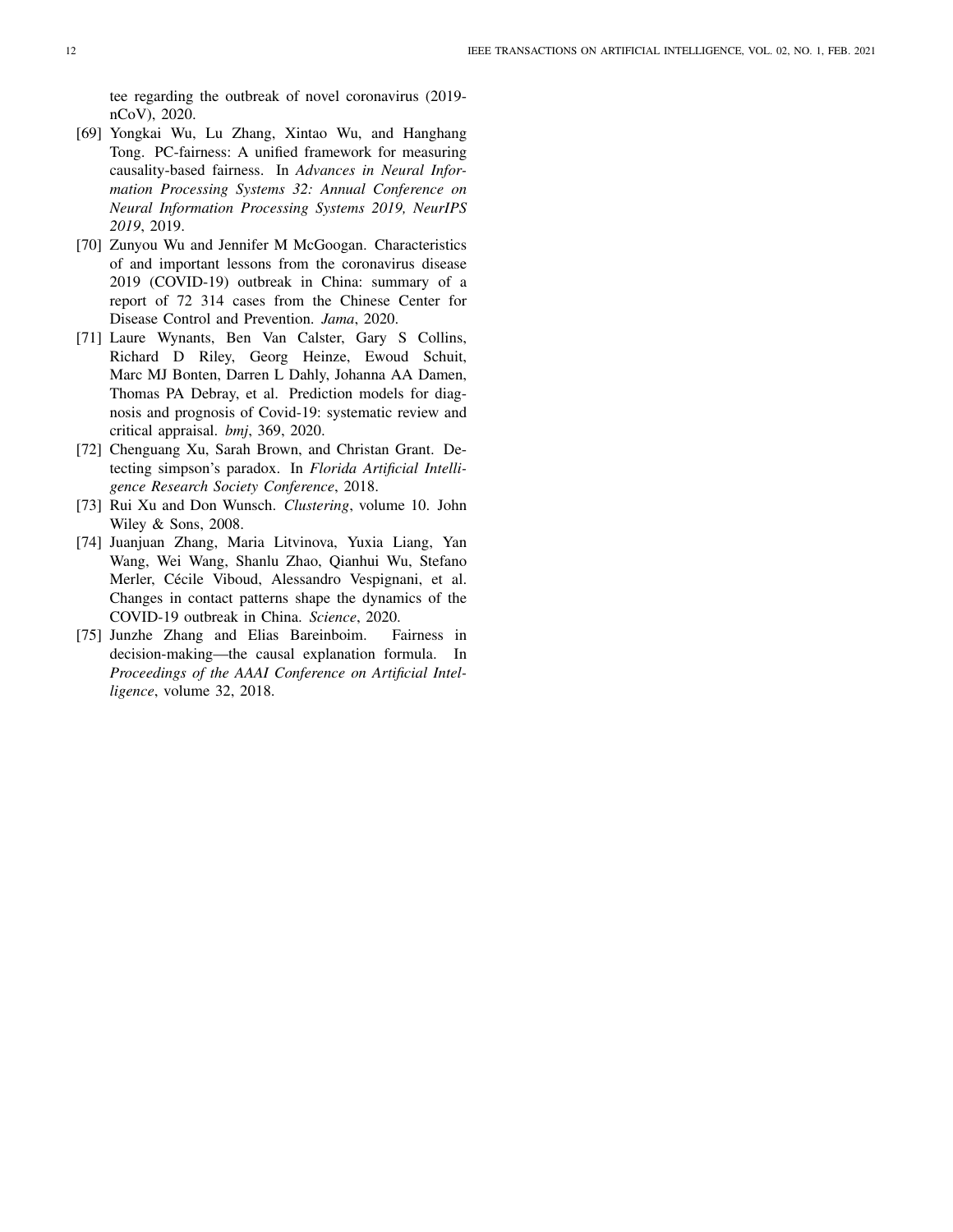tee regarding the outbreak of novel coronavirus (2019 nCoV), 2020.

- <span id="page-11-2"></span>[69] Yongkai Wu, Lu Zhang, Xintao Wu, and Hanghang Tong. PC-fairness: A unified framework for measuring causality-based fairness. In *Advances in Neural Information Processing Systems 32: Annual Conference on Neural Information Processing Systems 2019, NeurIPS 2019*, 2019.
- <span id="page-11-0"></span>[70] Zunyou Wu and Jennifer M McGoogan. Characteristics of and important lessons from the coronavirus disease 2019 (COVID-19) outbreak in China: summary of a report of 72 314 cases from the Chinese Center for Disease Control and Prevention. *Jama*, 2020.
- <span id="page-11-6"></span>[71] Laure Wynants, Ben Van Calster, Gary S Collins, Richard D Riley, Georg Heinze, Ewoud Schuit, Marc MJ Bonten, Darren L Dahly, Johanna AA Damen, Thomas PA Debray, et al. Prediction models for diagnosis and prognosis of Covid-19: systematic review and critical appraisal. *bmj*, 369, 2020.
- <span id="page-11-4"></span>[72] Chenguang Xu, Sarah Brown, and Christan Grant. Detecting simpson's paradox. In *Florida Artificial Intelligence Research Society Conference*, 2018.
- <span id="page-11-5"></span>[73] Rui Xu and Don Wunsch. *Clustering*, volume 10. John Wiley & Sons, 2008.
- <span id="page-11-1"></span>[74] Juanjuan Zhang, Maria Litvinova, Yuxia Liang, Yan Wang, Wei Wang, Shanlu Zhao, Qianhui Wu, Stefano Merler, Cécile Viboud, Alessandro Vespignani, et al. Changes in contact patterns shape the dynamics of the COVID-19 outbreak in China. *Science*, 2020.
- <span id="page-11-3"></span>[75] Junzhe Zhang and Elias Bareinboim. Fairness in decision-making—the causal explanation formula. In *Proceedings of the AAAI Conference on Artificial Intelligence*, volume 32, 2018.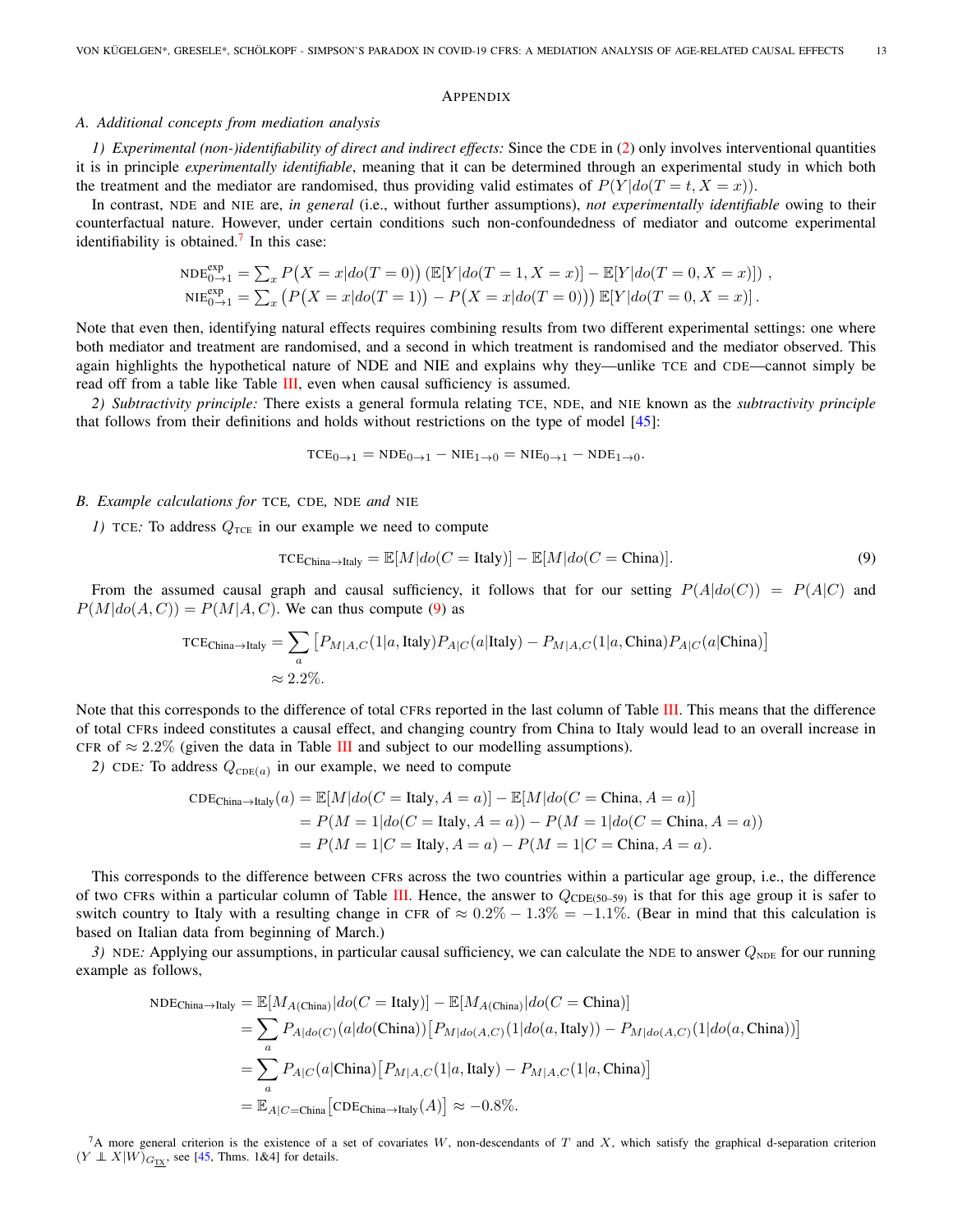#### APPENDIX

## <span id="page-12-0"></span>*A. Additional concepts from mediation analysis*

*1) Experimental (non-)identifiability of direct and indirect effects:* Since the CDE in [\(2\)](#page-3-4) only involves interventional quantities it is in principle *experimentally identifiable*, meaning that it can be determined through an experimental study in which both the treatment and the mediator are randomised, thus providing valid estimates of  $P(Y|do(T = t, X = x))$ .

In contrast, NDE and NIE are, *in general* (i.e., without further assumptions), *not experimentally identifiable* owing to their counterfactual nature. However, under certain conditions such non-confoundedness of mediator and outcome experimental identifiability is obtained.<sup>[7](#page-12-2)</sup> In this case:

$$
NDE_{0\to 1}^{\text{exp}} = \sum_{x} P(X = x | do(T = 0)) \left( \mathbb{E}[Y | do(T = 1, X = x)] - \mathbb{E}[Y | do(T = 0, X = x)] \right),
$$
  
\n
$$
NIE_{0\to 1}^{\text{exp}} = \sum_{x} \left( P(X = x | do(T = 1)) - P(X = x | do(T = 0)) \right) \mathbb{E}[Y | do(T = 0, X = x)] .
$$

Note that even then, identifying natural effects requires combining results from two different experimental settings: one where both mediator and treatment are randomised, and a second in which treatment is randomised and the mediator observed. This again highlights the hypothetical nature of NDE and NIE and explains why they—unlike TCE and CDE—cannot simply be read off from a table like Table [III,](#page-16-1) even when causal sufficiency is assumed.

*2) Subtractivity principle:* There exists a general formula relating TCE, NDE, and NIE known as the *subtractivity principle* that follows from their definitions and holds without restrictions on the type of model [\[45\]](#page-10-9):

 $TCE_{0\to 1} = NDE_{0\to 1} - NIE_{1\to 0} = NIE_{0\to 1} - NDE_{1\to 0}.$ 

#### <span id="page-12-1"></span>*B. Example calculations for* TCE*,* CDE*,* NDE *and* NIE

*1)* TCE: To address  $Q_{\text{TCE}}$  in our example we need to compute

<span id="page-12-3"></span>
$$
TCE_{\text{China}\to\text{Italy}} = \mathbb{E}[M|do(C = \text{Italy})] - \mathbb{E}[M|do(C = \text{China})]. \tag{9}
$$

From the assumed causal graph and causal sufficiency, it follows that for our setting  $P(A|do(C)) = P(A|C)$  and  $P(M|do(A, C)) = P(M|A, C)$ . We can thus compute [\(9\)](#page-12-3) as

$$
\text{TCE}_{\text{China}\to\text{Italy}} = \sum_{a} \left[ P_{M|A,C}(1|a,\text{Italy}) P_{A|C}(a|\text{Italy}) - P_{M|A,C}(1|a,\text{China}) P_{A|C}(a|\text{China}) \right]
$$

$$
\approx 2.2\%.
$$

Note that this corresponds to the difference of total CFRs reported in the last column of Table [III.](#page-16-1) This means that the difference of total CFRs indeed constitutes a causal effect, and changing country from China to Italy would lead to an overall increase in CFR of  $\approx 2.2\%$  (given the data in Table [III](#page-16-1) and subject to our modelling assumptions).

2) CDE: To address  $Q_{CDE(a)}$  in our example, we need to compute

$$
\begin{aligned} \text{CDE}_{\text{China}\to\text{Italy}}(a) &= \mathbb{E}[M|do(C = \text{Italy}, A = a)] - \mathbb{E}[M|do(C = \text{China}, A = a)] \\ &= P(M = 1|do(C = \text{Italy}, A = a)) - P(M = 1|do(C = \text{China}, A = a)) \\ &= P(M = 1|C = \text{Italy}, A = a) - P(M = 1|C = \text{China}, A = a). \end{aligned}
$$

This corresponds to the difference between CFRs across the two countries within a particular age group, i.e., the difference of two CFRs within a particular column of Table [III.](#page-16-1) Hence, the answer to  $Q_{\text{CDE}(50-59)}$  is that for this age group it is safer to switch country to Italy with a resulting change in CFR of  $\approx 0.2\% - 1.3\% = -1.1\%$ . (Bear in mind that this calculation is based on Italian data from beginning of March.)

*3*) NDE: Applying our assumptions, in particular causal sufficiency, we can calculate the NDE to answer  $Q_{\text{NDE}}$  for our running example as follows,

$$
NDE_{\text{China}\to\text{Italy}} = \mathbb{E}[M_{A(\text{China})}|do(C = \text{Italy})] - \mathbb{E}[M_{A(\text{China})}|do(C = \text{China})]
$$
  
\n
$$
= \sum_{a} P_{A|do(C)}(a|do(\text{China})) [P_{M|do(A,C)}(1|do(a,\text{Italy})) - P_{M|do(A,C)}(1|do(a,\text{China}))]
$$
  
\n
$$
= \sum_{a} P_{A|C}(a|\text{China}) [P_{M|A,C}(1|a,\text{Italy}) - P_{M|A,C}(1|a,\text{China})]
$$
  
\n
$$
= \mathbb{E}_{A|C=\text{China}} [\text{CDE}_{\text{China}\to\text{Italy}}(A)] \approx -0.8\%.
$$

<span id="page-12-2"></span> ${}^{7}A$  more general criterion is the existence of a set of covariates W, non-descendants of T and X, which satisfy the graphical d-separation criterion  $(Y \perp X|W)_{G_{TX}}$ , see [\[45,](#page-10-9) Thms. 1&4] for details.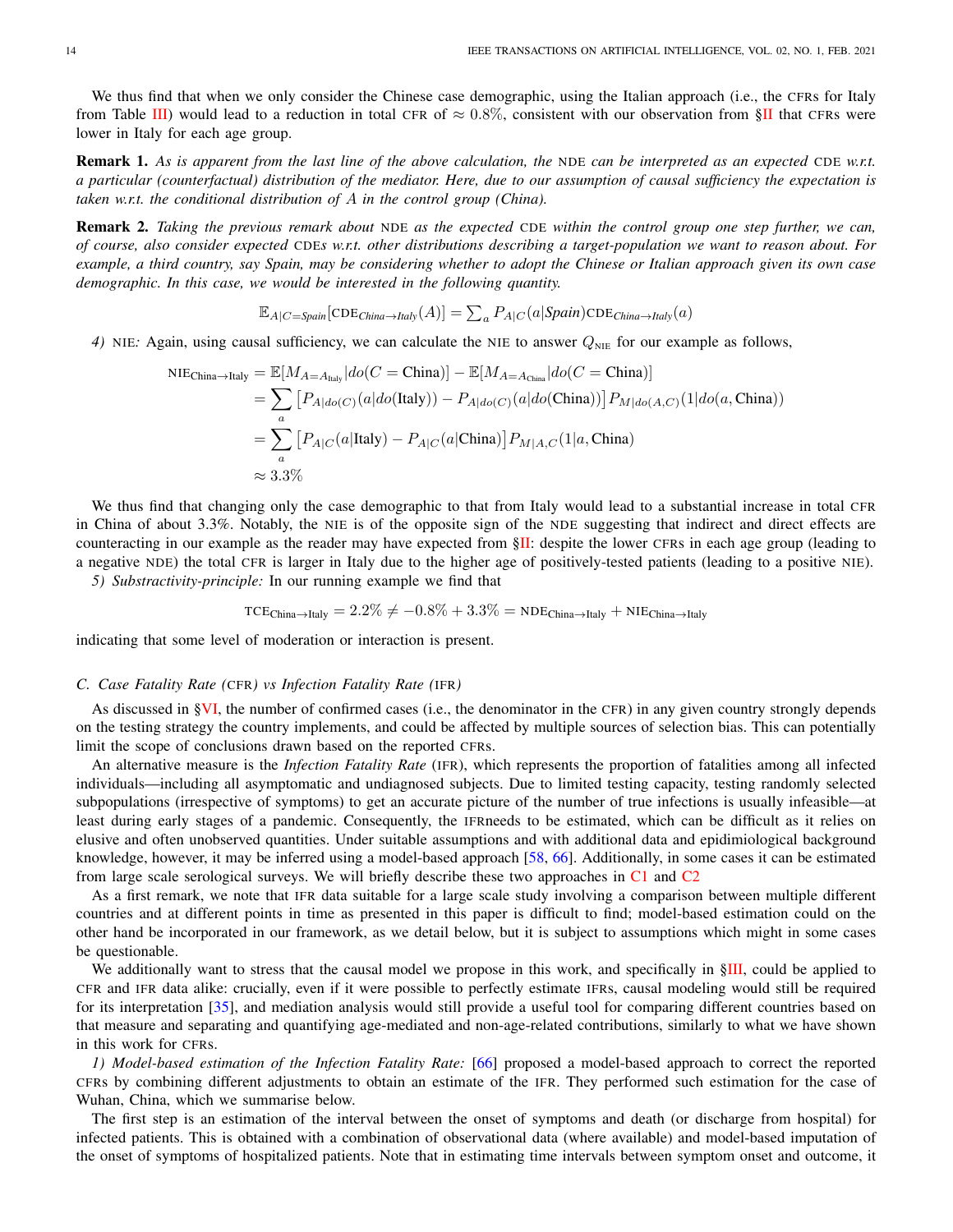We thus find that when we only consider the Chinese case demographic, using the Italian approach (i.e., the CFRs for Italy from Table [III\)](#page-16-1) would lead to a reduction in total CFR of  $\approx 0.8\%$ , consistent with our observation from [§II](#page-1-0) that CFRs were lower in Italy for each age group.

Remark 1. *As is apparent from the last line of the above calculation, the* NDE *can be interpreted as an expected* CDE *w.r.t. a particular (counterfactual) distribution of the mediator. Here, due to our assumption of causal sufficiency the expectation is taken w.r.t. the conditional distribution of* A *in the control group (China).*

Remark 2. *Taking the previous remark about* NDE *as the expected* CDE *within the control group one step further, we can, of course, also consider expected* CDE*s w.r.t. other distributions describing a target-population we want to reason about. For example, a third country, say Spain, may be considering whether to adopt the Chinese or Italian approach given its own case demographic. In this case, we would be interested in the following quantity.*

$$
\mathbb{E}_{A|C=Span}[\text{CDE}_{China \to Italy}(A)] = \sum_{a} P_{A|C}(a|{\text{Spin}}) \text{CDE}_{China \to Italy}(a)
$$

*4)* NIE: Again, using causal sufficiency, we can calculate the NIE to answer  $Q_{\text{NIE}}$  for our example as follows,

$$
\begin{split} \text{NIE}_{\text{China}\to\text{Italy}} &= \mathbb{E}[M_{A=A_{\text{Italy}}}|do(C=\text{China})] - \mathbb{E}[M_{A=A_{\text{China}}}|do(C=\text{China})] \\ &= \sum_{a} \left[ P_{A|do(C)}(a|do(\text{Italy})) - P_{A|do(C)}(a|do(\text{China})) \right] P_{M|do(A,C)}(1|do(a,\text{China})) \\ &= \sum_{a} \left[ P_{A|C}(a|\text{Italy}) - P_{A|C}(a|\text{China}) \right] P_{M|A,C}(1|a,\text{China}) \\ &\approx 3.3\% \end{split}
$$

We thus find that changing only the case demographic to that from Italy would lead to a substantial increase in total CFR in China of about 3.3%. Notably, the NIE is of the opposite sign of the NDE suggesting that indirect and direct effects are counteracting in our example as the reader may have expected from [§II:](#page-1-0) despite the lower CFRs in each age group (leading to a negative NDE) the total CFR is larger in Italy due to the higher age of positively-tested patients (leading to a positive NIE).

*5) Substractivity-principle:* In our running example we find that

$$
\text{TCE}_{\text{China} \rightarrow \text{Italy}} = 2.2\% \neq -0.8\% + 3.3\% = \text{NDE}_{\text{China} \rightarrow \text{Italy}} + \text{NIE}_{\text{China} \rightarrow \text{Italy}}
$$

indicating that some level of moderation or interaction is present.

#### <span id="page-13-0"></span>*C. Case Fatality Rate (*CFR*) vs Infection Fatality Rate (*IFR*)*

As discussed in [§VI,](#page-6-0) the number of confirmed cases (i.e., the denominator in the CFR) in any given country strongly depends on the testing strategy the country implements, and could be affected by multiple sources of selection bias. This can potentially limit the scope of conclusions drawn based on the reported CFRs.

An alternative measure is the *Infection Fatality Rate* (IFR), which represents the proportion of fatalities among all infected individuals—including all asymptomatic and undiagnosed subjects. Due to limited testing capacity, testing randomly selected subpopulations (irrespective of symptoms) to get an accurate picture of the number of true infections is usually infeasible—at least during early stages of a pandemic. Consequently, the IFRneeds to be estimated, which can be difficult as it relies on elusive and often unobserved quantities. Under suitable assumptions and with additional data and epidimiological background knowledge, however, it may be inferred using a model-based approach [\[58,](#page-10-14) [66\]](#page-10-15). Additionally, in some cases it can be estimated from large scale serological surveys. We will briefly describe these two approaches in [C1](#page-13-1) and [C2](#page-14-0)

As a first remark, we note that IFR data suitable for a large scale study involving a comparison between multiple different countries and at different points in time as presented in this paper is difficult to find; model-based estimation could on the other hand be incorporated in our framework, as we detail below, but it is subject to assumptions which might in some cases be questionable.

We additionally want to stress that the causal model we propose in this work, and specifically in [§III,](#page-1-1) could be applied to CFR and IFR data alike: crucially, even if it were possible to perfectly estimate IFRs, causal modeling would still be required for its interpretation [\[35\]](#page-9-19), and mediation analysis would still provide a useful tool for comparing different countries based on that measure and separating and quantifying age-mediated and non-age-related contributions, similarly to what we have shown in this work for CFRs.

<span id="page-13-1"></span>*1) Model-based estimation of the Infection Fatality Rate:* [\[66\]](#page-10-15) proposed a model-based approach to correct the reported CFRs by combining different adjustments to obtain an estimate of the IFR. They performed such estimation for the case of Wuhan, China, which we summarise below.

The first step is an estimation of the interval between the onset of symptoms and death (or discharge from hospital) for infected patients. This is obtained with a combination of observational data (where available) and model-based imputation of the onset of symptoms of hospitalized patients. Note that in estimating time intervals between symptom onset and outcome, it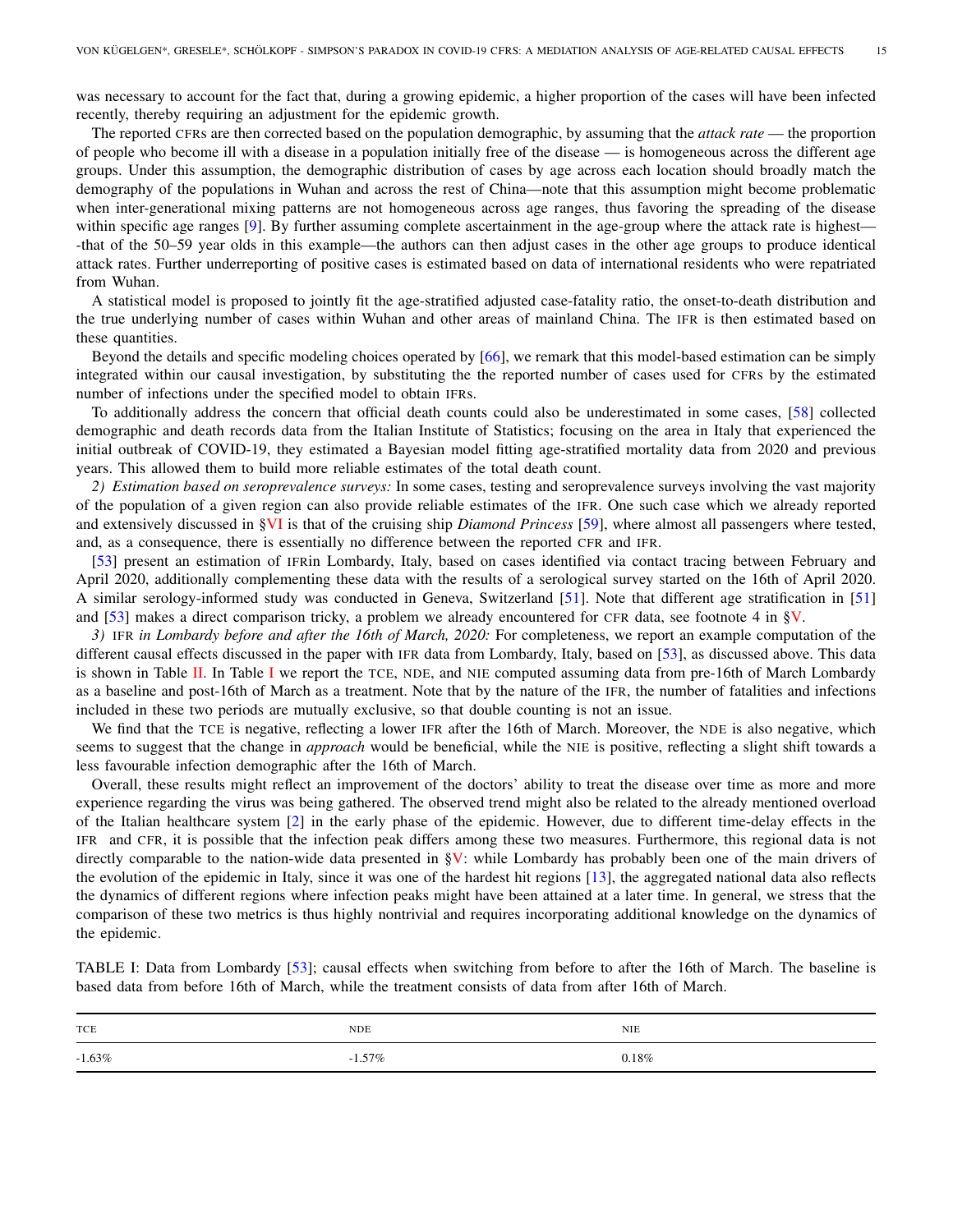was necessary to account for the fact that, during a growing epidemic, a higher proportion of the cases will have been infected recently, thereby requiring an adjustment for the epidemic growth.

The reported CFRs are then corrected based on the population demographic, by assuming that the *attack rate* — the proportion of people who become ill with a disease in a population initially free of the disease — is homogeneous across the different age groups. Under this assumption, the demographic distribution of cases by age across each location should broadly match the demography of the populations in Wuhan and across the rest of China—note that this assumption might become problematic when inter-generational mixing patterns are not homogeneous across age ranges, thus favoring the spreading of the disease within specific age ranges [\[9\]](#page-8-10). By further assuming complete ascertainment in the age-group where the attack rate is highest— -that of the 50–59 year olds in this example—the authors can then adjust cases in the other age groups to produce identical attack rates. Further underreporting of positive cases is estimated based on data of international residents who were repatriated from Wuhan.

A statistical model is proposed to jointly fit the age-stratified adjusted case-fatality ratio, the onset-to-death distribution and the true underlying number of cases within Wuhan and other areas of mainland China. The IFR is then estimated based on these quantities.

Beyond the details and specific modeling choices operated by [\[66\]](#page-10-15), we remark that this model-based estimation can be simply integrated within our causal investigation, by substituting the the reported number of cases used for CFRs by the estimated number of infections under the specified model to obtain IFRs.

To additionally address the concern that official death counts could also be underestimated in some cases, [\[58\]](#page-10-14) collected demographic and death records data from the Italian Institute of Statistics; focusing on the area in Italy that experienced the initial outbreak of COVID-19, they estimated a Bayesian model fitting age-stratified mortality data from 2020 and previous years. This allowed them to build more reliable estimates of the total death count.

<span id="page-14-0"></span>*2) Estimation based on seroprevalence surveys:* In some cases, testing and seroprevalence surveys involving the vast majority of the population of a given region can also provide reliable estimates of the IFR. One such case which we already reported and extensively discussed in [§VI](#page-6-0) is that of the cruising ship *Diamond Princess* [\[59\]](#page-10-12), where almost all passengers where tested, and, as a consequence, there is essentially no difference between the reported CFR and IFR.

[\[53\]](#page-10-24) present an estimation of IFRin Lombardy, Italy, based on cases identified via contact tracing between February and April 2020, additionally complementing these data with the results of a serological survey started on the 16th of April 2020. A similar serology-informed study was conducted in Geneva, Switzerland [\[51\]](#page-10-25). Note that different age stratification in [\[51\]](#page-10-25) and [\[53\]](#page-10-24) makes a direct comparison tricky, a problem we already encountered for CFR data, see footnote 4 in [§V.](#page-4-0)

*3)* IFR *in Lombardy before and after the 16th of March, 2020:* For completeness, we report an example computation of the different causal effects discussed in the paper with IFR data from Lombardy, Italy, based on [\[53\]](#page-10-24), as discussed above. This data is shown in Table [II.](#page-15-0) [I](#page-14-1)n Table I we report the TCE, NDE, and NIE computed assuming data from pre-16th of March Lombardy as a baseline and post-16th of March as a treatment. Note that by the nature of the IFR, the number of fatalities and infections included in these two periods are mutually exclusive, so that double counting is not an issue.

We find that the TCE is negative, reflecting a lower IFR after the 16th of March. Moreover, the NDE is also negative, which seems to suggest that the change in *approach* would be beneficial, while the NIE is positive, reflecting a slight shift towards a less favourable infection demographic after the 16th of March.

Overall, these results might reflect an improvement of the doctors' ability to treat the disease over time as more and more experience regarding the virus was being gathered. The observed trend might also be related to the already mentioned overload of the Italian healthcare system [\[2\]](#page-8-0) in the early phase of the epidemic. However, due to different time-delay effects in the IFR and CFR, it is possible that the infection peak differs among these two measures. Furthermore, this regional data is not directly comparable to the nation-wide data presented in  $\S V$ : while Lombardy has probably been one of the main drivers of the evolution of the epidemic in Italy, since it was one of the hardest hit regions [\[13\]](#page-9-20), the aggregated national data also reflects the dynamics of different regions where infection peaks might have been attained at a later time. In general, we stress that the comparison of these two metrics is thus highly nontrivial and requires incorporating additional knowledge on the dynamics of the epidemic.

<span id="page-14-1"></span>TABLE I: Data from Lombardy [\[53\]](#page-10-24); causal effects when switching from before to after the 16th of March. The baseline is based data from before 16th of March, while the treatment consists of data from after 16th of March.

| TCE       | <b>NDE</b> | <b>NIE</b> |
|-----------|------------|------------|
| $-1.63\%$ | $-1.57\%$  | $0.18\%$   |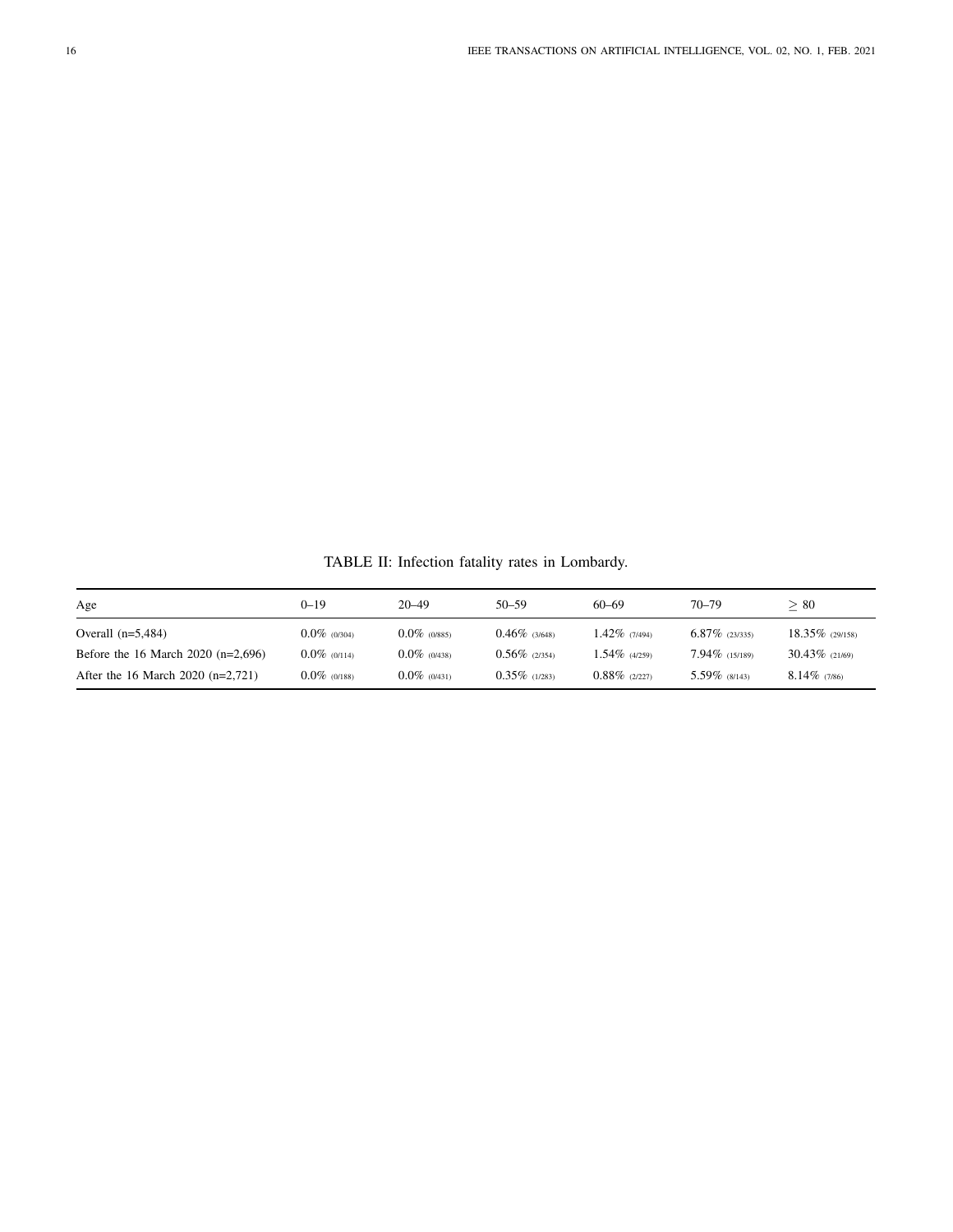TABLE II: Infection fatality rates in Lombardy.

<span id="page-15-0"></span>

| Age                                  | 0–19            | $20 - 49$       | $50 - 59$        | $60 - 69$        | $70 - 79$         | > 80               |
|--------------------------------------|-----------------|-----------------|------------------|------------------|-------------------|--------------------|
| Overall $(n=5,484)$                  | $0.0\%$ (0/304) | $0.0\%$ (0/885) | $0.46\%$ (3/648) | 1.42% (7/494)    | $6.87\%$ (23/335) | $18.35\%$ (29/158) |
| Before the 16 March 2020 $(n=2,696)$ | $0.0\%$ (0/114) | $0.0\%$ (0/438) | $0.56\%$ (2/354) | $1.54\%$ (4/259) | $7.94\%$ (15/189) | $30.43\%$ (21/69)  |
| After the 16 March 2020 $(n=2,721)$  | $0.0\%$ (0/188) | $0.0\%$ (0/431) | $0.35\%$ (1/283) | $0.88\%$ (2/227) | $5.59\%$ (8/143)  | $8.14\%$ (7/86)    |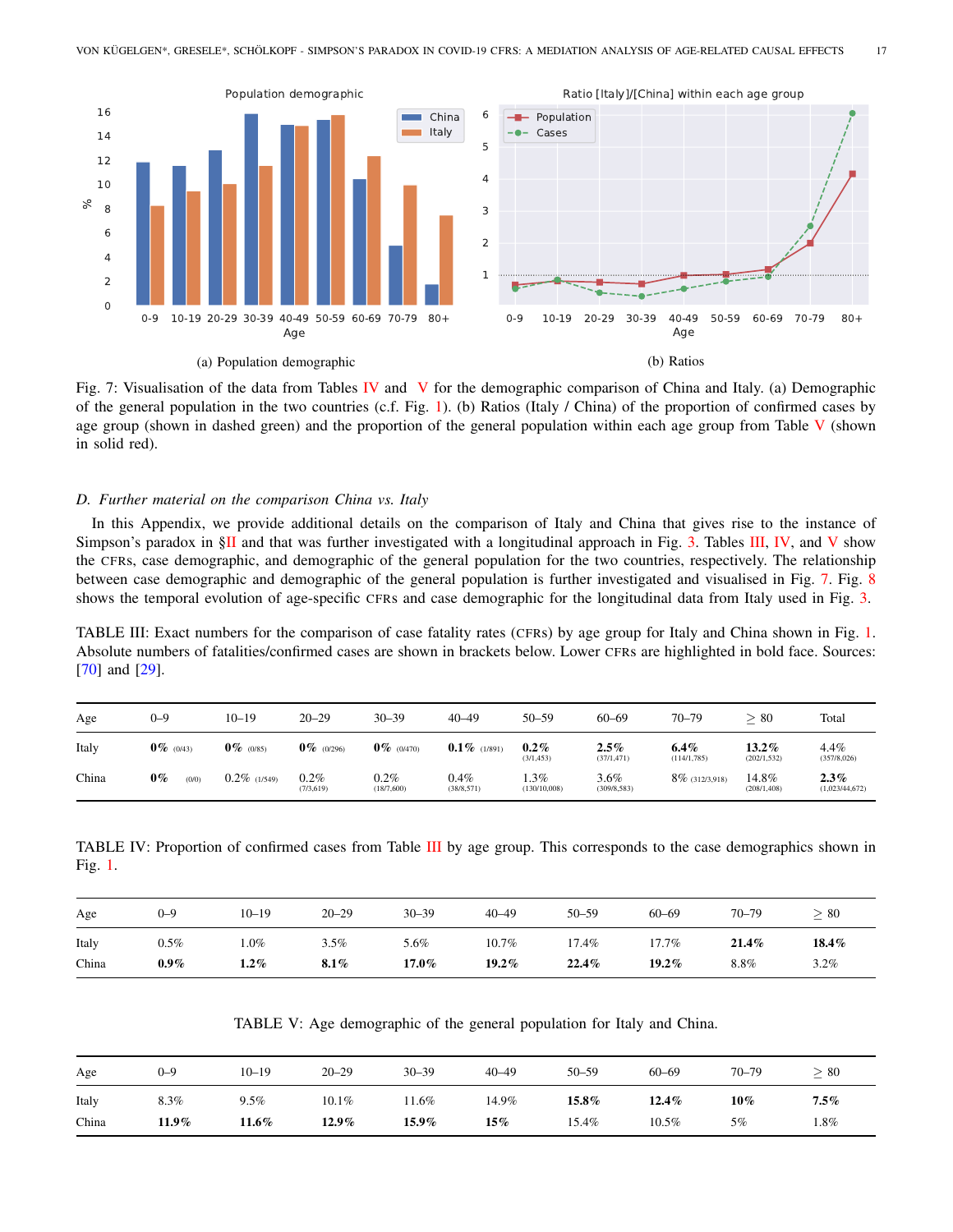<span id="page-16-4"></span>

Fig. 7: Visualisation of the data from Tables [IV](#page-16-2) and [V](#page-16-3) for the demographic comparison of China and Italy. (a) Demographic of the general population in the two countries (c.f. Fig. [1\)](#page-1-2). (b) Ratios (Italy / China) of the proportion of confirmed cases by age group (shown in dashed green) and the proportion of the general population within each age group from Table  $V$  (shown in solid red).

#### <span id="page-16-0"></span>*D. Further material on the comparison China vs. Italy*

In this Appendix, we provide additional details on the comparison of Italy and China that gives rise to the instance of Simpson's paradox in [§II](#page-1-0) and that was further investigated with a longitudinal approach in Fig. [3.](#page-5-0) Tables [III,](#page-16-1) [IV,](#page-16-2) and [V](#page-16-3) show the CFRs, case demographic, and demographic of the general population for the two countries, respectively. The relationship between case demographic and demographic of the general population is further investigated and visualised in Fig. [7.](#page-16-4) Fig. [8](#page-17-0) shows the temporal evolution of age-specific CFRs and case demographic for the longitudinal data from Italy used in Fig. [3.](#page-5-0)

<span id="page-16-1"></span>TABLE III: Exact numbers for the comparison of case fatality rates (CFRs) by age group for Italy and China shown in Fig. [1.](#page-1-2) Absolute numbers of fatalities/confirmed cases are shown in brackets below. Lower CFRs are highlighted in bold face. Sources: [\[70\]](#page-11-0) and [\[29\]](#page-9-1).

| Age   | $_{0-9}$       | $10 - 19$       | $20 - 29$          | $30 - 39$             | $40 - 49$           | $50 - 59$              | $60 - 69$              | $70 - 79$               | >80                      | Total                     |
|-------|----------------|-----------------|--------------------|-----------------------|---------------------|------------------------|------------------------|-------------------------|--------------------------|---------------------------|
| Italy | $0\%$ (0/43)   | $0\%$ (0/85)    | $0\%$ (0/296)      | $0\%$ (0/470)         | $0.1\%$ (1/891)     | $0.2\%$<br>(3/1, 453)  | $2.5\%$<br>(37/1, 471) | $6.4\%$<br>(114/1, 785) | $13.2\%$<br>(202/1, 532) | 4.4%<br>(357/8,026)       |
| China | $0\%$<br>(0/0) | $0.2\%$ (1/549) | 0.2%<br>(7/3, 619) | $0.2\%$<br>(18/7,600) | 0.4%<br>(38/8, 571) | $.3\%$<br>(130/10,008) | 3.6%<br>(309/8, 583)   | $8\%$ (312/3,918)       | 14.8%<br>(208/1, 408)    | $2.3\%$<br>(1,023/44,672) |

<span id="page-16-2"></span>TABLE IV: Proportion of confirmed cases from Table [III](#page-16-1) by age group. This corresponds to the case demographics shown in Fig. [1.](#page-1-2)

| Age   | $0 - 9$ | $10 - 19$ | $20 - 29$ | $30 - 39$ | $40 - 49$ | $50 - 59$ | $60 - 69$ | $70 - 79$ | > 80  |
|-------|---------|-----------|-----------|-----------|-----------|-----------|-----------|-----------|-------|
| Italy | $0.5\%$ | .0%       | $3.5\%$   | 5.6%      | 10.7%     | 17.4%     | 17.7%     | $21.4\%$  | 18.4% |
| China | $0.9\%$ | $.2\%$    | 8.1%      | $17.0\%$  | $19.2\%$  | 22.4%     | $19.2\%$  | 8.8%      | 3.2%  |

TABLE V: Age demographic of the general population for Italy and China.

<span id="page-16-3"></span>

| Age   | $0 - 9$ | $10 - 19$ | $20 - 29$ | $30 - 39$ | $40 - 49$ | $50 - 59$ | $60 - 69$ | $70 - 79$ | > 80    |
|-------|---------|-----------|-----------|-----------|-----------|-----------|-----------|-----------|---------|
| Italy | 8.3%    | $9.5\%$   | $10.1\%$  | 1.6%      | 14.9%     | $15.8\%$  | $12.4\%$  | $10\%$    | $7.5\%$ |
| China | 11.9%   | 11.6%     | $12.9\%$  | 15.9%     | $15\%$    | 15.4%     | 10.5%     | 5%        | 1.8%    |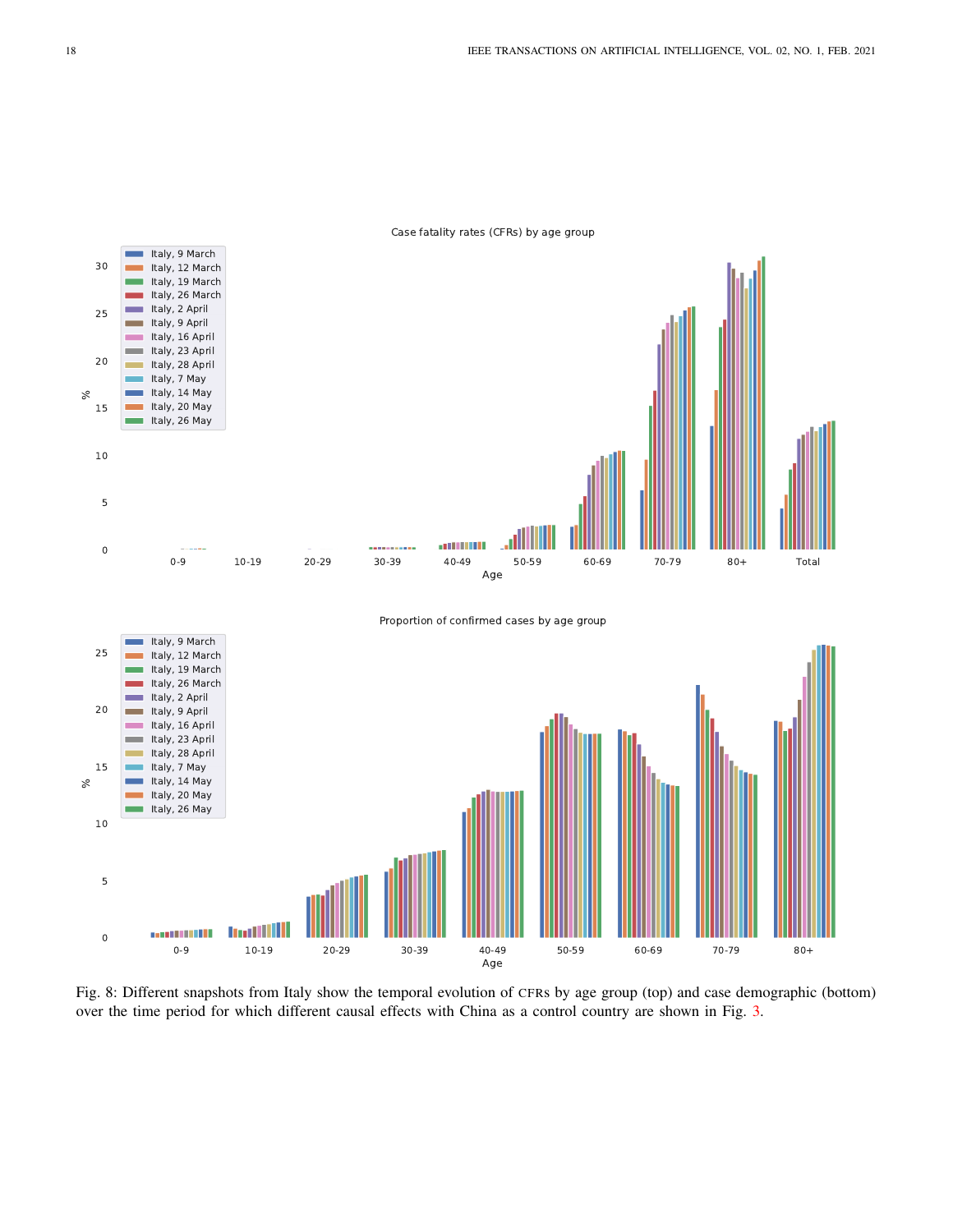<span id="page-17-0"></span>

Case fatality rates (CFRs) by age group

Fig. 8: Different snapshots from Italy show the temporal evolution of CFRs by age group (top) and case demographic (bottom) over the time period for which different causal effects with China as a control country are shown in Fig. [3.](#page-5-0)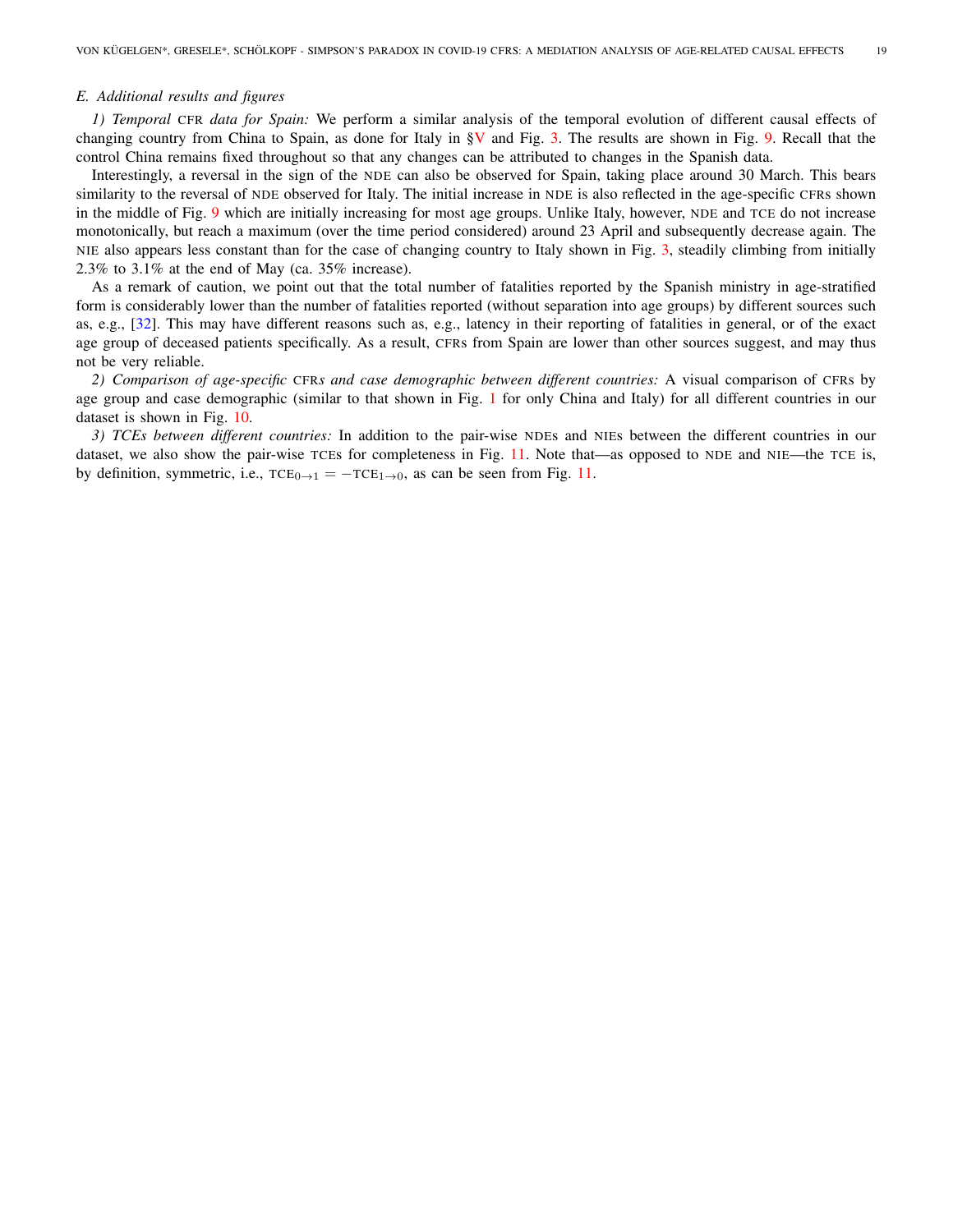#### <span id="page-18-0"></span>*E. Additional results and figures*

*1) Temporal* CFR *data for Spain:* We perform a similar analysis of the temporal evolution of different causal effects of changing country from China to Spain, as done for Italy in  $\gamma$  and Fig. [3.](#page-5-0) The results are shown in Fig. [9.](#page-19-0) Recall that the control China remains fixed throughout so that any changes can be attributed to changes in the Spanish data.

Interestingly, a reversal in the sign of the NDE can also be observed for Spain, taking place around 30 March. This bears similarity to the reversal of NDE observed for Italy. The initial increase in NDE is also reflected in the age-specific CFRs shown in the middle of Fig. [9](#page-19-0) which are initially increasing for most age groups. Unlike Italy, however, NDE and TCE do not increase monotonically, but reach a maximum (over the time period considered) around 23 April and subsequently decrease again. The NIE also appears less constant than for the case of changing country to Italy shown in Fig. [3,](#page-5-0) steadily climbing from initially 2.3% to 3.1% at the end of May (ca. 35% increase).

As a remark of caution, we point out that the total number of fatalities reported by the Spanish ministry in age-stratified form is considerably lower than the number of fatalities reported (without separation into age groups) by different sources such as, e.g., [\[32\]](#page-9-0). This may have different reasons such as, e.g., latency in their reporting of fatalities in general, or of the exact age group of deceased patients specifically. As a result, CFRs from Spain are lower than other sources suggest, and may thus not be very reliable.

*2) Comparison of age-specific* CFR*s and case demographic between different countries:* A visual comparison of CFRs by age group and case demographic (similar to that shown in Fig. [1](#page-1-2) for only China and Italy) for all different countries in our dataset is shown in Fig. [10.](#page-20-0)

*3) TCEs between different countries:* In addition to the pair-wise NDEs and NIEs between the different countries in our dataset, we also show the pair-wise TCEs for completeness in Fig. [11.](#page-21-0) Note that—as opposed to NDE and NIE—the TCE is, by definition, symmetric, i.e.,  $TCE_{0\rightarrow 1} = -TCE_{1\rightarrow 0}$ , as can be seen from Fig. [11.](#page-21-0)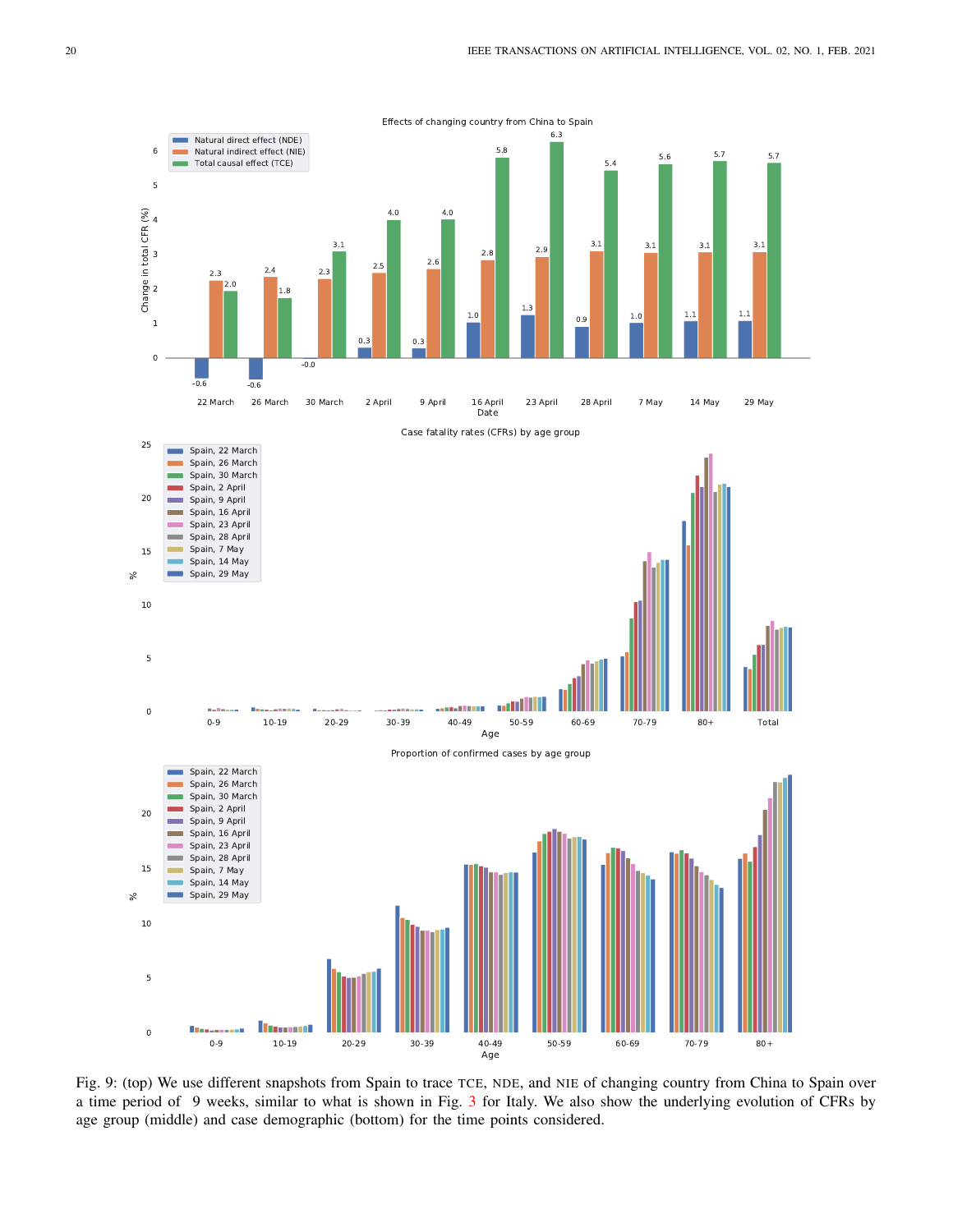<span id="page-19-0"></span>

Fig. 9: (top) We use different snapshots from Spain to trace TCE, NDE, and NIE of changing country from China to Spain over a time period of 9 weeks, similar to what is shown in Fig. [3](#page-5-0) for Italy. We also show the underlying evolution of CFRs by age group (middle) and case demographic (bottom) for the time points considered.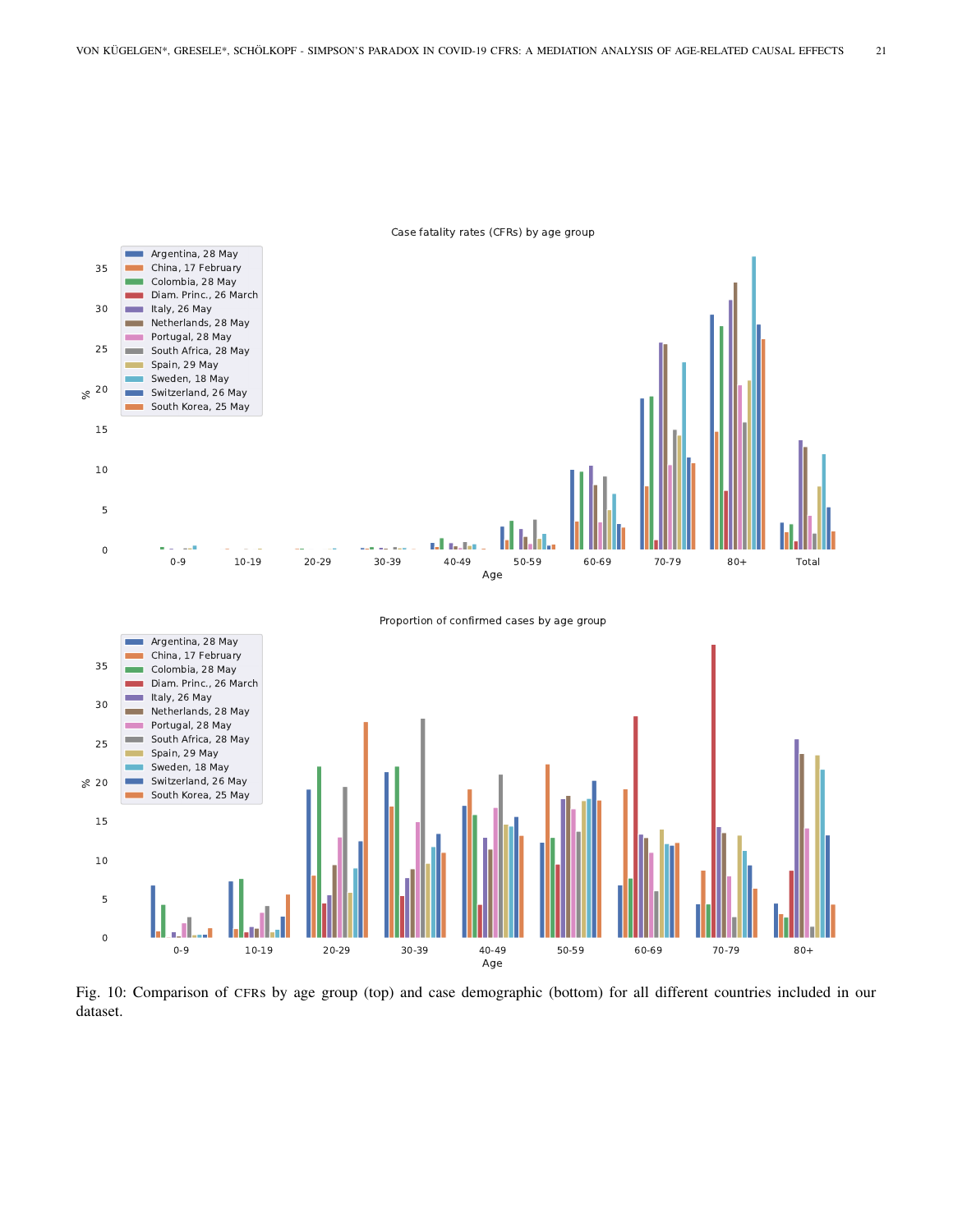<span id="page-20-0"></span>

Fig. 10: Comparison of CFRs by age group (top) and case demographic (bottom) for all different countries included in our dataset.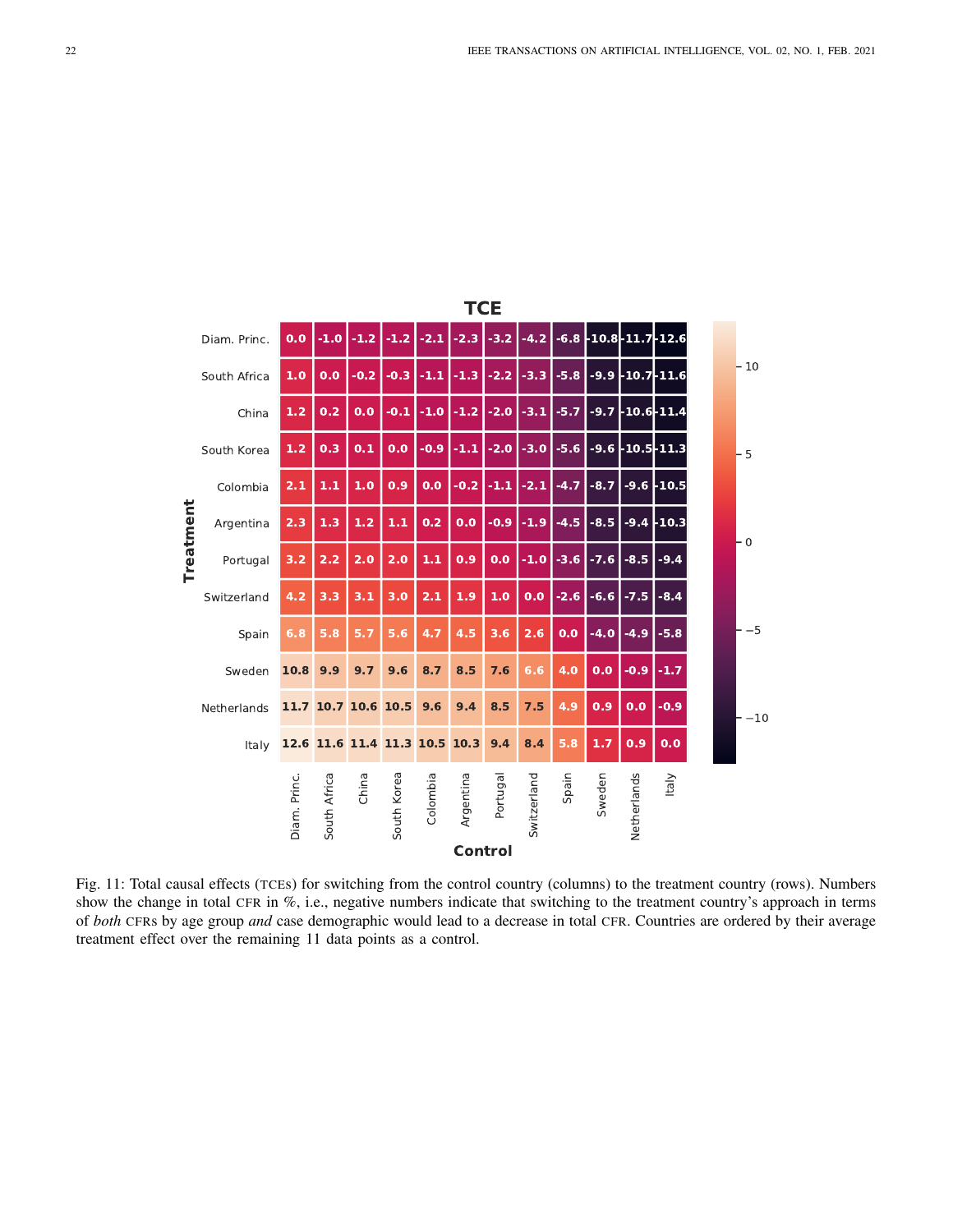<span id="page-21-0"></span>

|           | <b>TCE</b>   |              |              |        |             |                          |           |          |             |                             |        |                            |               |  |       |
|-----------|--------------|--------------|--------------|--------|-------------|--------------------------|-----------|----------|-------------|-----------------------------|--------|----------------------------|---------------|--|-------|
|           | Diam. Princ. | 0.0          | $-1.0$       | $-1.2$ | $-1.2$      | $-2.1$                   | $-2.3$    | $-3.2$   | $-4.2$      |                             |        | $-6.8$ -10.8 - 11.7 - 12.6 |               |  |       |
|           | South Africa | 1.0          | 0.0          | $-0.2$ | $-0.3$      | $-1.1$                   | $-1.3$    | $-2.2$   | $-3.3$      | $-5.8$                      |        | $-9.9$ -10.7 - 11.6        |               |  | $-10$ |
|           | China        | 1.2          | 0.2          | 0.0    | $-0.1$      | $-1.0$                   | $-1.2$    | $-2.0$   | $-3.1$      | $-5.7$                      | $-9.7$ | -10.6-11.4                 |               |  |       |
|           | South Korea  | 1.2          | 0.3          | 0.1    | 0.0         | $-0.9$                   | $-1.1$    | $-2.0$   | $-3.0$      | -5.6 -9.6 -10.5 - 11.3      |        |                            |               |  | $-5$  |
|           | Colombia     | 2.1          | $1.1$        | 1.0    | 0.9         | 0.0                      | $-0.2$    | $-1.1$   | $-2.1$      | $-4.7$                      | $-8.7$ |                            | $-9.6$ -10.5  |  |       |
| Treatment | Argentina    | 2.3          | 1.3          | 1.2    | $1.1$       | 0.2                      | 0.0       | $-0.9$   | $-1.9$      | $-4.5$                      | $-8.5$ |                            | $-9.4$ - 10.3 |  | - 0   |
|           | Portugal     | 3.2          | 2.2          | 2.0    | 2.0         | $\mathbf{1.1}$           | 0.9       | 0.0      |             | $-1.0$ $-3.6$ $-7.6$ $-8.5$ |        |                            | $-9.4$        |  |       |
|           | Switzerland  | 4.2          | 3.3          | 3.1    | 3.0         | 2.1                      | 1.9       | 1.0      | 0.0         |                             |        | $-2.6$ $-6.6$ $-7.5$       | $-8.4$        |  |       |
|           | Spain        | 6.8          | 5.8          | 5.7    | 5.6         | 4.7                      | 4.5       | 3.6      | 2.6         | 0.0                         | $-4.0$ | $-4.9$                     | $-5.8$        |  | $-5$  |
|           | Sweden       | 10.8         | 9.9          | 9.7    | 9.6         | 8.7                      | 8.5       | 7.6      | 6.6         | 4.0                         | 0.0    | $-0.9$                     | $-1.7$        |  |       |
|           | Netherlands  |              | 11.7 10.7    |        | 10.6 10.5   | 9.6                      | 9.4       | 8.5      | 7.5         | 4.9                         | 0.9    | 0.0                        | $-0.9$        |  | $-10$ |
|           | Italy        |              |              |        |             | 12.6 11.6 11.4 11.3 10.5 | 10.3      | 9.4      | 8.4         | 5.8                         | 1.7    | 0.9                        | 0.0           |  |       |
|           |              | Diam. Princ. | South Africa | China  | South Korea | Colombia                 | Argentina | Portugal | Switzerland | Spain                       | Sweden | Netherlands                | Italy         |  |       |
|           |              |              |              |        |             |                          | Control   |          |             |                             |        |                            |               |  |       |

Fig. 11: Total causal effects (TCEs) for switching from the control country (columns) to the treatment country (rows). Numbers show the change in total CFR in %, i.e., negative numbers indicate that switching to the treatment country's approach in terms of *both* CFRs by age group *and* case demographic would lead to a decrease in total CFR. Countries are ordered by their average treatment effect over the remaining 11 data points as a control.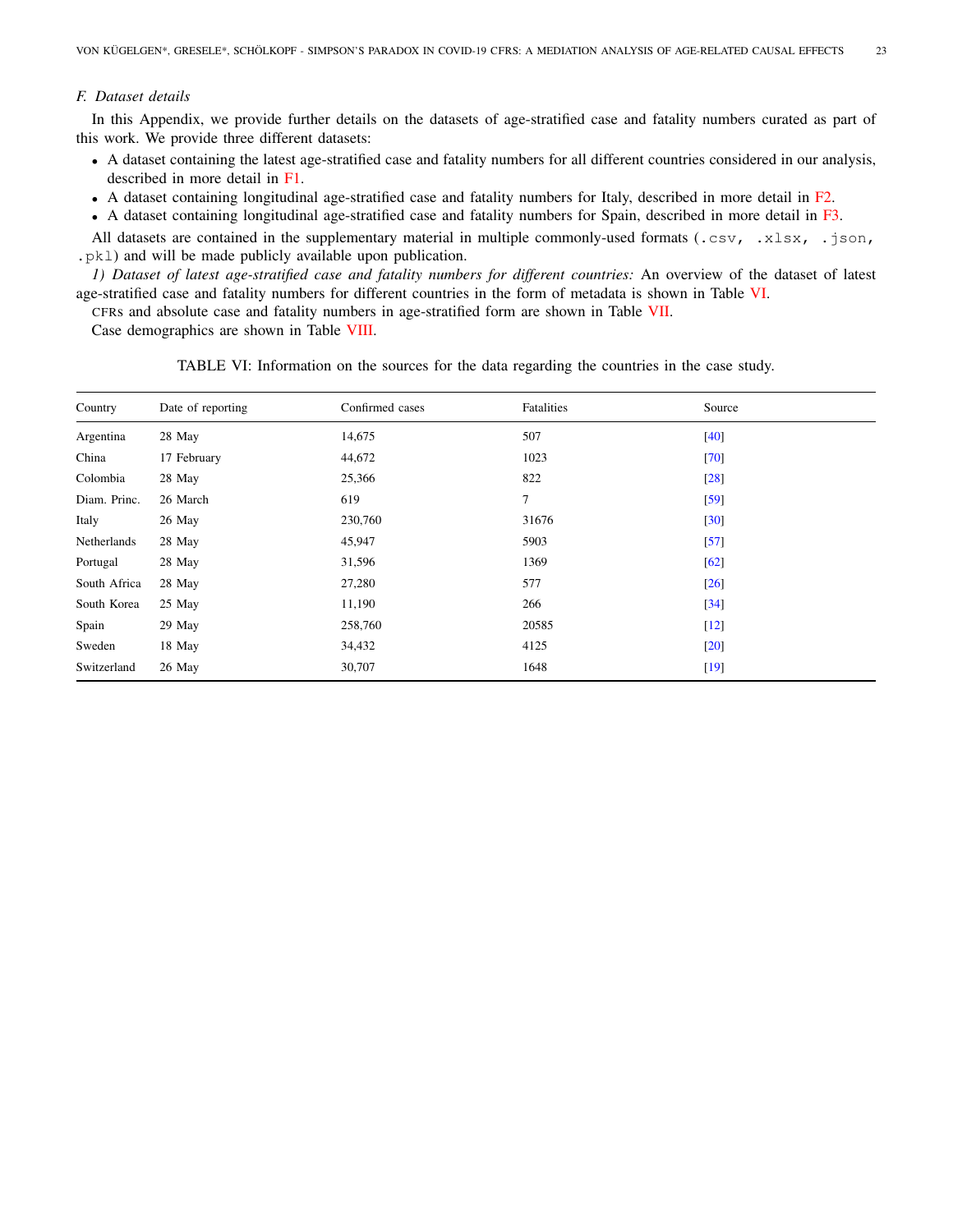## <span id="page-22-0"></span>*F. Dataset details*

In this Appendix, we provide further details on the datasets of age-stratified case and fatality numbers curated as part of this work. We provide three different datasets:

- A dataset containing the latest age-stratified case and fatality numbers for all different countries considered in our analysis, described in more detail in [F1.](#page-22-1)
- A dataset containing longitudinal age-stratified case and fatality numbers for Italy, described in more detail in [F2.](#page-24-0)
- A dataset containing longitudinal age-stratified case and fatality numbers for Spain, described in more detail in [F3.](#page-26-0)

All datasets are contained in the supplementary material in multiple commonly-used formats (.csv, .xlsx, .json, .pkl) and will be made publicly available upon publication.

<span id="page-22-1"></span>*1) Dataset of latest age-stratified case and fatality numbers for different countries:* An overview of the dataset of latest age-stratified case and fatality numbers for different countries in the form of metadata is shown in Table [VI.](#page-22-2)

CFRs and absolute case and fatality numbers in age-stratified form are shown in Table [VII.](#page-23-0)

<span id="page-22-2"></span>Case demographics are shown in Table [VIII.](#page-23-1)

TABLE VI: Information on the sources for the data regarding the countries in the case study.

| Country      | Date of reporting | Confirmed cases | Fatalities | Source |
|--------------|-------------------|-----------------|------------|--------|
| Argentina    | 28 May            | 14,675          | 507        | $[40]$ |
| China        | 17 February       | 44,672          | 1023       | [70]   |
| Colombia     | 28 May            | 25,366          | 822        | $[28]$ |
| Diam. Princ. | 26 March          | 619             | $\tau$     | [59]   |
| Italy        | 26 May            | 230,760         | 31676      | [30]   |
| Netherlands  | 28 May            | 45,947          | 5903       | [57]   |
| Portugal     | 28 May            | 31,596          | 1369       | [62]   |
| South Africa | 28 May            | 27,280          | 577        | $[26]$ |
| South Korea  | 25 May            | 11,190          | 266        | $[34]$ |
| Spain        | 29 May            | 258,760         | 20585      | $[12]$ |
| Sweden       | 18 May            | 34,432          | 4125       | $[20]$ |
| Switzerland  | 26 May            | 30,707          | 1648       | $[19]$ |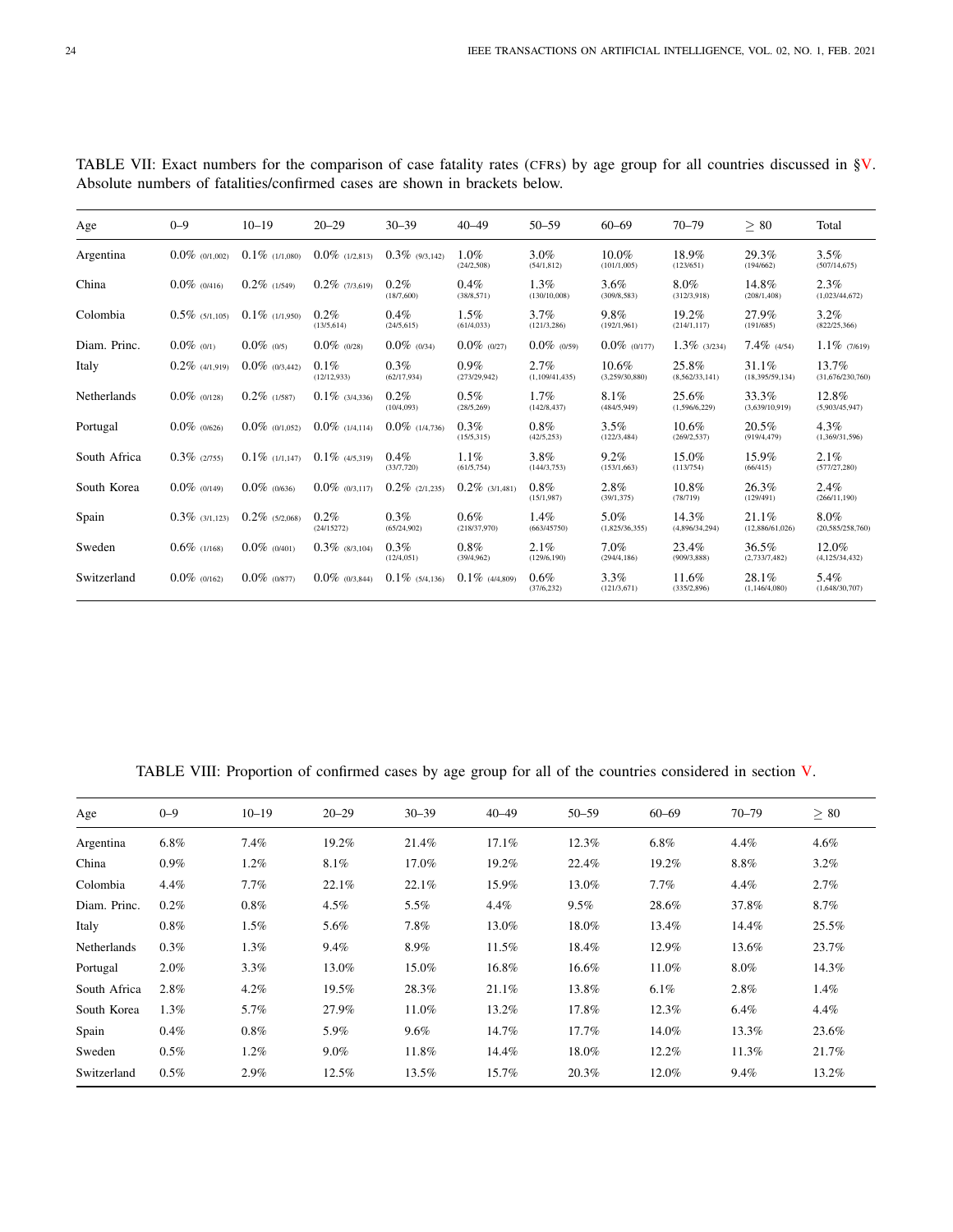| Age          | $0 - 9$           | $10 - 19$         | $20 - 29$              | $30 - 39$              | $40 - 49$               | $50 - 59$               | $60 - 69$               | $70 - 79$               | $\geq 80$                | Total                     |
|--------------|-------------------|-------------------|------------------------|------------------------|-------------------------|-------------------------|-------------------------|-------------------------|--------------------------|---------------------------|
| Argentina    | $0.0\%$ (0/1,002) | $0.1\%$ (1/1,080) | $0.0\%$ (1/2.813)      | $0.3\%$ (9/3.142)      | $1.0\%$<br>(24/2, 508)  | $3.0\%$<br>(54/1, 812)  | $10.0\%$<br>(101/1,005) | 18.9%<br>(123/651)      | 29.3%<br>(194/662)       | $3.5\%$<br>(507/14, 675)  |
| China        | $0.0\%$ (0/416)   | $0.2\%$ (1/549)   | $0.2\%$ (7/3,619)      | 0.2%<br>(18/7,600)     | 0.4%<br>(38/8, 571)     | $1.3\%$<br>(130/10,008) | $3.6\%$<br>(309/8, 583) | 8.0%<br>(312/3,918)     | 14.8%<br>(208/1, 408)    | 2.3%<br>(1,023/44,672)    |
| Colombia     | $0.5\%$ (5/1,105) | $0.1\%$ (1/1.950) | $0.2\%$<br>(13/5, 614) | 0.4%<br>(24/5, 615)    | $1.5\%$<br>(61/4, 033)  | 3.7%<br>(121/3, 286)    | 9.8%<br>(192/1,961)     | 19.2%<br>(214/1, 117)   | 27.9%<br>(191/685)       | $3.2\%$<br>(822/25,366)   |
| Diam. Princ. | $0.0\%$ (0/1)     | $0.0\%$ (0/5)     | $0.0\%$ (0/28)         | $0.0\%$ (0/34)         | $0.0\%$ (0/27)          | $0.0\%$ (0/59)          | $0.0\%$ (0/177)         | $1.3\%$ (3/234)         | $7.4\%$ (4/54)           | $1.1\%$ (7/619)           |
| Italy        | $0.2\%$ (4/1,919) | $0.0\%$ (0/3,442) | $0.1\%$<br>(12/12.933) | 0.3%<br>(62/17,934)    | $0.9\%$<br>(273/29,942) | 2.7%<br>(1,109/41,435)  | 10.6%<br>(3,259/30,880) | 25.8%<br>(8,562/33,141) | 31.1%<br>(18,395/59,134) | 13.7%<br>(31,676/230,760) |
| Netherlands  | $0.0\%$ (0/128)   | $0.2\%$ (1/587)   | $0.1\%$ (3/4,336)      | 0.2%<br>(10/4,093)     | $0.5\%$<br>(28/5, 269)  | $1.7\%$<br>(142/8, 437) | 8.1%<br>(484/5,949)     | 25.6%<br>(1,596/6,229)  | 33.3%<br>(3,639/10,919)  | 12.8%<br>(5,903/45,947)   |
| Portugal     | $0.0\%$ (0/626)   | $0.0\%$ (0/1,052) | $0.0\%$ (1/4.114)      | $0.0\%$ (1/4.736)      | $0.3\%$<br>(15/5, 315)  | $0.8\%$<br>(42/5, 253)  | $3.5\%$<br>(122/3, 484) | 10.6%<br>(269/2, 537)   | 20.5%<br>(919/4, 479)    | 4.3%<br>(1,369/31,596)    |
| South Africa | $0.3\%$ (2/755)   | $0.1\%$ (1/1,147) | $0.1\%$ (4/5.319)      | 0.4%<br>(33/7,720)     | 1.1%<br>(61/5,754)      | 3.8%<br>(144/3, 753)    | 9.2%<br>(153/1,663)     | 15.0%<br>(113/754)      | 15.9%<br>(66/415)        | 2.1%<br>(577/27, 280)     |
| South Korea  | $0.0\%$ (0/149)   | $0.0\%$ (0/636)   | $0.0\%$ (0/3.117)      | $0.2\%$ (2/1.235)      | $0.2\%$ (3/1,481)       | $0.8\%$<br>(15/1, 987)  | 2.8%<br>(39/1, 375)     | 10.8%<br>(78/719)       | 26.3%<br>(129/491)       | $2.4\%$<br>(266/11, 190)  |
| Spain        | $0.3\%$ (3/1.123) | $0.2\%$ (5/2,068) | $0.2\%$<br>(24/15272)  | $0.3\%$<br>(65/24,902) | 0.6%<br>(218/37,970)    | 1.4%<br>(663/45750)     | 5.0%<br>(1,825/36,355)  | 14.3%<br>(4,896/34,294) | 21.1%<br>(12,886/61,026) | 8.0%<br>(20,585/258,760)  |
| Sweden       | $0.6\%$ (1/168)   | $0.0\%$ (0/401)   | $0.3\%$ (8/3,104)      | $0.3\%$<br>(12/4, 051) | 0.8%<br>(39/4, 962)     | 2.1%<br>(129/6, 190)    | 7.0%<br>(294/4, 186)    | 23.4%<br>(909/3, 888)   | 36.5%<br>(2,733/7,482)   | 12.0%<br>(4,125/34,432)   |
| Switzerland  | $0.0\%$ (0/162)   | $0.0\%$ (0/877)   | $0.0\%$ (0/3.844)      | $0.1\%$ (5/4.136)      | $0.1\%$ (4/4,809)       | $0.6\%$<br>(37/6, 232)  | $3.3\%$<br>(121/3,671)  | 11.6%<br>(335/2,896)    | 28.1%<br>(1,146/4,080)   | 5.4%<br>(1,648/30,707)    |

<span id="page-23-0"></span>TABLE VII: Exact numbers for the comparison of case fatality rates (CFRs) by age group for all countries discussed in [§V.](#page-4-0) Absolute numbers of fatalities/confirmed cases are shown in brackets below.

TABLE VIII: Proportion of confirmed cases by age group for all of the countries considered in section [V.](#page-4-0)

<span id="page-23-1"></span>

| Age                | $0 - 9$ | $10 - 19$ | $20 - 29$ | $30 - 39$ | $40 - 49$ | $50 - 59$ | $60 - 69$ | $70 - 79$ | $\geq 80$ |
|--------------------|---------|-----------|-----------|-----------|-----------|-----------|-----------|-----------|-----------|
| Argentina          | $6.8\%$ | 7.4%      | 19.2%     | 21.4%     | 17.1%     | 12.3%     | $6.8\%$   | 4.4%      | 4.6%      |
| China              | $0.9\%$ | $1.2\%$   | 8.1%      | 17.0%     | 19.2%     | 22.4%     | 19.2%     | $8.8\%$   | $3.2\%$   |
| Colombia           | 4.4%    | $7.7\%$   | 22.1%     | 22.1%     | 15.9%     | 13.0%     | $7.7\%$   | 4.4%      | 2.7%      |
| Diam. Princ.       | 0.2%    | $0.8\%$   | $4.5\%$   | 5.5%      | $4.4\%$   | 9.5%      | 28.6%     | 37.8%     | 8.7%      |
| Italy              | $0.8\%$ | $1.5\%$   | 5.6%      | 7.8%      | 13.0%     | 18.0%     | 13.4%     | 14.4%     | 25.5%     |
| <b>Netherlands</b> | 0.3%    | 1.3%      | 9.4%      | 8.9%      | 11.5%     | 18.4%     | 12.9%     | 13.6%     | 23.7%     |
| Portugal           | 2.0%    | 3.3%      | 13.0%     | 15.0%     | 16.8%     | 16.6%     | 11.0%     | 8.0%      | 14.3%     |
| South Africa       | 2.8%    | $4.2\%$   | 19.5%     | 28.3%     | 21.1%     | 13.8%     | $6.1\%$   | 2.8%      | 1.4%      |
| South Korea        | $1.3\%$ | 5.7%      | 27.9%     | 11.0%     | 13.2%     | 17.8%     | 12.3%     | 6.4%      | 4.4%      |
| Spain              | $0.4\%$ | $0.8\%$   | 5.9%      | $9.6\%$   | 14.7%     | 17.7%     | 14.0%     | 13.3%     | 23.6%     |
| Sweden             | 0.5%    | $1.2\%$   | $9.0\%$   | 11.8%     | 14.4%     | 18.0%     | 12.2%     | 11.3%     | 21.7%     |
| Switzerland        | $0.5\%$ | 2.9%      | 12.5%     | 13.5%     | 15.7%     | 20.3%     | 12.0%     | 9.4%      | 13.2%     |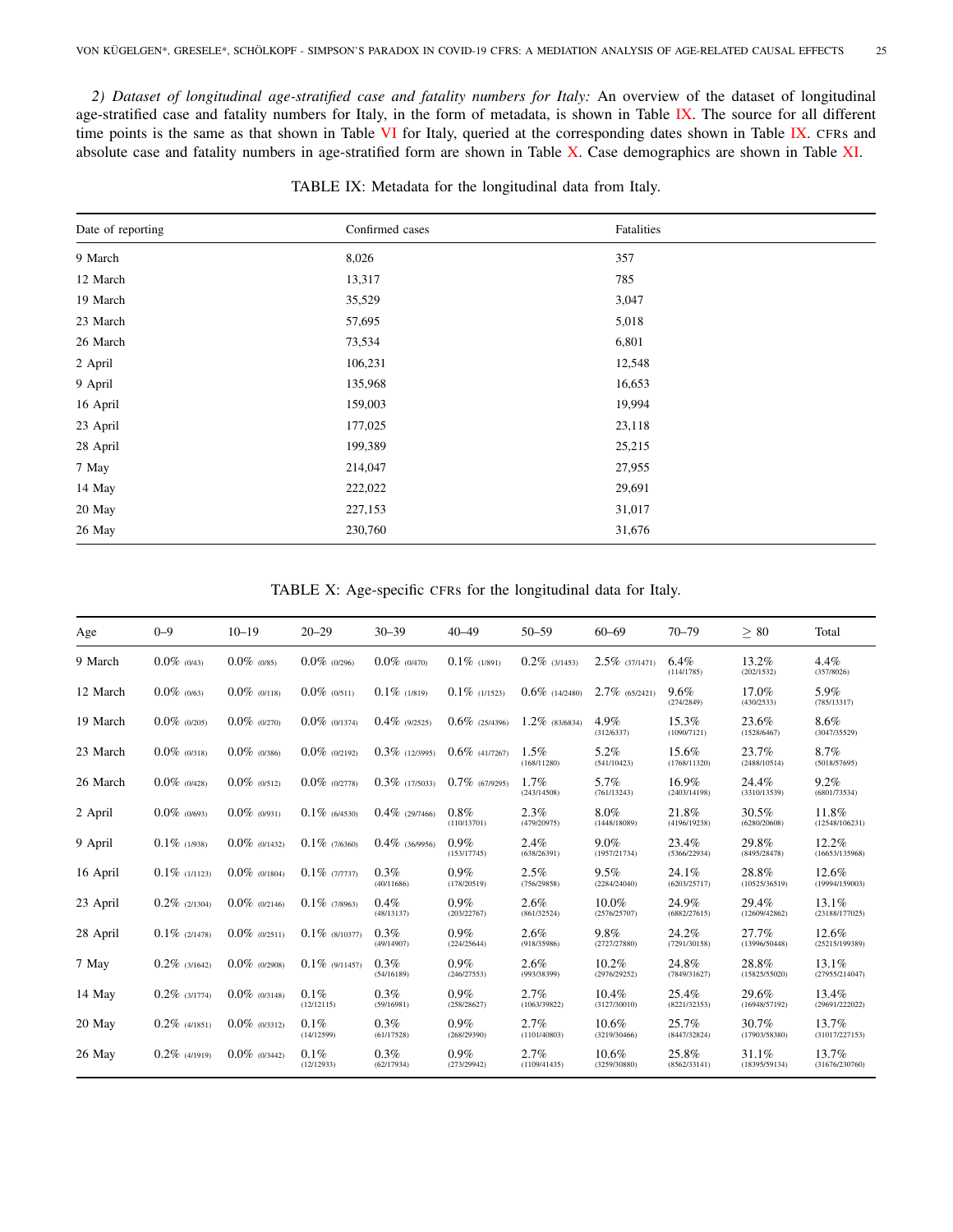<span id="page-24-0"></span>*2) Dataset of longitudinal age-stratified case and fatality numbers for Italy:* An overview of the dataset of longitudinal age-stratified case and fatality numbers for Italy, in the form of metadata, is shown in Table [IX.](#page-24-1) The source for all different time points is the same as that shown in Table [VI](#page-22-2) for Italy, queried at the corresponding dates shown in Table [IX.](#page-24-1) CFRs and absolute case and fatality numbers in age-stratified form are shown in Table [X.](#page-24-2) Case demographics are shown in Table [XI.](#page-25-0)

<span id="page-24-1"></span>

| Date of reporting | Confirmed cases | Fatalities |
|-------------------|-----------------|------------|
| 9 March           | 8,026           | 357        |
| 12 March          | 13,317          | 785        |
| 19 March          | 35,529          | 3,047      |
| 23 March          | 57,695          | 5,018      |
| 26 March          | 73,534          | 6,801      |
| 2 April           | 106,231         | 12,548     |
| 9 April           | 135,968         | 16,653     |
| 16 April          | 159,003         | 19,994     |
| 23 April          | 177,025         | 23,118     |
| 28 April          | 199,389         | 25,215     |
| 7 May             | 214,047         | 27,955     |
| 14 May            | 222,022         | 29,691     |
| 20 May            | 227,153         | 31,017     |
| 26 May            | 230,760         | 31,676     |
|                   |                 |            |

TABLE IX: Metadata for the longitudinal data from Italy.

TABLE X: Age-specific CFRs for the longitudinal data for Italy.

<span id="page-24-2"></span>

| Age      | $0 - 9$          | $10 - 19$        | $20 - 29$          | $30 - 39$          | $40 - 49$              | $50 - 59$            | $60 - 69$             | $70 - 79$             | > 80                   | Total                   |
|----------|------------------|------------------|--------------------|--------------------|------------------------|----------------------|-----------------------|-----------------------|------------------------|-------------------------|
| 9 March  | $0.0\%$ (0/43)   | $0.0\%$ (0/85)   | $0.0\%$ (0/296)    | $0.0\%$ (0/470)    | $0.1\%$ (1/891)        | $0.2\%$ (3/1453)     | $2.5\%$ (37/1471)     | 6.4%<br>(114/1785)    | 13.2%<br>(202/1532)    | 4.4%<br>(357/8026)      |
| 12 March | $0.0\%$ (0/63)   | $0.0\%$ (0/118)  | $0.0\%$ (0/511)    | $0.1\%$ (1/819)    | $0.1\%$ (1/1523)       | $0.6\%$ (14/2480)    | $2.7\%$ (65/2421)     | 9.6%<br>(274/2849)    | 17.0%<br>(430/2533)    | 5.9%<br>(785/13317)     |
| 19 March | $0.0\%$ (0/205)  | $0.0\%$ (0/270)  | $0.0\%$ (0/1374)   | $0.4\%$ (9/2525)   | $0.6\%$ (25/4396)      | $1.2\%$ (83/6834)    | 4.9%<br>(312/6337)    | 15.3%<br>(1090/7121)  | 23.6%<br>(1528/6467)   | 8.6%<br>(3047/35529)    |
| 23 March | $0.0\%$ (0/318)  | $0.0\%$ (0/386)  | $0.0\%$ (0/2192)   | $0.3\%$ (12/3995)  | $0.6\%$ (41/7267)      | 1.5%<br>(168/11280)  | 5.2%<br>(541/10423)   | 15.6%<br>(1768/11320) | 23.7%<br>(2488/10514)  | 8.7%<br>(5018/57695)    |
| 26 March | $0.0\%$ (0/428)  | $0.0\%$ (0/512)  | $0.0\%$ (0/2778)   | $0.3\%$ (17/5033)  | $0.7\%$ (67/9295)      | 1.7%<br>(243/14508)  | 5.7%<br>(761/13243)   | 16.9%<br>(2403/14198) | 24.4%<br>(3310/13539)  | 9.2%<br>(6801/73534)    |
| 2 April  | $0.0\%$ (0/693)  | $0.0\%$ (0/931)  | $0.1\%$ (6/4530)   | $0.4\%$ (29/7466)  | 0.8%<br>(110/13701)    | 2.3%<br>(479/20975)  | 8.0%<br>(1448/18089)  | 21.8%<br>(4196/19238) | 30.5%<br>(6280/20608)  | 11.8%<br>(12548/106231) |
| 9 April  | $0.1\%$ (1/938)  | $0.0\%$ (0/1432) | $0.1\%$ (7/6360)   | $0.4\%$ (36/9956)  | 0.9%<br>(153/17745)    | 2.4%<br>(638/26391)  | 9.0%<br>(1957/21734)  | 23.4%<br>(5366/22934) | 29.8%<br>(8495/28478)  | 12.2%<br>(16653/135968) |
| 16 April | $0.1\%$ (1/1123) | $0.0\%$ (0/1804) | $0.1\%$ (7/7737)   | 0.3%<br>(40/11686) | $0.9\%$<br>(178/20519) | 2.5%<br>(756/29858)  | 9.5%<br>(2284/24040)  | 24.1%<br>(6203/25717) | 28.8%<br>(10525/36519) | 12.6%<br>(19994/159003) |
| 23 April | $0.2\%$ (2/1304) | $0.0\%$ (0/2146) | $0.1\%$ (7/8963)   | 0.4%<br>(48/13137) | 0.9%<br>(203/22767)    | 2.6%<br>(861/32524)  | 10.0%<br>(2576/25707) | 24.9%<br>(6882/27615) | 29.4%<br>(12609/42862) | 13.1%<br>(23188/177025) |
| 28 April | $0.1\%$ (2/1478) | $0.0\%$ (0/2511) | $0.1\%$ (8/10377)  | 0.3%<br>(49/14907) | $0.9\%$<br>(224/25644) | 2.6%<br>(918/35986)  | 9.8%<br>(2727/27880)  | 24.2%<br>(7291/30158) | 27.7%<br>(13996/50448) | 12.6%<br>(25215/199389) |
| 7 May    | $0.2\%$ (3/1642) | $0.0\%$ (0/2908) | $0.1\%$ (9/11457)  | 0.3%<br>(54/16189) | 0.9%<br>(246/27553)    | 2.6%<br>(993/38399)  | 10.2%<br>(2976/29252) | 24.8%<br>(7849/31627) | 28.8%<br>(15825/55020) | 13.1%<br>(27955/214047) |
| 14 May   | $0.2\%$ (3/1774) | $0.0\%$ (0/3148) | 0.1%<br>(12/12115) | 0.3%<br>(59/16981) | $0.9\%$<br>(258/28627) | 2.7%<br>(1063/39822) | 10.4%<br>(3127/30010) | 25.4%<br>(8221/32353) | 29.6%<br>(16948/57192) | 13.4%<br>(29691/222022) |
| 20 May   | $0.2\%$ (4/1851) | $0.0\%$ (0/3312) | 0.1%<br>(14/12599) | 0.3%<br>(61/17528) | 0.9%<br>(268/29390)    | 2.7%<br>(1101/40803) | 10.6%<br>(3219/30466) | 25.7%<br>(8447/32824) | 30.7%<br>(17903/58380) | 13.7%<br>(31017/227153) |
| 26 May   | $0.2\%$ (4/1919) | $0.0\%$ (0/3442) | 0.1%<br>(12/12933) | 0.3%<br>(62/17934) | 0.9%<br>(273/29942)    | 2.7%<br>(1109/41435) | 10.6%<br>(3259/30880) | 25.8%<br>(8562/33141) | 31.1%<br>(18395/59134) | 13.7%<br>(31676/230760) |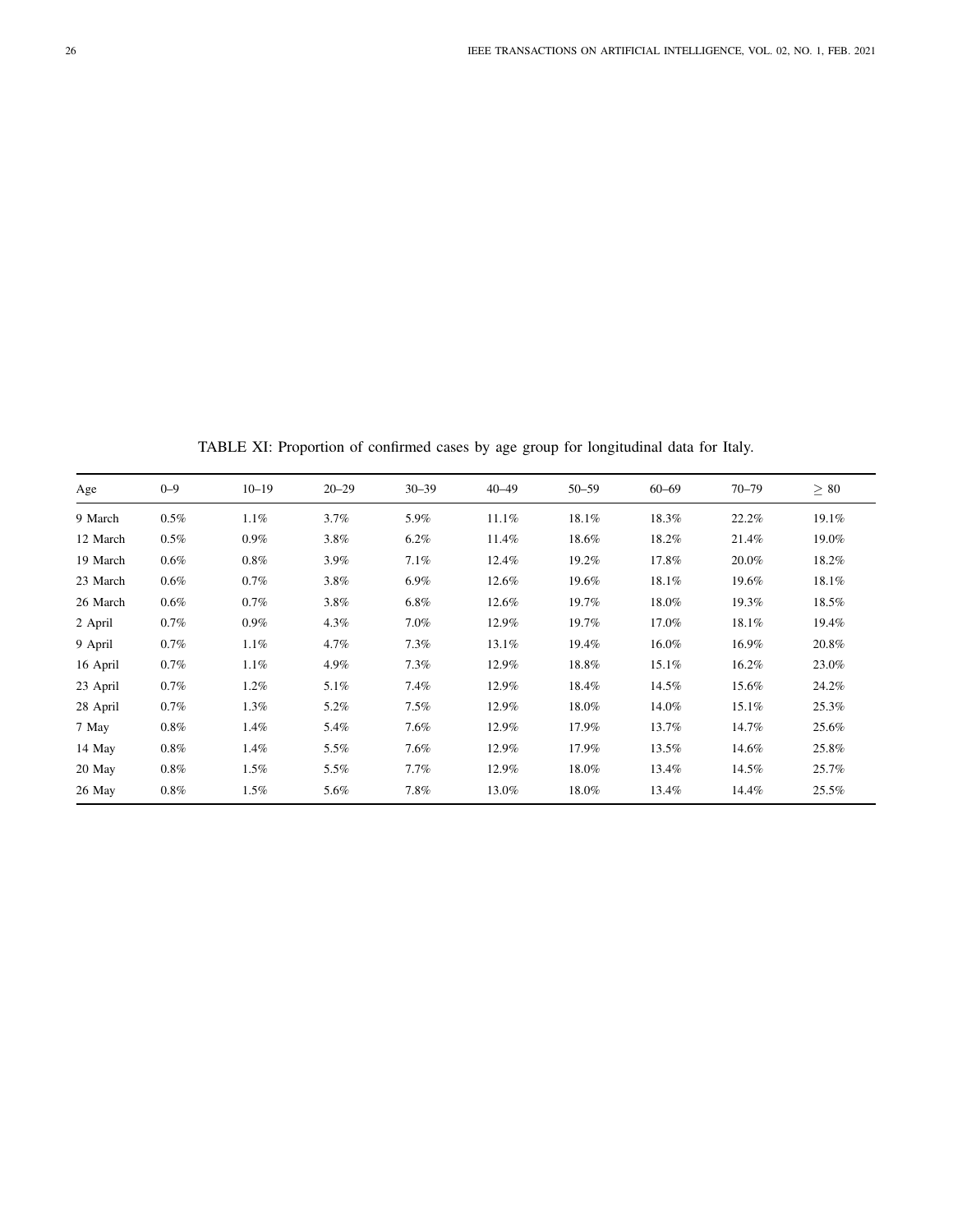TABLE XI: Proportion of confirmed cases by age group for longitudinal data for Italy.

<span id="page-25-0"></span>

| Age      | $0 - 9$ | $10 - 19$ | $20 - 29$ | $30 - 39$ | $40 - 49$ | $50 - 59$ | $60 - 69$ | $70 - 79$ | $\geq 80$ |
|----------|---------|-----------|-----------|-----------|-----------|-----------|-----------|-----------|-----------|
| 9 March  | 0.5%    | 1.1%      | 3.7%      | 5.9%      | 11.1%     | 18.1%     | 18.3%     | 22.2%     | 19.1%     |
| 12 March | $0.5\%$ | $0.9\%$   | 3.8%      | 6.2%      | 11.4%     | 18.6%     | 18.2%     | 21.4%     | 19.0%     |
| 19 March | $0.6\%$ | $0.8\%$   | 3.9%      | 7.1%      | 12.4%     | 19.2%     | 17.8%     | 20.0%     | 18.2%     |
| 23 March | $0.6\%$ | $0.7\%$   | 3.8%      | $6.9\%$   | 12.6%     | 19.6%     | 18.1%     | 19.6%     | 18.1%     |
| 26 March | $0.6\%$ | $0.7\%$   | 3.8%      | $6.8\%$   | 12.6%     | 19.7%     | 18.0%     | 19.3%     | 18.5%     |
| 2 April  | 0.7%    | $0.9\%$   | 4.3%      | $7.0\%$   | 12.9%     | 19.7%     | 17.0%     | 18.1%     | 19.4%     |
| 9 April  | 0.7%    | 1.1%      | 4.7%      | 7.3%      | 13.1%     | 19.4%     | 16.0%     | 16.9%     | 20.8%     |
| 16 April | $0.7\%$ | 1.1%      | 4.9%      | 7.3%      | 12.9%     | 18.8%     | 15.1%     | 16.2%     | 23.0%     |
| 23 April | 0.7%    | $1.2\%$   | 5.1%      | 7.4%      | 12.9%     | 18.4%     | 14.5%     | 15.6%     | 24.2%     |
| 28 April | $0.7\%$ | 1.3%      | 5.2%      | 7.5%      | 12.9%     | 18.0%     | 14.0%     | 15.1%     | 25.3%     |
| 7 May    | $0.8\%$ | 1.4%      | 5.4%      | 7.6%      | 12.9%     | 17.9%     | 13.7%     | 14.7%     | 25.6%     |
| 14 May   | $0.8\%$ | $1.4\%$   | 5.5%      | 7.6%      | 12.9%     | 17.9%     | 13.5%     | 14.6%     | 25.8%     |
| 20 May   | $0.8\%$ | $1.5\%$   | 5.5%      | $7.7\%$   | 12.9%     | 18.0%     | 13.4%     | 14.5%     | 25.7%     |
| 26 May   | $0.8\%$ | $1.5\%$   | 5.6%      | 7.8%      | 13.0%     | 18.0%     | 13.4%     | 14.4%     | 25.5%     |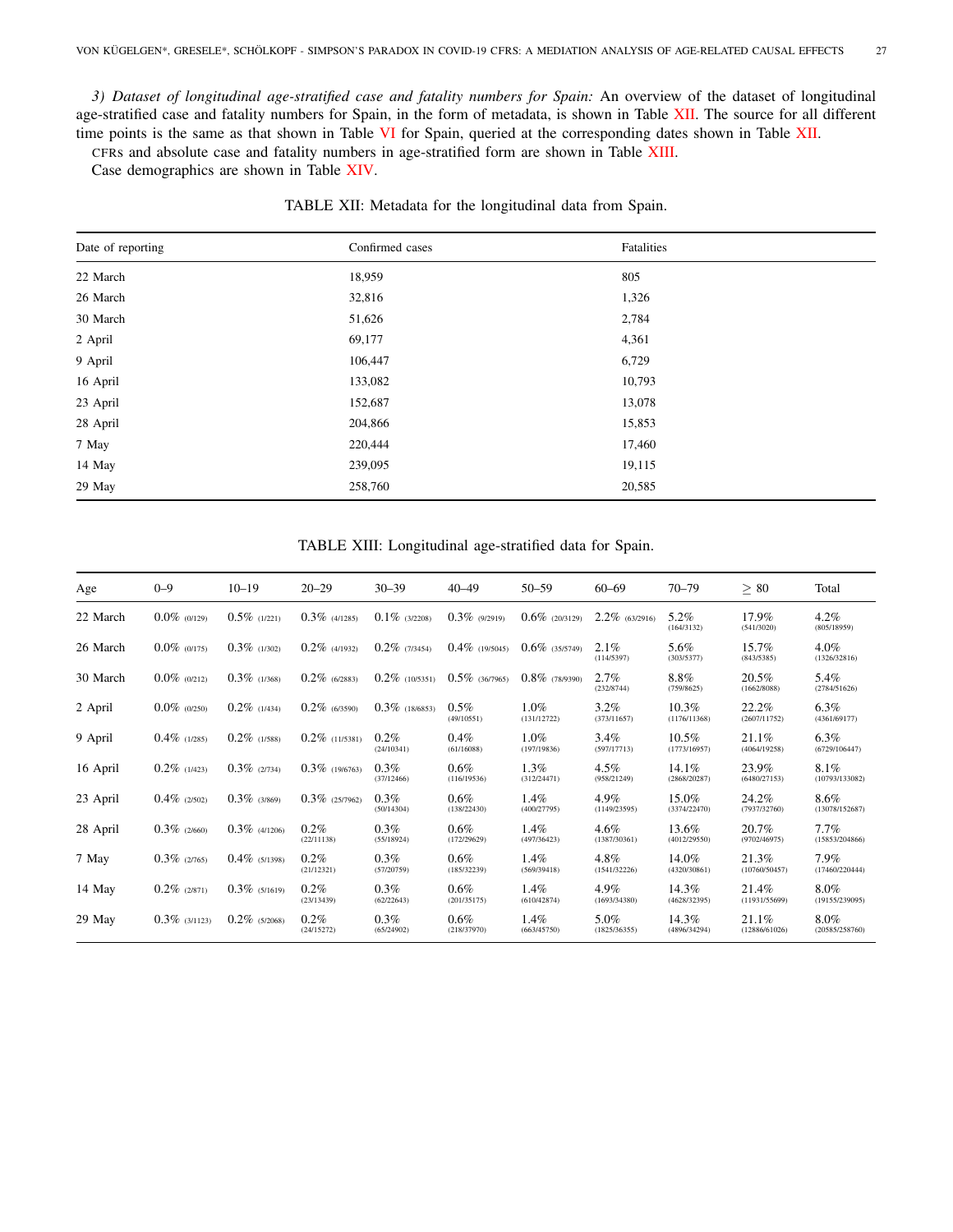<span id="page-26-0"></span>*3) Dataset of longitudinal age-stratified case and fatality numbers for Spain:* An overview of the dataset of longitudinal age-stratified case and fatality numbers for Spain, in the form of metadata, is shown in Table [XII.](#page-26-1) The source for all different time points is the same as that shown in Table [VI](#page-22-2) for Spain, queried at the corresponding dates shown in Table [XII.](#page-26-1)

CFRs and absolute case and fatality numbers in age-stratified form are shown in Table [XIII.](#page-26-2)

<span id="page-26-1"></span>Case demographics are shown in Table [XIV.](#page-27-0)

| Date of reporting | Confirmed cases | Fatalities |
|-------------------|-----------------|------------|
| 22 March          | 18,959          | 805        |
| 26 March          | 32,816          | 1,326      |
| 30 March          | 51,626          | 2,784      |
| 2 April           | 69,177          | 4,361      |
| 9 April           | 106,447         | 6,729      |
| 16 April          | 133,082         | 10,793     |
| 23 April          | 152,687         | 13,078     |
| 28 April          | 204,866         | 15,853     |
| 7 May             | 220,444         | 17,460     |
| 14 May            | 239,095         | 19,115     |
| 29 May            | 258,760         | 20,585     |

TABLE XII: Metadata for the longitudinal data from Spain.

# TABLE XIII: Longitudinal age-stratified data for Spain.

<span id="page-26-2"></span>

| Age      | $0 - 9$          | $10 - 19$        | $20 - 29$             | $30 - 39$             | $40 - 49$              | $50 - 59$              | $60 - 69$               | $70 - 79$                | $\geq 80$              | Total                    |
|----------|------------------|------------------|-----------------------|-----------------------|------------------------|------------------------|-------------------------|--------------------------|------------------------|--------------------------|
| 22 March | $0.0\%$ (0/129)  | $0.5\%$ (1/221)  | $0.3\%$ (4/1285)      | $0.1\%$ (3/2208)      | $0.3\%$ (9/2919)       | $0.6\%$ (20/3129)      | $2.2\%$ (63/2916)       | 5.2%<br>(164/3132)       | 17.9%<br>(541/3020)    | $4.2\%$<br>(805/18959)   |
| 26 March | $0.0\%$ (0/175)  | $0.3\%$ (1/302)  | $0.2\%$ (4/1932)      | $0.2\%$ (7/3454)      | $0.4\%$ (19/5045)      | $0.6\%$ (35/5749)      | 2.1%<br>(114/5397)      | 5.6%<br>(303/5377)       | 15.7%<br>(843/5385)    | $4.0\%$<br>(1326/32816)  |
| 30 March | $0.0\%$ (0/212)  | $0.3\%$ (1/368)  | $0.2\%$ (6/2883)      | $0.2\%$ (10/5351)     | $0.5\%$ (36/7965)      | $0.8\%$ (78/9390)      | 2.7%<br>(232/8744)      | 8.8%<br>(759/8625)       | 20.5%<br>(1662/8088)   | 5.4%<br>(2784/51626)     |
| 2 April  | $0.0\%$ (0/250)  | $0.2\%$ (1/434)  | $0.2\%$ (6/3590)      | $0.3\%$ (18/6853)     | $0.5\%$<br>(49/10551)  | $1.0\%$<br>(131/12722) | 3.2%<br>(373/11657)     | 10.3%<br>(1176/11368)    | 22.2%<br>(2607/11752)  | $6.3\%$<br>(4361/69177)  |
| 9 April  | $0.4\%$ (1/285)  | $0.2\%$ (1/588)  | $0.2\%$ (11/5381)     | 0.2%<br>(24/10341)    | $0.4\%$<br>(61/16088)  | $1.0\%$<br>(197/19836) | 3.4%<br>(597/17713)     | $10.5\%$<br>(1773/16957) | 21.1%<br>(4064/19258)  | $6.3\%$<br>(6729/106447) |
| 16 April | $0.2\%$ (1/423)  | $0.3\%$ (2/734)  | $0.3\%$ (19/6763)     | 0.3%<br>(37/12466)    | $0.6\%$<br>(116/19536) | 1.3%<br>(312/24471)    | 4.5%<br>(958/21249)     | 14.1%<br>(2868/20287)    | 23.9%<br>(6480/27153)  | 8.1%<br>(10793/133082)   |
| 23 April | $0.4\%$ (2/502)  | $0.3\%$ (3/869)  | $0.3\%$ (25/7962)     | 0.3%<br>(50/14304)    | $0.6\%$<br>(138/22430) | 1.4%<br>(400/27795)    | 4.9%<br>(1149/23595)    | 15.0%<br>(3374/22470)    | 24.2%<br>(7937/32760)  | 8.6%<br>(13078/152687)   |
| 28 April | $0.3\%$ (2/660)  | $0.3\%$ (4/1206) | $0.2\%$<br>(22/11138) | 0.3%<br>(55/18924)    | $0.6\%$<br>(172/29629) | 1.4%<br>(497/36423)    | $4.6\%$<br>(1387/30361) | 13.6%<br>(4012/29550)    | 20.7%<br>(9702/46975)  | 7.7%<br>(15853/204866)   |
| 7 May    | $0.3\%$ (2/765)  | $0.4\%$ (5/1398) | $0.2\%$<br>(21/12321) | $0.3\%$<br>(57/20759) | $0.6\%$<br>(185/32239) | 1.4%<br>(569/39418)    | 4.8%<br>(1541/32226)    | 14.0%<br>(4320/30861)    | 21.3%<br>(10760/50457) | 7.9%<br>(17460/220444)   |
| 14 May   | $0.2\%$ (2/871)  | $0.3\%$ (5/1619) | $0.2\%$<br>(23/13439) | $0.3\%$<br>(62/22643) | $0.6\%$<br>(201/35175) | $1.4\%$<br>(610/42874) | 4.9%<br>(1693/34380)    | 14.3%<br>(4628/32395)    | 21.4%<br>(11931/55699) | 8.0%<br>(19155/239095)   |
| 29 May   | $0.3\%$ (3/1123) | $0.2\%$ (5/2068) | $0.2\%$<br>(24/15272) | $0.3\%$<br>(65/24902) | $0.6\%$<br>(218/37970) | 1.4%<br>(663/45750)    | 5.0%<br>(1825/36355)    | 14.3%<br>(4896/34294)    | 21.1%<br>(12886/61026) | 8.0%<br>(20585/258760)   |